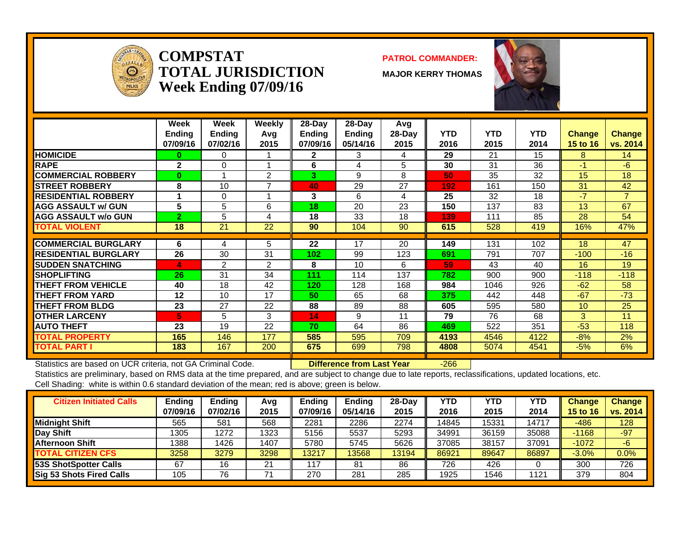

**COMPSTATTOTAL JURISDICTIONWeek Ending 07/09/16**

#### **PATROL COMMANDER:**

**MAJOR KERRY THOMAS**



|                              | Week<br><b>Ending</b><br>07/09/16 | Week<br><b>Ending</b><br>07/02/16 | Weekly<br>Avq<br>2015 | $28-Day$<br><b>Ending</b><br>07/09/16 | $28-Day$<br>Ending<br>05/14/16 | Avg<br>$28-Day$<br>2015 | <b>YTD</b><br>2016 | <b>YTD</b><br>2015 | <b>YTD</b><br>2014 | <b>Change</b><br>15 to 16 | <b>Change</b><br>vs. 2014 |
|------------------------------|-----------------------------------|-----------------------------------|-----------------------|---------------------------------------|--------------------------------|-------------------------|--------------------|--------------------|--------------------|---------------------------|---------------------------|
| <b>HOMICIDE</b>              | 0                                 | 0                                 |                       | $\mathbf{2}$                          | 3                              | 4                       | 29                 | 21                 | 15                 | 8                         | 14                        |
| <b>RAPE</b>                  | $\mathbf{2}$                      | 0                                 |                       | 6                                     | 4                              | 5                       | 30                 | 31                 | 36                 | $-1$                      | $-6$                      |
| <b>COMMERCIAL ROBBERY</b>    | $\bf{0}$                          |                                   | 2                     | 3                                     | 9                              | 8                       | 50                 | 35                 | 32                 | 15                        | 18                        |
| <b>STREET ROBBERY</b>        | 8                                 | 10                                | ⇁                     | 40                                    | 29                             | 27                      | 192                | 161                | 150                | 31                        | 42                        |
| <b>IRESIDENTIAL ROBBERY</b>  |                                   | 0                                 |                       | 3                                     | 6                              | 4                       | 25                 | 32                 | 18                 | $-7$                      | $\overline{7}$            |
| <b>AGG ASSAULT w/ GUN</b>    | 5                                 | 5                                 | 6                     | 18                                    | 20                             | 23                      | 150                | 137                | 83                 | 13                        | 67                        |
| <b>AGG ASSAULT w/o GUN</b>   | $\overline{2}$                    | 5                                 | 4                     | 18                                    | 33                             | 18                      | 139                | 111                | 85                 | 28                        | 54                        |
| <b>TOTAL VIOLENT</b>         | 18                                | 21                                | 22                    | 90                                    | 104                            | 90                      | 615                | 528                | 419                | 16%                       | 47%                       |
|                              |                                   |                                   |                       |                                       |                                |                         |                    |                    |                    |                           |                           |
| <b>COMMERCIAL BURGLARY</b>   | 6                                 | 4                                 | 5                     | 22                                    | 17                             | 20                      | 149                | 131                | 102                | 18                        | 47                        |
| <b>IRESIDENTIAL BURGLARY</b> | 26                                | 30                                | 31                    | 102                                   | 99                             | 123                     | 691                | 791                | 707                | $-100$                    | $-16$                     |
| <b>SUDDEN SNATCHING</b>      | 4                                 | 2                                 | 2                     | 8                                     | 10                             | 6                       | 59                 | 43                 | 40                 | 16                        | 19                        |
| <b>SHOPLIFTING</b>           | 26                                | 31                                | 34                    | 111                                   | 114                            | 137                     | 782                | 900                | 900                | $-118$                    | $-118$                    |
| <b>THEFT FROM VEHICLE</b>    | 40                                | 18                                | 42                    | 120                                   | 128                            | 168                     | 984                | 1046               | 926                | $-62$                     | 58                        |
| <b>THEFT FROM YARD</b>       | 12                                | 10                                | 17                    | 50                                    | 65                             | 68                      | 375                | 442                | 448                | $-67$                     | $-73$                     |
| <b>THEFT FROM BLDG</b>       | 23                                | 27                                | 22                    | 88                                    | 89                             | 88                      | 605                | 595                | 580                | 10                        | 25                        |
| <b>OTHER LARCENY</b>         | 5                                 | 5                                 | 3                     | 14                                    | 9                              | 11                      | 79                 | 76                 | 68                 | 3                         | 11                        |
| <b>AUTO THEFT</b>            | 23                                | 19                                | 22                    | 70                                    | 64                             | 86                      | 469                | 522                | 351                | $-53$                     | 118                       |
| <b>TOTAL PROPERTY</b>        | 165                               | 146                               | 177                   | 585                                   | 595                            | 709                     | 4193               | 4546               | 4122               | $-8%$                     | 2%                        |
| <b>TOTAL PART I</b>          | 183                               | 167                               | 200                   | 675                                   | 699                            | 798                     | 4808               | 5074               | 4541               | $-5%$                     | 6%                        |

Statistics are based on UCR criteria, not GA Criminal Code. **Difference from Last Year** -266

| <b>Citizen Initiated Calls</b> | Ending   | <b>Ending</b> | Avg  | <b>Endina</b> | <b>Ending</b> | $28-Dav$ | YTD   | <b>YTD</b> | YTD        | <b>Change</b>   | <b>Change</b> |
|--------------------------------|----------|---------------|------|---------------|---------------|----------|-------|------------|------------|-----------------|---------------|
|                                | 07/09/16 | 07/02/16      | 2015 | 07/09/16      | 05/14/16      | 2015     | 2016  | 2015       | 2014       | <b>15 to 16</b> | vs. 2014      |
| <b>Midnight Shift</b>          | 565      | 581           | 568  | 2281          | 2286          | 2274     | 14845 | 5331       | $1471^{-}$ | $-486$          | 128           |
| <b>Day Shift</b>               | 1305     | 1272          | 1323 | 5156          | 5537          | 5293     | 34991 | 36159      | 35088      | $-1168$         | $-97$         |
| <b>Afternoon Shift</b>         | 1388     | 1426          | 1407 | 5780          | 5745          | 5626     | 37085 | 38157      | 37091      | $-1072$         | -6            |
| <b>TOTAL CITIZEN CFS</b>       | 3258     | 3279          | 3298 | 13217         | 3568          | 13194    | 86921 | 89647      | 86897      | $-3.0%$         | $0.0\%$       |
| 53S ShotSpotter Calls          | 67       | 16            | 21   | 117           | 81            | 86       | 726   | 426        |            | 300             | 726           |
| Sig 53 Shots Fired Calls       | 105      | 76            |      | 270           | 281           | 285      | 1925  | 1546       | 1121       | 379             | 804           |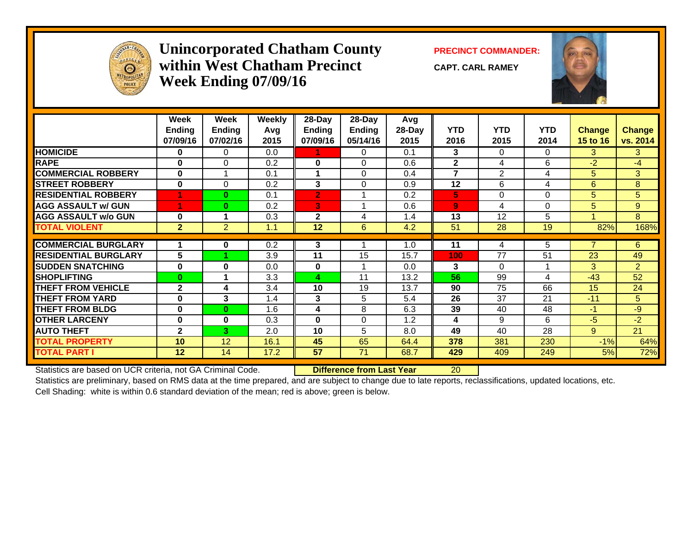

#### **Unincorporated Chatham County PRECINCT COMMANDER: within West Chatham PrecinctWeek Ending 07/09/16**

**CAPT. CARL RAMEY**



|                             | Week<br><b>Ending</b><br>07/09/16 | Week<br><b>Ending</b><br>07/02/16 | Weekly<br>Avq<br>2015 | 28-Day<br><b>Ending</b><br>07/09/16 | $28$ -Day<br><b>Ending</b><br>05/14/16 | Avg<br>28-Day<br>2015 | <b>YTD</b><br>2016 | <b>YTD</b><br>2015 | <b>YTD</b><br>2014 | <b>Change</b><br><b>15 to 16</b> | <b>Change</b><br>vs. 2014 |
|-----------------------------|-----------------------------------|-----------------------------------|-----------------------|-------------------------------------|----------------------------------------|-----------------------|--------------------|--------------------|--------------------|----------------------------------|---------------------------|
| <b>HOMICIDE</b>             | 0                                 | $\Omega$                          | 0.0                   |                                     | 0                                      | 0.1                   | 3                  | 0                  | $\Omega$           | 3                                | 3                         |
| <b>RAPE</b>                 | $\bf{0}$                          | $\Omega$                          | 0.2                   | $\bf{0}$                            | $\Omega$                               | 0.6                   | $\mathbf{2}$       | 4                  | 6                  | $-2$                             | -4                        |
| <b>COMMERCIAL ROBBERY</b>   | $\bf{0}$                          |                                   | 0.1                   | 1                                   | $\Omega$                               | 0.4                   | 7                  | $\overline{2}$     | 4                  | 5                                | 3                         |
| <b>STREET ROBBERY</b>       | $\bf{0}$                          | $\Omega$                          | 0.2                   | 3                                   | $\Omega$                               | 0.9                   | 12                 | 6                  | 4                  | 6                                | 8                         |
| <b>RESIDENTIAL ROBBERY</b>  |                                   | $\bf{0}$                          | 0.1                   | $\overline{2}$                      |                                        | 0.2                   | 5                  | 0                  | $\Omega$           | 5                                | 5                         |
| <b>AGG ASSAULT w/ GUN</b>   |                                   | $\bf{0}$                          | 0.2                   | 3                                   |                                        | 0.6                   | $\overline{9}$     | 4                  | $\Omega$           | 5                                | 9                         |
| <b>AGG ASSAULT w/o GUN</b>  | $\bf{0}$                          |                                   | 0.3                   | $\mathbf{2}$                        | 4                                      | 1.4                   | 13                 | 12                 | 5                  |                                  | 8                         |
| <b>TOTAL VIOLENT</b>        | 2 <sup>2</sup>                    | $\overline{2}$                    | 1.1                   | 12                                  | 6                                      | 4.2                   | 51                 | 28                 | 19                 | 82%                              | 168%                      |
|                             |                                   |                                   |                       |                                     |                                        |                       |                    |                    |                    |                                  |                           |
| <b>COMMERCIAL BURGLARY</b>  |                                   | 0                                 | 0.2                   | 3                                   |                                        | 1.0                   | 11                 | 4                  | 5                  |                                  | 6                         |
| <b>RESIDENTIAL BURGLARY</b> | 5                                 |                                   | 3.9                   | 11                                  | 15                                     | 15.7                  | 100                | 77                 | 51                 | 23                               | 49                        |
| <b>SUDDEN SNATCHING</b>     | 0                                 | $\bf{0}$                          | 0.0                   | $\bf{0}$                            |                                        | 0.0                   | 3                  | $\Omega$           |                    | 3                                | $\overline{2}$            |
| <b>SHOPLIFTING</b>          | $\mathbf{0}$                      |                                   | 3.3                   | 4                                   | 11                                     | 13.2                  | 56                 | 99                 | 4                  | $-43$                            | 52                        |
| <b>THEFT FROM VEHICLE</b>   | $\mathbf{2}$                      | 4                                 | 3.4                   | 10                                  | 19                                     | 13.7                  | 90                 | 75                 | 66                 | 15                               | 24                        |
| <b>THEFT FROM YARD</b>      | $\bf{0}$                          | 3                                 | 1.4                   | 3                                   | 5                                      | 5.4                   | 26                 | 37                 | 21                 | $-11$                            | 5                         |
| <b>THEFT FROM BLDG</b>      | $\bf{0}$                          | $\bf{0}$                          | 1.6                   | 4                                   | 8                                      | 6.3                   | 39                 | 40                 | 48                 | $-1$                             | $-9$                      |
| <b>OTHER LARCENY</b>        | 0                                 | $\bf{0}$                          | 0.3                   | $\bf{0}$                            | $\Omega$                               | 1.2                   | 4                  | 9                  | 6                  | -5                               | $-2$                      |
| <b>AUTO THEFT</b>           | $\mathbf{2}$                      | 3                                 | 2.0                   | 10                                  | 5                                      | 8.0                   | 49                 | 40                 | 28                 | 9                                | 21                        |
| <b>TOTAL PROPERTY</b>       | 10                                | 12                                | 16.1                  | 45                                  | 65                                     | 64.4                  | 378                | 381                | 230                | $-1\%$                           | 64%                       |
| <b>TOTAL PART I</b>         | 12                                | 14                                | 17.2                  | 57                                  | 71                                     | 68.7                  | 429                | 409                | 249                | 5%                               | 72%                       |

Statistics are based on UCR criteria, not GA Criminal Code. **Difference from Last Year** 20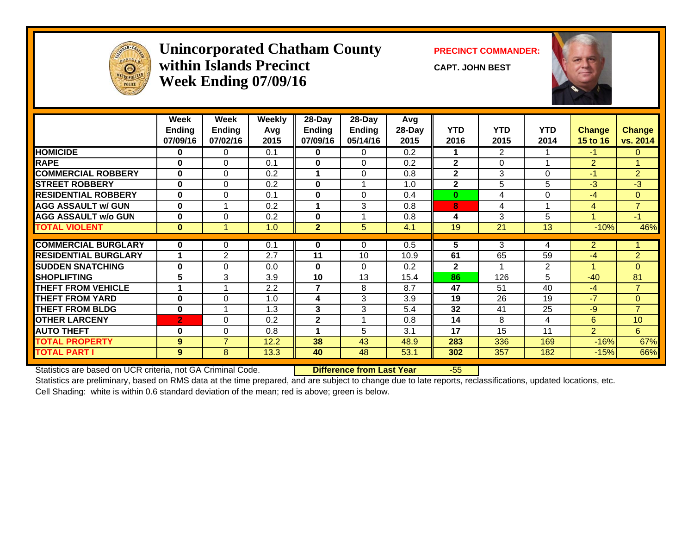

#### **Unincorporated Chatham County PRECINCT COMMANDER: within Islands PrecinctWeek Ending 07/09/16**

**CAPT. JOHN BEST**



|                             | Week<br>Ending<br>07/09/16 | Week<br><b>Ending</b><br>07/02/16 | <b>Weekly</b><br>Avg<br>2015 | $28$ -Day<br><b>Ending</b><br>07/09/16 | $28-Day$<br>Ending<br>05/14/16 | Avg<br>28-Day<br>2015 | <b>YTD</b><br>2016 | <b>YTD</b><br>2015 | <b>YTD</b><br>2014 | <b>Change</b><br>15 to 16 | <b>Change</b><br>vs. 2014 |
|-----------------------------|----------------------------|-----------------------------------|------------------------------|----------------------------------------|--------------------------------|-----------------------|--------------------|--------------------|--------------------|---------------------------|---------------------------|
| <b>HOMICIDE</b>             | $\bf{0}$                   | $\Omega$                          | 0.1                          | 0                                      | 0                              | 0.2                   | 1                  | 2                  |                    | $-1$                      | $\mathbf{0}$              |
| <b>RAPE</b>                 | $\bf{0}$                   | $\Omega$                          | 0.1                          | $\mathbf{0}$                           | $\Omega$                       | 0.2                   | $\mathbf{2}$       | $\Omega$           |                    | $\overline{2}$            |                           |
| <b>COMMERCIAL ROBBERY</b>   | $\bf{0}$                   | $\Omega$                          | 0.2                          | 1                                      | $\Omega$                       | 0.8                   | $\mathbf{2}$       | 3                  | 0                  | $-1$                      | $\overline{2}$            |
| <b>ISTREET ROBBERY</b>      | $\bf{0}$                   | $\Omega$                          | 0.2                          | $\mathbf{0}$                           |                                | 1.0                   | $\mathbf{2}$       | 5                  | 5                  | $-3$                      | $-3$                      |
| <b>RESIDENTIAL ROBBERY</b>  | $\bf{0}$                   | $\Omega$                          | 0.1                          | $\mathbf{0}$                           | $\Omega$                       | 0.4                   | $\bf{0}$           | 4                  | 0                  | $-4$                      | $\overline{0}$            |
| <b>AGG ASSAULT w/ GUN</b>   | $\bf{0}$                   |                                   | 0.2                          | 1                                      | 3                              | 0.8                   | 8                  | 4                  | $\overline{A}$     | 4                         | $\overline{7}$            |
| <b>AGG ASSAULT w/o GUN</b>  | $\bf{0}$                   | $\Omega$                          | 0.2                          | $\mathbf{0}$                           |                                | 0.8                   | 4                  | 3                  | 5                  | 1                         | $-1$                      |
| <b>TOTAL VIOLENT</b>        | $\bf{0}$                   |                                   | 1.0                          | $\overline{2}$                         | 5                              | 4.1                   | 19                 | 21                 | 13                 | $-10%$                    | 46%                       |
|                             |                            |                                   |                              |                                        |                                |                       |                    |                    |                    |                           |                           |
| <b>COMMERCIAL BURGLARY</b>  | $\bf{0}$                   | 0                                 | 0.1                          | $\mathbf 0$                            | $\Omega$                       | 0.5                   | 5                  | 3                  | 4                  | $\overline{2}$            |                           |
| <b>RESIDENTIAL BURGLARY</b> |                            | 2                                 | 2.7                          | 11                                     | 10                             | 10.9                  | 61                 | 65                 | 59                 | $-4$                      | $\overline{2}$            |
| <b>SUDDEN SNATCHING</b>     | $\bf{0}$                   | $\Omega$                          | 0.0                          | $\bf{0}$                               | $\Omega$                       | 0.2                   | $\mathbf{2}$       |                    | $\overline{2}$     | 1                         | $\Omega$                  |
| <b>SHOPLIFTING</b>          | 5                          | 3                                 | 3.9                          | 10                                     | 13                             | 15.4                  | 86                 | 126                | 5                  | $-40$                     | 81                        |
| <b>THEFT FROM VEHICLE</b>   |                            |                                   | 2.2                          | $\overline{7}$                         | 8                              | 8.7                   | 47                 | 51                 | 40                 | $-4$                      | $\overline{7}$            |
| <b>THEFT FROM YARD</b>      | $\mathbf{0}$               | $\Omega$                          | 1.0                          | 4                                      | 3                              | 3.9                   | 19                 | 26                 | 19                 | $-7$                      | $\Omega$                  |
| <b>THEFT FROM BLDG</b>      | $\mathbf 0$                |                                   | 1.3                          | 3                                      | 3                              | 5.4                   | 32                 | 41                 | 25                 | $-9$                      | $\overline{7}$            |
| <b>OTHER LARCENY</b>        | $\mathbf{2}$               | $\Omega$                          | 0.2                          | $\mathbf{2}$                           |                                | 0.8                   | 14                 | 8                  | 4                  | 6                         | 10 <sup>1</sup>           |
| <b>AUTO THEFT</b>           | $\bf{0}$                   | $\Omega$                          | 0.8                          | 1                                      | 5                              | 3.1                   | 17                 | 15                 | 11                 | $\overline{2}$            | 6                         |
| <b>TOTAL PROPERTY</b>       | 9                          | $\overline{7}$                    | 12.2                         | 38                                     | 43                             | 48.9                  | 283                | 336                | 169                | $-16%$                    | 67%                       |
| <b>TOTAL PART I</b>         | 9                          | 8                                 | 13.3                         | 40                                     | 48                             | 53.1                  | 302                | 357                | 182                | $-15%$                    | 66%                       |

Statistics are based on UCR criteria, not GA Criminal Code. **Difference from Last Year** -55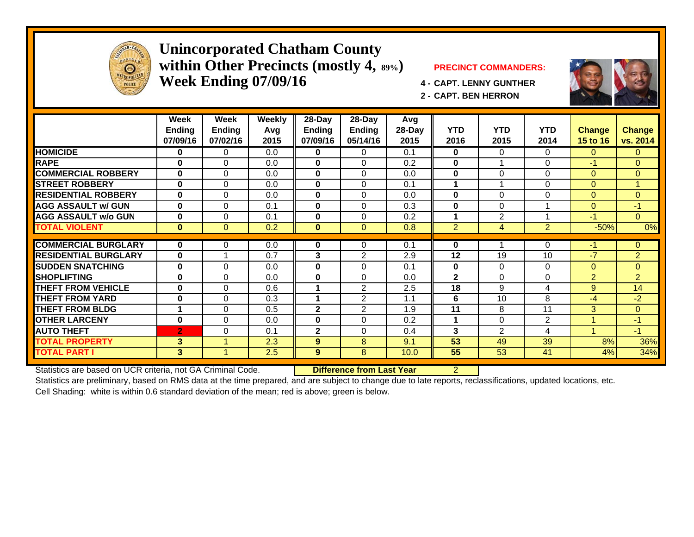

#### **Unincorporated Chatham County within Other Precincts (mostly 4, 89%) PRECINCT COMMANDERS: Week Ending 07/09/16 4 - CAPT. LENNY GUNTHER**



**2 - CAPT. BEN HERRON**

|                             | <b>Week</b>    | Week                | Weekly | 28-Day        | 28-Day         | Avg    |              |                |                |                |                |
|-----------------------------|----------------|---------------------|--------|---------------|----------------|--------|--------------|----------------|----------------|----------------|----------------|
|                             | <b>Ending</b>  | <b>Ending</b>       | Avg    | <b>Ending</b> | Ending         | 28-Day | <b>YTD</b>   | <b>YTD</b>     | <b>YTD</b>     | <b>Change</b>  | <b>Change</b>  |
|                             | 07/09/16       | 07/02/16            | 2015   | 07/09/16      | 05/14/16       | 2015   | 2016         | 2015           | 2014           | 15 to 16       | vs. 2014       |
| <b>HOMICIDE</b>             | $\bf{0}$       | $\mathbf 0$         | 0.0    | 0             | 0              | 0.1    | $\bf{0}$     | 0              | $\Omega$       | $\overline{0}$ | $\Omega$       |
| <b>RAPE</b>                 | $\bf{0}$       | $\Omega$            | 0.0    | $\mathbf{0}$  | $\Omega$       | 0.2    | $\bf{0}$     | 1              | $\Omega$       | $-1$           | $\Omega$       |
| <b>COMMERCIAL ROBBERY</b>   | $\bf{0}$       | $\Omega$            | 0.0    | $\mathbf{0}$  | $\Omega$       | 0.0    | $\mathbf 0$  | 0              | $\Omega$       | $\Omega$       | $\Omega$       |
| <b>STREET ROBBERY</b>       | $\bf{0}$       | $\Omega$            | 0.0    | $\mathbf{0}$  | $\Omega$       | 0.1    | 1            | 4              | $\Omega$       | $\Omega$       |                |
| <b>RESIDENTIAL ROBBERY</b>  | $\bf{0}$       | $\Omega$            | 0.0    | 0             | $\Omega$       | 0.0    | $\bf{0}$     | 0              | $\Omega$       | $\Omega$       | $\mathbf{0}$   |
| <b>AGG ASSAULT w/ GUN</b>   | $\bf{0}$       | $\Omega$            | 0.1    | 0             | $\Omega$       | 0.3    | $\bf{0}$     | 0              |                | $\Omega$       | $-1$           |
| <b>AGG ASSAULT w/o GUN</b>  | $\bf{0}$       | 0                   | 0.1    | 0             | $\Omega$       | 0.2    | 1            | $\overline{2}$ |                | $-1$           | $\Omega$       |
| <b>TOTAL VIOLENT</b>        | $\bf{0}$       | $\Omega$            | 0.2    | $\bf{0}$      | $\Omega$       | 0.8    | 2            | $\overline{4}$ | $\overline{2}$ | $-50%$         | 0%             |
| <b>COMMERCIAL BURGLARY</b>  |                |                     |        |               |                |        |              |                |                | $-1$           |                |
|                             | $\mathbf{0}$   | 0                   | 0.0    | 0             | 0              | 0.1    | $\bf{0}$     |                | $\Omega$       |                | $\mathbf{0}$   |
| <b>RESIDENTIAL BURGLARY</b> | $\bf{0}$       |                     | 0.7    | 3             | 2              | 2.9    | 12           | 19             | 10             | $-7$           | $\overline{2}$ |
| <b>SUDDEN SNATCHING</b>     | $\bf{0}$       | $\Omega$            | 0.0    | 0             | $\Omega$       | 0.1    | $\bf{0}$     | 0              | $\Omega$       | $\Omega$       | $\mathbf{0}$   |
| <b>SHOPLIFTING</b>          | $\bf{0}$       | $\mathbf 0$         | 0.0    | 0             | $\Omega$       | 0.0    | $\mathbf{2}$ | 0              | 0              | $\overline{2}$ | $\overline{2}$ |
| <b>THEFT FROM VEHICLE</b>   | $\bf{0}$       | $\mathbf{0}$        | 0.6    |               | $\overline{2}$ | 2.5    | 18           | 9              | 4              | 9              | 14             |
| <b>THEFT FROM YARD</b>      | $\bf{0}$       | 0                   | 0.3    |               | 2              | 1.1    | 6            | 10             | 8              | $-4$           | $-2$           |
| <b>THEFT FROM BLDG</b>      |                | $\mathbf 0$         | 0.5    | $\mathbf{2}$  | 2              | 1.9    | 11           | 8              | 11             | 3              | $\Omega$       |
| <b>OTHER LARCENY</b>        | $\bf{0}$       | $\Omega$            | 0.0    | 0             | 0              | 0.2    | 1            | 0              | 2              |                | $-1$           |
| <b>AUTO THEFT</b>           | $\overline{2}$ | $\Omega$            | 0.1    | $\mathbf{2}$  | $\Omega$       | 0.4    | 3            | $\overline{2}$ | 4              |                | $-1$           |
| <b>TOTAL PROPERTY</b>       | 3              | $\overline{\bf{4}}$ | 2.3    | 9             | 8              | 9.1    | 53           | 49             | 39             | 8%             | 36%            |
| <b>TOTAL PART I</b>         | 3 <sup>1</sup> |                     | 2.5    | 9             | 8              | 10.0   | 55           | 53             | 41             | 4%             | 34%            |

Statistics are based on UCR criteria, not GA Criminal Code. **Difference from Last Year** 2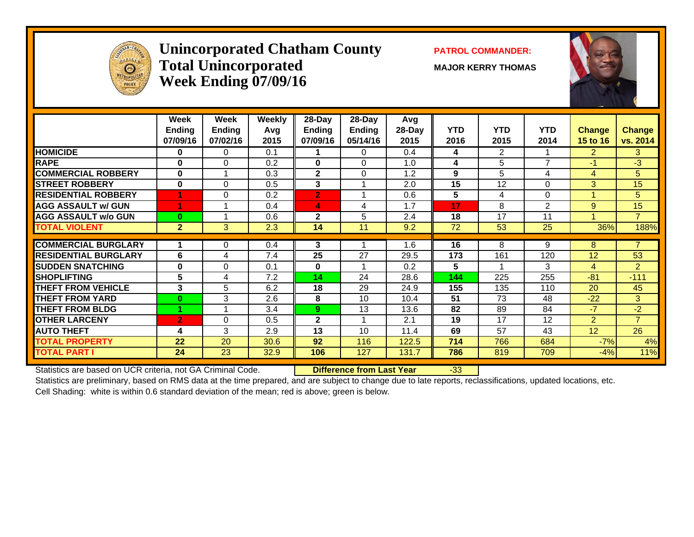

#### **Unincorporated Chatham County PATROL COMMANDER:**  $\bf Total\ Unincorporated$   $\qquad\qquad$   $\qquad\qquad$   $\qquad$   $\qquad$   $\qquad$   $\qquad$   $\qquad$   $\qquad$   $\qquad$   $\qquad$   $\qquad$   $\qquad$   $\qquad$   $\qquad$   $\qquad$   $\qquad$   $\qquad$   $\qquad$   $\qquad$   $\qquad$   $\qquad$   $\qquad$   $\qquad$   $\qquad$   $\qquad$   $\qquad$   $\qquad$   $\qquad$   $\qquad$   $\qquad$   $\qquad$   $\qquad$   $\qquad$   $\qquad$  **Week Ending 07/09/16**



|                             | Week<br><b>Ending</b> | Week<br><b>Ending</b> | <b>Weekly</b><br>Avg | 28-Day<br>Ending | $28$ -Day<br>Ending | Avg<br>28-Day | <b>YTD</b> | <b>YTD</b>             | <b>YTD</b>     | <b>Change</b>              | <b>Change</b>  |
|-----------------------------|-----------------------|-----------------------|----------------------|------------------|---------------------|---------------|------------|------------------------|----------------|----------------------------|----------------|
| <b>HOMICIDE</b>             | 07/09/16<br>$\bf{0}$  | 07/02/16<br>0         | 2015<br>0.1          | 07/09/16         | 05/14/16<br>0       | 2015<br>0.4   | 2016       | 2015<br>$\overline{2}$ | 2014           | 15 to 16<br>$\overline{2}$ | vs. 2014<br>3  |
|                             |                       |                       |                      |                  |                     |               | 4          |                        | 7              |                            |                |
| <b>RAPE</b>                 | 0                     | $\Omega$              | 0.2                  | $\bf{0}$         | $\Omega$            | 1.0           | 4          | 5                      |                | $-1$                       | $-3$           |
| <b>COMMERCIAL ROBBERY</b>   | 0                     |                       | 0.3                  | 2                | $\Omega$            | 1.2           | 9          | 5                      | 4              | 4                          | 5              |
| <b>STREET ROBBERY</b>       | $\bf{0}$              | $\Omega$              | 0.5                  | 3                |                     | 2.0           | 15         | 12                     | 0              | 3                          | 15             |
| <b>RESIDENTIAL ROBBERY</b>  | 4                     | $\Omega$              | 0.2                  | $\overline{2}$   | 1                   | 0.6           | 5          | 4                      | $\Omega$       |                            | 5.             |
| <b>AGG ASSAULT w/ GUN</b>   |                       |                       | 0.4                  | 4                | 4                   | 1.7           | 17         | 8                      | $\overline{2}$ | 9                          | 15             |
| <b>AGG ASSAULT w/o GUN</b>  | $\bf{0}$              |                       | 0.6                  | $\mathbf{2}$     | 5                   | 2.4           | 18         | 17                     | 11             |                            | $\overline{7}$ |
| <b>TOTAL VIOLENT</b>        | $\overline{2}$        | 3                     | 2.3                  | 14               | 11                  | 9.2           | 72         | 53                     | 25             | 36%                        | 188%           |
|                             |                       |                       |                      |                  |                     |               |            |                        |                |                            |                |
| <b>COMMERCIAL BURGLARY</b>  |                       | 0                     | 0.4                  | 3                |                     | 1.6           | 16         | 8                      | 9              | 8                          | $\overline{7}$ |
| <b>RESIDENTIAL BURGLARY</b> | 6                     | 4                     | 7.4                  | 25               | 27                  | 29.5          | 173        | 161                    | 120            | 12                         | 53             |
| <b>SUDDEN SNATCHING</b>     | 0                     | $\Omega$              | 0.1                  | 0                |                     | 0.2           | 5          |                        | 3              | 4                          | $\overline{2}$ |
| <b>SHOPLIFTING</b>          | 5                     | 4                     | 7.2                  | 14               | 24                  | 28.6          | 144        | 225                    | 255            | $-81$                      | $-111$         |
| <b>THEFT FROM VEHICLE</b>   | 3                     | 5                     | 6.2                  | 18               | 29                  | 24.9          | 155        | 135                    | 110            | 20                         | 45             |
| <b>THEFT FROM YARD</b>      | $\bf{0}$              | 3                     | 2.6                  | 8                | 10                  | 10.4          | 51         | 73                     | 48             | $-22$                      | 3              |
| <b>THEFT FROM BLDG</b>      |                       |                       | 3.4                  | 9.               | 13                  | 13.6          | 82         | 89                     | 84             | $-7$                       | $-2$           |
| <b>OTHER LARCENY</b>        | $\overline{2}$        | $\Omega$              | 0.5                  | $\mathbf{2}$     |                     | 2.1           | 19         | 17                     | 12             | $\overline{2}$             | $\overline{7}$ |
| <b>AUTO THEFT</b>           | 4                     | 3                     | 2.9                  | 13               | 10                  | 11.4          | 69         | 57                     | 43             | 12                         | 26             |
| <b>TOTAL PROPERTY</b>       | 22                    | 20                    | 30.6                 | 92               | 116                 | 122.5         | 714        | 766                    | 684            | $-7%$                      | 4%             |
| <b>TOTAL PART I</b>         | 24                    | 23                    | 32.9                 | 106              | 127                 | 131.7         | 786        | 819                    | 709            | $-4%$                      | 11%            |
|                             |                       |                       |                      |                  |                     |               |            |                        |                |                            |                |

Statistics are based on UCR criteria, not GA Criminal Code. **Difference from Last Year** -33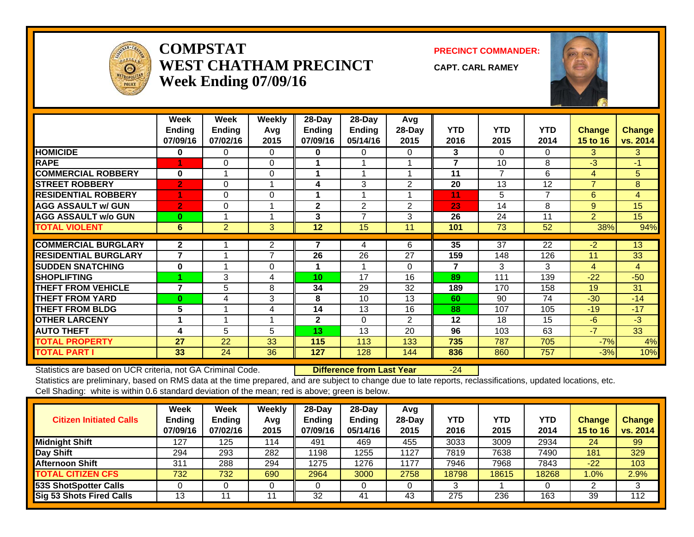

#### **COMPSTATWEST CHATHAM PRECINCTWeek Ending 07/09/16**

**PRECINCT COMMANDER:**

**CAPT. CARL RAMEY**



|                             | Week<br><b>Ending</b><br>07/09/16 | Week<br><b>Ending</b><br>07/02/16 | <b>Weekly</b><br>Avg<br>2015 | 28-Day<br><b>Ending</b><br>07/09/16 | 28-Day<br><b>Ending</b><br>05/14/16 | Avg<br>28-Day<br>2015 | <b>YTD</b><br>2016 | <b>YTD</b><br>2015 | <b>YTD</b><br>2014 | <b>Change</b><br><b>15 to 16</b> | <b>Change</b><br>vs. 2014 |
|-----------------------------|-----------------------------------|-----------------------------------|------------------------------|-------------------------------------|-------------------------------------|-----------------------|--------------------|--------------------|--------------------|----------------------------------|---------------------------|
| <b>HOMICIDE</b>             | 0                                 | $\Omega$                          | $\Omega$                     | $\mathbf{0}$                        | 0                                   | 0                     | 3                  | 0                  | $\Omega$           | 3                                | 3                         |
| <b>RAPE</b>                 |                                   | $\Omega$                          | $\Omega$                     |                                     |                                     |                       | 7                  | 10                 | 8                  | $-3$                             | $-1$                      |
| <b>COMMERCIAL ROBBERY</b>   | $\bf{0}$                          |                                   | $\Omega$                     |                                     |                                     |                       | 11                 | $\overline{7}$     | 6                  | 4                                | 5                         |
| <b>STREET ROBBERY</b>       | $\overline{2}$                    | 0                                 |                              | 4                                   | 3                                   | 2                     | 20                 | 13                 | 12                 | $\overline{7}$                   | 8                         |
| <b>RESIDENTIAL ROBBERY</b>  |                                   | $\Omega$                          | $\Omega$                     | 1                                   |                                     |                       | 11                 | 5                  | 7                  | 6                                | 4                         |
| <b>AGG ASSAULT w/ GUN</b>   | $\overline{2}$                    | $\Omega$                          |                              | $\mathbf{2}$                        | 2                                   | 2                     | 23                 | 14                 | 8                  | 9                                | 15                        |
| <b>AGG ASSAULT w/o GUN</b>  | $\mathbf{0}$                      |                                   |                              | 3                                   | $\overline{ }$                      | 3                     | 26                 | 24                 | 11                 | $\overline{2}$                   | 15                        |
| <b>TOTAL VIOLENT</b>        | 6                                 | $\overline{2}$                    | 3                            | 12                                  | 15                                  | 11                    | 101                | 73                 | 52                 | 38%                              | 94%                       |
| <b>COMMERCIAL BURGLARY</b>  | $\overline{2}$                    |                                   | 2                            | 7                                   | 4                                   | 6                     | 35                 | 37                 | 22                 | $-2$                             | 13                        |
| <b>RESIDENTIAL BURGLARY</b> | 7                                 |                                   | $\overline{ }$               | 26                                  | 26                                  | 27                    | 159                | 148                | 126                | 11                               | 33                        |
| <b>SUDDEN SNATCHING</b>     | $\bf{0}$                          |                                   | $\Omega$                     |                                     |                                     | $\Omega$              | 7                  | 3                  | 3                  | 4                                | $\overline{4}$            |
| <b>SHOPLIFTING</b>          |                                   | 3                                 | 4                            | 10                                  | 17                                  | 16                    | 89                 | 111                | 139                | $-22$                            | $-50$                     |
| THEFT FROM VEHICLE          | 7                                 | 5                                 | 8                            | 34                                  | 29                                  | 32                    | 189                | 170                | 158                | 19                               | 31                        |
| <b>THEFT FROM YARD</b>      | $\bf{0}$                          | 4                                 | 3                            | 8                                   | 10                                  | 13                    | 60                 | 90                 | 74                 | $-30$                            | $-14$                     |
| <b>THEFT FROM BLDG</b>      | 5                                 |                                   | 4                            | 14                                  | 13                                  | 16                    | 88                 | 107                | 105                | $-19$                            | $-17$                     |
| <b>OTHER LARCENY</b>        |                                   |                                   |                              | $\mathbf{2}$                        | $\Omega$                            | $\overline{2}$        | 12                 | 18                 | 15                 | $-6$                             | $-3$                      |
| <b>AUTO THEFT</b>           | 4                                 | 5                                 | 5                            | 13                                  | 13                                  | 20                    | 96                 | 103                | 63                 | $-7$                             | 33                        |
| <b>TOTAL PROPERTY</b>       | 27                                | 22                                | 33                           | 115                                 | 113                                 | 133                   | 735                | 787                | 705                | $-7%$                            | 4%                        |
| <b>TOTAL PART I</b>         | 33                                | 24                                | 36                           | 127                                 | 128                                 | 144                   | 836                | 860                | 757                | $-3%$                            | 10%                       |

Statistics are based on UCR criteria, not GA Criminal Code. **Difference from Last Year** -24

| <b>Citizen Initiated Calls</b>  | Week<br><b>Ending</b><br>07/09/16 | <b>Week</b><br><b>Ending</b><br>07/02/16 | Weekly<br>Avg<br>2015 | $28 - Day$<br><b>Ending</b><br>07/09/16 | 28-Day<br><b>Ending</b><br>05/14/16 | Avg<br>$28-Day$<br>2015 | YTD<br>2016 | <b>YTD</b><br>2015 | <b>YTD</b><br>2014 | <b>Change</b><br>15 to 16 | <b>Change</b><br>vs. 2014 |
|---------------------------------|-----------------------------------|------------------------------------------|-----------------------|-----------------------------------------|-------------------------------------|-------------------------|-------------|--------------------|--------------------|---------------------------|---------------------------|
| <b>Midnight Shift</b>           | 127                               | 125                                      | 114                   | 491                                     | 469                                 | 455                     | 3033        | 3009               | 2934               | 24                        | 99                        |
| Day Shift                       | 294                               | 293                                      | 282                   | 1198                                    | 1255                                | 1127                    | 7819        | 7638               | 7490               | 181                       | 329                       |
| <b>Afternoon Shift</b>          | 311                               | 288                                      | 294                   | 1275                                    | 1276                                | 1177                    | 7946        | 7968               | 7843               | $-22$                     | 103                       |
| <b>TOTAL CITIZEN CFS</b>        | 732                               | 732                                      | 690                   | 2964                                    | 3000                                | 2758                    | 18798       | 18615              | 18268              | $1.0\%$                   | 2.9%                      |
| <b>53S ShotSpotter Calls</b>    |                                   |                                          |                       |                                         |                                     |                         |             |                    |                    |                           |                           |
| <b>Sig 53 Shots Fired Calls</b> | 13                                |                                          |                       | 32                                      | 41                                  | 43                      | 275         | 236                | 163                | 39                        | 112                       |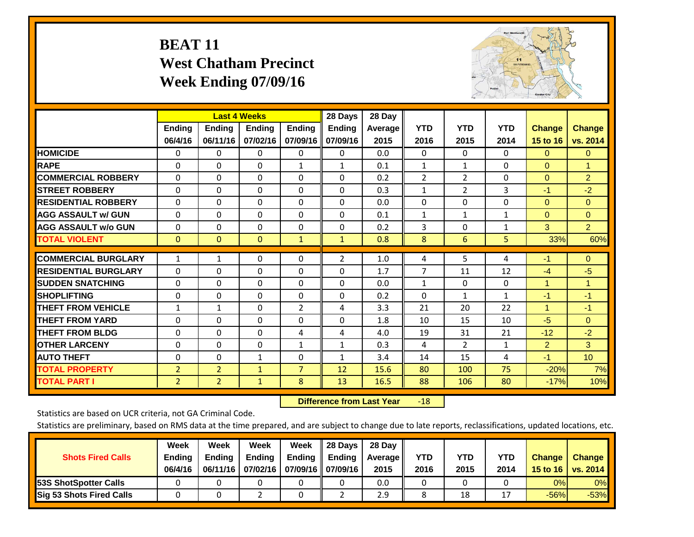# **BEAT 11 West Chatham Precinct Week Ending 07/09/16**



|                             |                | <b>Last 4 Weeks</b> |               |                | 28 Days        | 28 Day  |                |                |              |                |                 |
|-----------------------------|----------------|---------------------|---------------|----------------|----------------|---------|----------------|----------------|--------------|----------------|-----------------|
|                             | <b>Ending</b>  | <b>Ending</b>       | <b>Ending</b> | <b>Ending</b>  | <b>Ending</b>  | Average | <b>YTD</b>     | <b>YTD</b>     | <b>YTD</b>   | <b>Change</b>  | <b>Change</b>   |
|                             | 06/4/16        | 06/11/16            | 07/02/16      | 07/09/16       | 07/09/16       | 2015    | 2016           | 2015           | 2014         | 15 to 16       | vs. 2014        |
| <b>HOMICIDE</b>             | $\Omega$       | 0                   | $\Omega$      | $\Omega$       | 0              | 0.0     | $\mathbf{0}$   | $\mathbf{0}$   | $\Omega$     | $\Omega$       | $\overline{0}$  |
| <b>RAPE</b>                 | $\Omega$       | $\Omega$            | $\Omega$      | 1              | $\mathbf{1}$   | 0.1     | 1              | 1              | 0            | $\Omega$       | $\mathbf{1}$    |
| <b>COMMERCIAL ROBBERY</b>   | $\Omega$       | $\Omega$            | $\Omega$      | $\Omega$       | $\Omega$       | 0.2     | $\overline{2}$ | $\overline{2}$ | $\Omega$     | $\mathbf{0}$   | $\overline{2}$  |
| <b>ISTREET ROBBERY</b>      | $\Omega$       | $\Omega$            | $\Omega$      | $\Omega$       | $\Omega$       | 0.3     | $\mathbf{1}$   | 2              | 3            | $-1$           | $-2$            |
| <b>RESIDENTIAL ROBBERY</b>  | $\Omega$       | $\Omega$            | $\mathbf{0}$  | $\Omega$       | $\Omega$       | 0.0     | $\mathbf{0}$   | $\Omega$       | 0            | $\Omega$       | $\Omega$        |
| <b>AGG ASSAULT w/ GUN</b>   | $\Omega$       | $\Omega$            | $\Omega$      | $\Omega$       | 0              | 0.1     | 1              | 1              | 1            | $\mathbf{0}$   | $\mathbf{0}$    |
| <b>AGG ASSAULT w/o GUN</b>  | $\Omega$       | $\Omega$            | $\Omega$      | $\Omega$       | $\Omega$       | 0.2     | 3              | $\mathbf{0}$   | $\mathbf{1}$ | 3              | 2 <sup>1</sup>  |
| <b>TOTAL VIOLENT</b>        | $\mathbf{0}$   | $\mathbf{0}$        | $\mathbf{0}$  | 1              | $\mathbf{1}$   | 0.8     | 8              | 6              | 5            | 33%            | 60%             |
|                             |                |                     |               |                |                |         |                |                |              |                |                 |
| <b>COMMERCIAL BURGLARY</b>  | 1              | 1                   | 0             | 0              | $\overline{2}$ | 1.0     | 4              | 5              | 4            | $-1$           | $\mathbf{0}$    |
| <b>RESIDENTIAL BURGLARY</b> | $\Omega$       | $\Omega$            | $\Omega$      | $\Omega$       | $\Omega$       | 1.7     | 7              | 11             | 12           | $-4$           | $-5$            |
| <b>SUDDEN SNATCHING</b>     | $\Omega$       | 0                   | $\Omega$      | $\Omega$       | $\Omega$       | 0.0     | $\mathbf{1}$   | 0              | 0            | 1              | 1               |
| <b>SHOPLIFTING</b>          | $\Omega$       | $\Omega$            | $\Omega$      | 0              | 0              | 0.2     | $\Omega$       | 1              | $\mathbf{1}$ | $-1$           | $-1$            |
| <b>THEFT FROM VEHICLE</b>   | 1              | $\mathbf{1}$        | $\Omega$      | 2              | 4              | 3.3     | 21             | 20             | 22           | 1              | $-1$            |
| <b>THEFT FROM YARD</b>      | $\Omega$       | $\Omega$            | $\Omega$      | $\Omega$       | $\Omega$       | 1.8     | 10             | 15             | 10           | $-5$           | $\overline{0}$  |
| <b>THEFT FROM BLDG</b>      | $\Omega$       | $\Omega$            | $\mathbf{0}$  | 4              | 4              | 4.0     | 19             | 31             | 21           | $-12$          | $-2$            |
| <b>OTHER LARCENY</b>        | $\Omega$       | $\Omega$            | $\Omega$      | $\mathbf{1}$   | $\mathbf{1}$   | 0.3     | 4              | $\overline{2}$ | $\mathbf{1}$ | $\overline{2}$ | 3               |
| <b>AUTO THEFT</b>           | $\mathbf 0$    | $\Omega$            | $\mathbf{1}$  | $\Omega$       | 1              | 3.4     | 14             | 15             | 4            | $-1$           | 10 <sup>°</sup> |
| <b>TOTAL PROPERTY</b>       | $\overline{2}$ | $\overline{2}$      | $\mathbf{1}$  | $\overline{7}$ | 12             | 15.6    | 80             | 100            | 75           | $-20%$         | 7%              |
| <b>TOTAL PART I</b>         | 2              | $\overline{2}$      | $\mathbf{1}$  | 8              | 13             | 16.5    | 88             | 106            | 80           | $-17%$         | 10%             |

 **Difference from Last Year**r -18

Statistics are based on UCR criteria, not GA Criminal Code.

| <b>Shots Fired Calls</b>        | Week<br><b>Ending</b><br>06/4/16 | Week<br><b>Endina</b><br>06/11/16 | Week<br>Ending | Week<br>Ending<br>07/02/16   07/09/16    07/09/16 | 28 Days<br><b>Ending</b> | 28 Day<br>Average II<br>2015 | YTD<br>2016 | YTD<br>2015 | YTD<br>2014 | <b>Change</b><br>15 to 16 $\vert$ | <b>Change</b><br>vs. 2014 |
|---------------------------------|----------------------------------|-----------------------------------|----------------|---------------------------------------------------|--------------------------|------------------------------|-------------|-------------|-------------|-----------------------------------|---------------------------|
| <b>153S ShotSpotter Calls</b>   |                                  |                                   |                |                                                   |                          | 0.0                          |             |             |             | 0%                                | 0%                        |
| <b>Sig 53 Shots Fired Calls</b> |                                  |                                   |                |                                                   |                          | 2.9                          |             | 18          |             | $-56%$                            | $-53%$                    |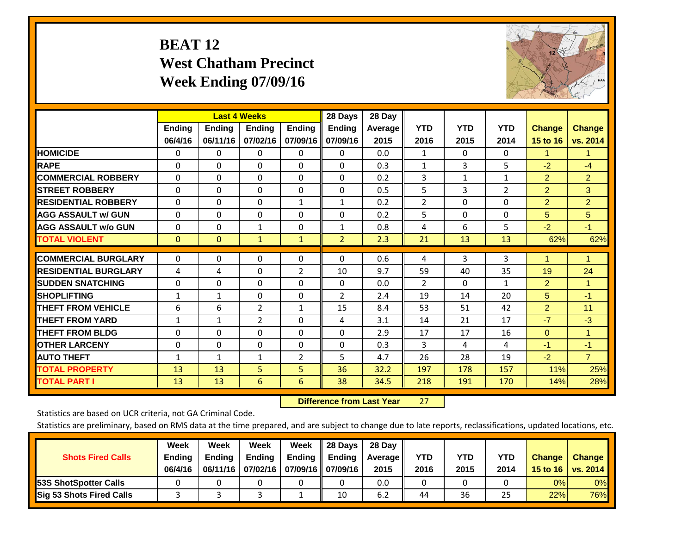# **BEAT 12 West Chatham Precinct Week Ending 07/09/16**



|                             |               |               | <b>Last 4 Weeks</b> |               | 28 Days        | 28 Day  |                |              |                |                |                |
|-----------------------------|---------------|---------------|---------------------|---------------|----------------|---------|----------------|--------------|----------------|----------------|----------------|
|                             | <b>Ending</b> | <b>Ending</b> | <b>Endina</b>       | <b>Ending</b> | <b>Ending</b>  | Average | <b>YTD</b>     | <b>YTD</b>   | <b>YTD</b>     | <b>Change</b>  | <b>Change</b>  |
|                             | 06/4/16       | 06/11/16      | 07/02/16            | 07/09/16      | 07/09/16       | 2015    | 2016           | 2015         | 2014           | 15 to 16       | vs. 2014       |
| <b>HOMICIDE</b>             | 0             | 0             | $\Omega$            | 0             | 0              | 0.0     | 1              | 0            | 0              | 1              | 1.             |
| <b>RAPE</b>                 | 0             | $\Omega$      | $\Omega$            | $\Omega$      | $\Omega$       | 0.3     | 1              | 3            | 5              | $-2$           | $-4$           |
| <b>COMMERCIAL ROBBERY</b>   | $\Omega$      | 0             | $\Omega$            | 0             | $\Omega$       | 0.2     | 3              | $\mathbf{1}$ | 1              | $\overline{2}$ | $\overline{2}$ |
| <b>ISTREET ROBBERY</b>      | $\Omega$      | $\Omega$      | $\Omega$            | $\Omega$      | $\Omega$       | 0.5     | 5              | 3            | $\overline{2}$ | $\overline{2}$ | 3              |
| <b>RESIDENTIAL ROBBERY</b>  | $\Omega$      | $\Omega$      | $\Omega$            | 1             | 1              | 0.2     | $\overline{2}$ | $\Omega$     | 0              | $\overline{2}$ | $\overline{2}$ |
| <b>AGG ASSAULT w/ GUN</b>   | $\Omega$      | $\Omega$      | $\Omega$            | $\Omega$      | $\Omega$       | 0.2     | 5              | $\Omega$     | 0              | 5              | 5 <sup>5</sup> |
| <b>AGG ASSAULT w/o GUN</b>  | 0             | 0             | 1                   | 0             | 1              | 0.8     | 4              | 6            | 5              | $-2$           | $-1$           |
| <b>TOTAL VIOLENT</b>        | $\Omega$      | $\Omega$      | $\mathbf{1}$        | $\mathbf{1}$  | $\overline{2}$ | 2.3     | 21             | 13           | 13             | 62%            | 62%            |
| <b>COMMERCIAL BURGLARY</b>  | $\Omega$      | $\Omega$      | $\Omega$            | 0             | $\Omega$       | 0.6     |                | 3            | 3              | 1              | 1              |
|                             |               |               |                     |               |                |         | 4              |              |                |                |                |
| <b>RESIDENTIAL BURGLARY</b> | 4             | 4             | $\mathbf{0}$        | 2             | 10             | 9.7     | 59             | 40           | 35             | 19             | 24             |
| <b>SUDDEN SNATCHING</b>     | 0             | 0             | $\mathbf{0}$        | $\mathbf{0}$  | $\Omega$       | 0.0     | $\overline{2}$ | $\Omega$     | 1              | 2              | 1              |
| <b>SHOPLIFTING</b>          | 1             | $\mathbf{1}$  | $\Omega$            | $\Omega$      | $\overline{2}$ | 2.4     | 19             | 14           | 20             | 5              | $-1$           |
| <b>THEFT FROM VEHICLE</b>   | 6             | 6             | 2                   | 1             | 15             | 8.4     | 53             | 51           | 42             | $\overline{2}$ | 11             |
| <b>THEFT FROM YARD</b>      | $\mathbf{1}$  | 1             | $\overline{2}$      | 0             | 4              | 3.1     | 14             | 21           | 17             | $-7$           | $-3$           |
| <b>THEFT FROM BLDG</b>      | $\Omega$      | $\Omega$      | $\Omega$            | $\mathbf{0}$  | $\Omega$       | 2.9     | 17             | 17           | 16             | $\Omega$       | 1              |
| <b>OTHER LARCENY</b>        | $\Omega$      | 0             | $\mathbf{0}$        | $\Omega$      | $\Omega$       | 0.3     | 3              | 4            | 4              | $-1$           | $-1$           |
| <b>AUTO THEFT</b>           | 1             | $\mathbf{1}$  | $\mathbf{1}$        | 2             | 5              | 4.7     | 26             | 28           | 19             | $-2$           | $\overline{7}$ |
| <b>TOTAL PROPERTY</b>       | 13            | 13            | 5                   | 5             | 36             | 32.2    | 197            | 178          | 157            | 11%            | 25%            |
| <b>TOTAL PART I</b>         | 13            | 13            | 6                   | 6             | 38             | 34.5    | 218            | 191          | 170            | 14%            | 28%            |

 **Difference from Last Year**r 27

Statistics are based on UCR criteria, not GA Criminal Code.

| <b>Shots Fired Calls</b>        | Week<br><b>Ending</b><br>06/4/16 | Week<br><b>Endina</b><br>06/11/16 | <b>Week</b><br>Ending<br>07/02/16 | Week<br>Ending | 28 Days<br><b>Ending</b><br>07/09/16    07/09/16 | 28 Day<br>Average II<br>2015 | YTD<br>2016 | YTD<br>2015 | <b>YTD</b><br>2014 | <b>Change</b><br>15 to 16 | <b>Change</b><br>vs. 2014 |
|---------------------------------|----------------------------------|-----------------------------------|-----------------------------------|----------------|--------------------------------------------------|------------------------------|-------------|-------------|--------------------|---------------------------|---------------------------|
| <b>153S ShotSpotter Calls</b>   |                                  |                                   |                                   |                |                                                  | 0.0                          |             |             |                    | 0%                        | 0%                        |
| <b>Sig 53 Shots Fired Calls</b> |                                  |                                   |                                   |                | 10                                               | 6.2                          | 44          | 36          | 25                 | 22%                       | 76%                       |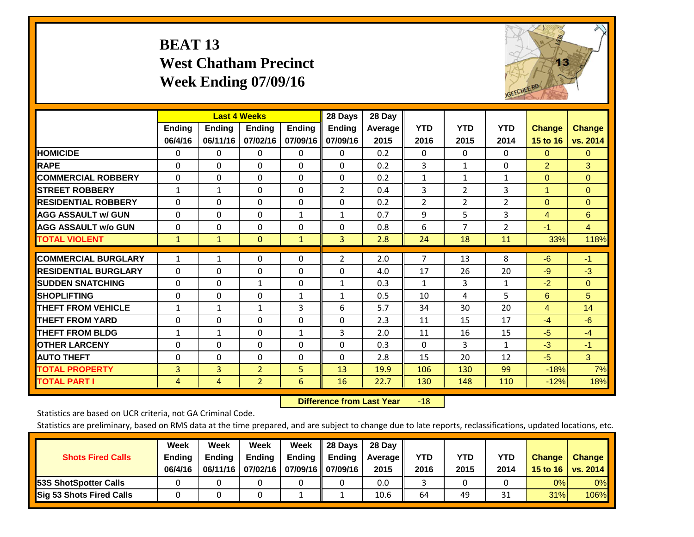# **BEAT 13 West Chatham Precinct Week Ending 07/09/16**



|                             |                          |                           | <b>Last 4 Weeks</b>       |                           | 28 Days                   | 28 Day            |                    |                    |                    |                           |                           |
|-----------------------------|--------------------------|---------------------------|---------------------------|---------------------------|---------------------------|-------------------|--------------------|--------------------|--------------------|---------------------------|---------------------------|
|                             | <b>Ending</b><br>06/4/16 | <b>Ending</b><br>06/11/16 | <b>Endina</b><br>07/02/16 | <b>Endina</b><br>07/09/16 | <b>Endina</b><br>07/09/16 | Average  <br>2015 | <b>YTD</b><br>2016 | <b>YTD</b><br>2015 | <b>YTD</b><br>2014 | <b>Change</b><br>15 to 16 | <b>Change</b><br>vs. 2014 |
| <b>HOMICIDE</b>             | 0                        | 0                         | $\Omega$                  | 0                         | 0                         | 0.2               | $\Omega$           | 0                  | 0                  | $\Omega$                  | $\mathbf{0}$              |
| <b>RAPE</b>                 | $\Omega$                 | $\Omega$                  | $\Omega$                  | $\Omega$                  | $\Omega$                  | 0.2               | 3                  | $\mathbf{1}$       | 0                  | $\overline{2}$            | 3                         |
| <b>COMMERCIAL ROBBERY</b>   | $\Omega$                 | $\Omega$                  | $\Omega$                  | $\Omega$                  | $\Omega$                  | 0.2               | 1                  | 1                  | $\mathbf{1}$       | $\Omega$                  | $\Omega$                  |
| <b>STREET ROBBERY</b>       | $\mathbf{1}$             | 1                         | $\mathbf{0}$              | 0                         | $\overline{2}$            | 0.4               | 3                  | 2                  | 3                  | $\blacktriangleleft$      | $\mathbf{0}$              |
| <b>RESIDENTIAL ROBBERY</b>  | $\Omega$                 | $\Omega$                  | $\mathbf{0}$              | $\Omega$                  | $\Omega$                  | 0.2               | $\overline{2}$     | $\overline{2}$     | 2                  | $\Omega$                  | $\Omega$                  |
| <b>AGG ASSAULT w/ GUN</b>   | $\Omega$                 | $\Omega$                  | $\mathbf{0}$              | 1                         | $\mathbf{1}$              | 0.7               | 9                  | 5.                 | 3                  | 4                         | 6                         |
| <b>AGG ASSAULT w/o GUN</b>  | 0                        | 0                         | $\mathbf{0}$              | $\Omega$                  | $\Omega$                  | 0.8               | 6                  | 7                  | $\overline{2}$     | $-1$                      | 4                         |
| <b>TOTAL VIOLENT</b>        | $\mathbf{1}$             | $\mathbf{1}$              | $\overline{0}$            | $\mathbf{1}$              | 3                         | 2.8               | 24                 | 18                 | 11                 | 33%                       | 118%                      |
| <b>COMMERCIAL BURGLARY</b>  | $\mathbf{1}$             | 1                         | $\mathbf{0}$              | $\Omega$                  | $\overline{2}$            | 2.0               | $\overline{7}$     | 13                 | 8                  | $-6$                      | $-1$                      |
| <b>RESIDENTIAL BURGLARY</b> | $\Omega$                 | $\Omega$                  | $\mathbf{0}$              | $\Omega$                  | $\Omega$                  | 4.0               | 17                 | 26                 | 20                 | -9                        | $-3$                      |
| <b>ISUDDEN SNATCHING</b>    | $\Omega$                 | $\Omega$                  | $\mathbf{1}$              | $\Omega$                  | $\mathbf{1}$              | 0.3               | 1                  | 3                  | $\mathbf{1}$       | $-2$                      | $\mathbf{0}$              |
| <b>SHOPLIFTING</b>          | $\Omega$                 | $\Omega$                  | $\Omega$                  | $\mathbf{1}$              | $\mathbf{1}$              | 0.5               | 10                 | 4                  | 5                  | 6                         | 5                         |
| <b>THEFT FROM VEHICLE</b>   | 1                        | 1                         | $\mathbf{1}$              | 3                         | 6                         | 5.7               | 34                 | 30                 | 20                 | 4                         | 14                        |
| <b>THEFT FROM YARD</b>      | 0                        | $\Omega$                  | $\Omega$                  | 0                         | $\Omega$                  | 2.3               | 11                 | 15                 | 17                 | $-4$                      | $-6$                      |
| <b>THEFT FROM BLDG</b>      | 1                        | 1                         | $\mathbf{0}$              | 1                         | 3                         | 2.0               | 11                 | 16                 | 15                 | $-5$                      | $-4$                      |
| <b>OTHER LARCENY</b>        | $\Omega$                 | $\Omega$                  | $\Omega$                  | $\Omega$                  | 0                         | 0.3               | $\Omega$           | 3                  | 1                  | $-3$                      | $-1$                      |
| <b>AUTO THEFT</b>           | 0                        | 0                         | $\Omega$                  | 0                         | $\Omega$                  | 2.8               | 15                 | 20                 | 12                 | $-5$                      | 3                         |
| <b>TOTAL PROPERTY</b>       | 3                        | 3                         | $\overline{2}$            | 5                         | 13                        | 19.9              | 106                | 130                | 99                 | $-18%$                    | 7%                        |
| <b>TOTAL PART I</b>         | 4                        | 4                         | $\overline{2}$            | 6                         | 16                        | 22.7              | 130                | 148                | 110                | $-12%$                    | 18%                       |

 **Difference from Last Year**r -18

Statistics are based on UCR criteria, not GA Criminal Code.

| <b>Shots Fired Calls</b>        | Week<br><b>Ending</b><br>06/4/16 | Week<br><b>Endina</b><br>06/11/16 | <b>Week</b><br>Ending<br>07/02/16 | Week<br>Ending | 28 Days<br><b>Ending</b><br>07/09/16    07/09/16 | 28 Day<br>Average II<br>2015 | YTD<br>2016 | YTD<br>2015 | <b>YTD</b><br>2014 | <b>Change</b><br>15 to 16 | <b>Change</b><br>vs. 2014 |
|---------------------------------|----------------------------------|-----------------------------------|-----------------------------------|----------------|--------------------------------------------------|------------------------------|-------------|-------------|--------------------|---------------------------|---------------------------|
| <b>153S ShotSpotter Calls</b>   |                                  |                                   |                                   |                |                                                  | 0.0                          |             |             |                    | 0%                        | 0%                        |
| <b>Sig 53 Shots Fired Calls</b> |                                  |                                   |                                   |                |                                                  | 10.6                         | 64          | 49          | <b>O</b> 4<br>⊥ر   | 31%                       | 106%                      |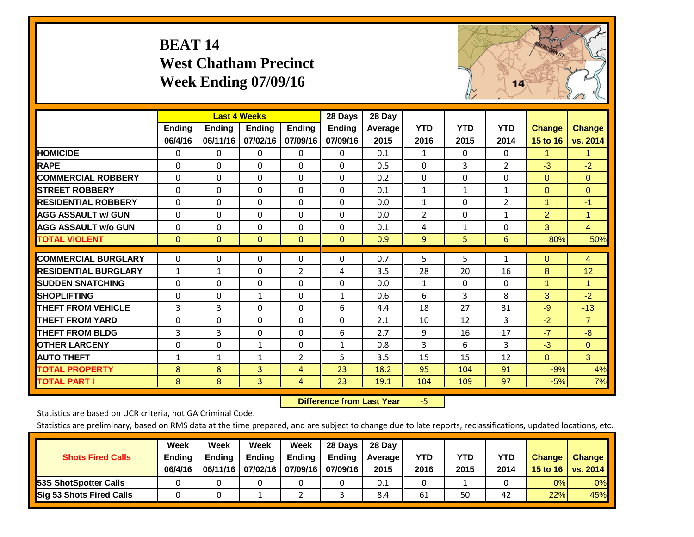# **BEAT 14 West Chatham Precinct Week Ending 07/09/16**



|                             |              | <b>Last 4 Weeks</b> |                |                | 28 Days      | 28 Day         |              |              |                |                      |                |
|-----------------------------|--------------|---------------------|----------------|----------------|--------------|----------------|--------------|--------------|----------------|----------------------|----------------|
|                             | Ending       | <b>Ending</b>       | Ending         | Ending         | Ending       | <b>Average</b> | <b>YTD</b>   | <b>YTD</b>   | <b>YTD</b>     | <b>Change</b>        | <b>Change</b>  |
|                             | 06/4/16      | 06/11/16            | 07/02/16       | 07/09/16       | 07/09/16     | 2015           | 2016         | 2015         | 2014           | 15 to 16             | vs. 2014       |
| <b>HOMICIDE</b>             | 0            | 0                   | $\Omega$       | 0              | 0            | 0.1            | 1            | $\mathbf{0}$ | 0              | 1                    | 1.             |
| <b>RAPE</b>                 | $\Omega$     | $\Omega$            | $\Omega$       | $\Omega$       | $\Omega$     | 0.5            | $\Omega$     | 3            | $\overline{2}$ | $-3$                 | $-2$           |
| <b>COMMERCIAL ROBBERY</b>   | $\Omega$     | $\Omega$            | $\Omega$       | $\Omega$       | $\Omega$     | 0.2            | $\Omega$     | $\Omega$     | $\Omega$       | $\Omega$             | $\mathbf{0}$   |
| <b>STREET ROBBERY</b>       | $\Omega$     | $\mathbf{0}$        | $\Omega$       | 0              | $\Omega$     | 0.1            | $\mathbf{1}$ | $\mathbf{1}$ | $\mathbf{1}$   | $\Omega$             | $\Omega$       |
| <b>RESIDENTIAL ROBBERY</b>  | $\Omega$     | 0                   | 0              | 0              | $\Omega$     | 0.0            | $\mathbf{1}$ | $\Omega$     | $\overline{2}$ | $\blacktriangleleft$ | $-1$           |
| <b>AGG ASSAULT w/ GUN</b>   | $\Omega$     | 0                   | $\mathbf{0}$   | 0              | $\Omega$     | 0.0            | 2            | $\Omega$     | 1              | $\overline{2}$       | 1.             |
| <b>AGG ASSAULT w/o GUN</b>  | $\Omega$     | $\Omega$            | $\Omega$       | 0              | $\Omega$     | 0.1            | 4            | $\mathbf{1}$ | 0              | 3                    | $\overline{4}$ |
| <b>TOTAL VIOLENT</b>        | $\mathbf{0}$ | $\mathbf{0}$        | $\overline{0}$ | $\mathbf{0}$   | $\mathbf{0}$ | 0.9            | 9            | 5            | 6              | 80%                  | 50%            |
| <b>COMMERCIAL BURGLARY</b>  |              |                     |                |                |              |                |              |              |                |                      |                |
|                             | $\mathbf 0$  | 0                   | 0              | 0              | $\Omega$     | 0.7            | 5            | 5            | $\mathbf{1}$   | $\mathbf{0}$         | 4              |
| <b>RESIDENTIAL BURGLARY</b> | 1            | $\mathbf{1}$        | $\Omega$       | $\overline{2}$ | 4            | 3.5            | 28           | 20           | 16             | 8                    | 12             |
| <b>ISUDDEN SNATCHING</b>    | $\Omega$     | $\Omega$            | $\Omega$       | $\Omega$       | $\Omega$     | 0.0            | $\mathbf{1}$ | 0            | $\Omega$       | 1                    | 1              |
| <b>SHOPLIFTING</b>          | $\Omega$     | $\Omega$            | $\mathbf{1}$   | 0              | 1            | 0.6            | 6            | 3            | 8              | 3                    | $-2$           |
| <b>THEFT FROM VEHICLE</b>   | 3            | 3                   | $\Omega$       | $\Omega$       | 6            | 4.4            | 18           | 27           | 31             | -9                   | $-13$          |
| <b>THEFT FROM YARD</b>      | 0            | $\Omega$            | $\Omega$       | $\Omega$       | $\Omega$     | 2.1            | 10           | 12           | 3              | $-2$                 | $\overline{7}$ |
| <b>THEFT FROM BLDG</b>      | 3            | 3                   | $\mathbf{0}$   | 0              | 6            | 2.7            | 9            | 16           | 17             | $-7$                 | $-8$           |
| <b>OTHER LARCENY</b>        | $\Omega$     | $\Omega$            | $\mathbf{1}$   | 0              | $\mathbf{1}$ | 0.8            | 3            | 6            | 3              | $-3$                 | $\mathbf{0}$   |
| <b>AUTO THEFT</b>           | $\mathbf{1}$ | 1                   | 1              | $\overline{2}$ | 5            | 3.5            | 15           | 15           | 12             | $\mathbf{0}$         | 3 <sup>1</sup> |
| <b>TOTAL PROPERTY</b>       | 8            | 8                   | 3              | 4              | 23           | 18.2           | 95           | 104          | 91             | $-9%$                | 4%             |
| <b>TOTAL PART I</b>         | 8            | 8                   | $\overline{3}$ | 4              | 23           | 19.1           | 104          | 109          | 97             | $-5%$                | 7%             |

 **Difference from Last Year**‐5

Statistics are based on UCR criteria, not GA Criminal Code.

| <b>Shots Fired Calls</b>        | Week<br><b>Ending</b><br>06/4/16 | Week<br><b>Endina</b><br>06/11/16 | Week<br>Ending<br>07/02/16 | Week<br>Ending | 28 Days<br><b>Ending</b><br>07/09/16    07/09/16 | 28 Day<br>Average II<br>2015 | YTD<br>2016 | YTD<br>2015 | <b>YTD</b><br>2014 | <b>Change</b><br>15 to 16 | <b>Change</b><br>vs. 2014 |
|---------------------------------|----------------------------------|-----------------------------------|----------------------------|----------------|--------------------------------------------------|------------------------------|-------------|-------------|--------------------|---------------------------|---------------------------|
| <b>153S ShotSpotter Calls</b>   |                                  |                                   |                            |                |                                                  | 0.1                          |             |             |                    | 0%                        | 0%                        |
| <b>Sig 53 Shots Fired Calls</b> |                                  |                                   |                            |                |                                                  | 8.4                          | 61          | 50          | 42                 | 22%                       | 45%                       |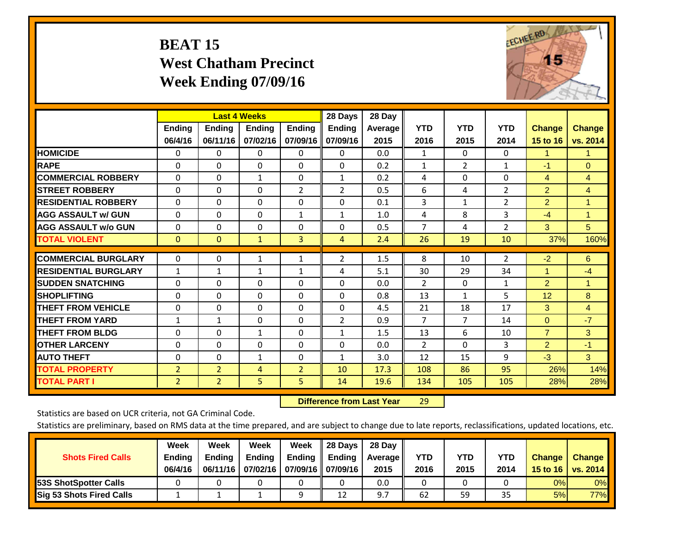# **BEAT 15 West Chatham Precinct Week Ending 07/09/16**



|                             |                | <b>Last 4 Weeks</b> |               |                | 28 Days        | 28 Day  |                |                |                |                |                      |
|-----------------------------|----------------|---------------------|---------------|----------------|----------------|---------|----------------|----------------|----------------|----------------|----------------------|
|                             | <b>Ending</b>  | <b>Ending</b>       | <b>Endina</b> | <b>Endina</b>  | <b>Endina</b>  | Average | <b>YTD</b>     | <b>YTD</b>     | <b>YTD</b>     | <b>Change</b>  | <b>Change</b>        |
|                             | 06/4/16        | 06/11/16            | 07/02/16      | 07/09/16       | 07/09/16       | 2015    | 2016           | 2015           | 2014           | 15 to 16       | vs. 2014             |
| <b>HOMICIDE</b>             | 0              | 0                   | $\Omega$      | 0              | 0              | 0.0     | 1              | $\Omega$       | 0              | 1              | $\blacktriangleleft$ |
| <b>RAPE</b>                 | 0              | $\Omega$            | $\Omega$      | $\Omega$       | $\Omega$       | 0.2     | $\mathbf{1}$   | $\overline{2}$ | $\mathbf{1}$   | $-1$           | $\Omega$             |
| <b>COMMERCIAL ROBBERY</b>   | $\Omega$       | 0                   | $\mathbf{1}$  | 0              | $\mathbf{1}$   | 0.2     | 4              | 0              | 0              | $\overline{4}$ | $\overline{4}$       |
| <b>STREET ROBBERY</b>       | $\Omega$       | $\Omega$            | $\Omega$      | $\overline{2}$ | $\overline{2}$ | 0.5     | 6              | 4              | $\overline{2}$ | $\overline{2}$ | $\overline{4}$       |
| <b>RESIDENTIAL ROBBERY</b>  | 0              | $\Omega$            | $\Omega$      | $\mathbf{0}$   | $\Omega$       | 0.1     | 3              | $\mathbf{1}$   | $\overline{2}$ | $\overline{2}$ | $\blacktriangleleft$ |
| <b>AGG ASSAULT w/ GUN</b>   | 0              | $\Omega$            | $\Omega$      | 1              | $\mathbf{1}$   | 1.0     | 4              | 8              | 3              | $-4$           | $\blacktriangleleft$ |
| <b>AGG ASSAULT w/o GUN</b>  | $\Omega$       | 0                   | $\Omega$      | 0              | $\Omega$       | 0.5     | $\overline{7}$ | 4              | $\overline{2}$ | 3              | 5 <sup>5</sup>       |
| <b>TOTAL VIOLENT</b>        | $\mathbf{0}$   | $\mathbf{0}$        | $\mathbf{1}$  | 3              | 4              | 2.4     | 26             | 19             | 10             | 37%            | 160%                 |
|                             |                |                     |               |                |                |         |                |                |                |                |                      |
| <b>COMMERCIAL BURGLARY</b>  | $\Omega$       | 0                   | 1             | 1              | 2              | 1.5     | 8              | 10             | 2              | $-2$           | 6                    |
| <b>RESIDENTIAL BURGLARY</b> | 1              | 1                   | $\mathbf{1}$  | 1              | 4              | 5.1     | 30             | 29             | 34             |                | $-4$                 |
| <b>SUDDEN SNATCHING</b>     | $\Omega$       | $\Omega$            | $\Omega$      | $\Omega$       | $\Omega$       | 0.0     | $\overline{2}$ | $\Omega$       | 1              | $\overline{2}$ | 1                    |
| <b>SHOPLIFTING</b>          | $\Omega$       | 0                   | $\Omega$      | $\Omega$       | $\Omega$       | 0.8     | 13             | $\mathbf{1}$   | 5              | 12             | 8                    |
| <b>THEFT FROM VEHICLE</b>   | $\Omega$       | 0                   | $\mathbf{0}$  | $\mathbf{0}$   | $\Omega$       | 4.5     | 21             | 18             | 17             | 3              | 4                    |
| <b>THEFT FROM YARD</b>      | $\mathbf{1}$   | $\mathbf{1}$        | $\mathbf{0}$  | $\Omega$       | 2              | 0.9     | $\overline{7}$ | 7              | 14             | $\mathbf{0}$   | $-7$                 |
| <b>THEFT FROM BLDG</b>      | $\Omega$       | 0                   | $\mathbf{1}$  | $\mathbf{0}$   | $\mathbf{1}$   | 1.5     | 13             | 6              | 10             | $\overline{7}$ | 3                    |
| <b>IOTHER LARCENY</b>       | 0              | 0                   | $\mathbf{0}$  | $\Omega$       | 0              | 0.0     | 2              | $\Omega$       | 3              | $\overline{2}$ | $-1$                 |
| <b>AUTO THEFT</b>           | 0              | 0                   | 1             | 0              | 1              | 3.0     | 12             | 15             | 9              | $-3$           | 3                    |
| <b>TOTAL PROPERTY</b>       | $\overline{2}$ | $\overline{2}$      | 4             | $\overline{2}$ | 10             | 17.3    | 108            | 86             | 95             | 26%            | 14%                  |
| <b>TOTAL PART I</b>         | $\overline{2}$ | $\overline{2}$      | 5             | 5.             | 14             | 19.6    | 134            | 105            | 105            | 28%            | 28%                  |

 **Difference from Last Year**r 29

Statistics are based on UCR criteria, not GA Criminal Code.

| <b>Shots Fired Calls</b>        | Week<br><b>Ending</b><br>06/4/16 | Week<br><b>Endina</b><br>06/11/16 | Week<br>Ending | Week<br>Ending<br>07/02/16   07/09/16    07/09/16 | 28 Days<br><b>Ending</b> | 28 Day<br>Average II<br>2015 | YTD<br>2016 | YTD<br>2015 | <b>YTD</b><br>2014 | <b>Change</b><br>15 to $16$ | <b>Change</b><br>vs. 2014 |
|---------------------------------|----------------------------------|-----------------------------------|----------------|---------------------------------------------------|--------------------------|------------------------------|-------------|-------------|--------------------|-----------------------------|---------------------------|
| <b>153S ShotSpotter Calls</b>   |                                  |                                   |                |                                                   |                          | 0.0                          |             |             |                    | 0%                          | 0%                        |
| <b>Sig 53 Shots Fired Calls</b> |                                  |                                   |                |                                                   | 12                       | 9.7                          | 62          | 59          | 35                 | 5%                          | 77%                       |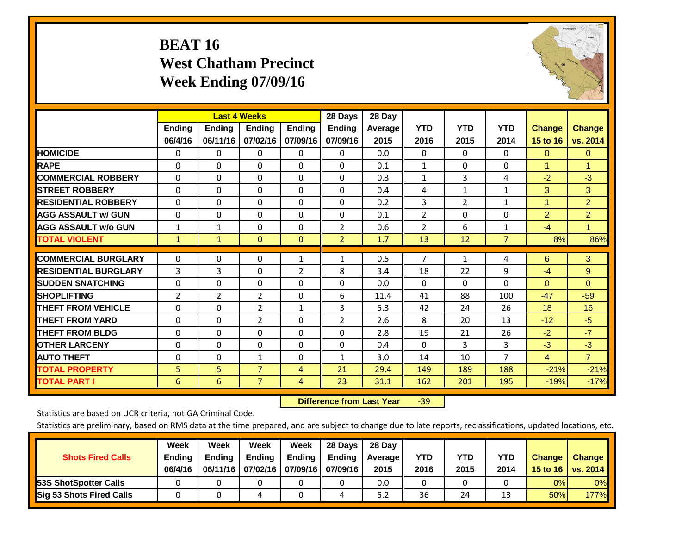# **BEAT 16 West Chatham Precinct Week Ending 07/09/16**



|                             |                          |                           | <b>Last 4 Weeks</b>       |                           | 28 Days                   | 28 Day            |                    |                    |                    |                           |                           |
|-----------------------------|--------------------------|---------------------------|---------------------------|---------------------------|---------------------------|-------------------|--------------------|--------------------|--------------------|---------------------------|---------------------------|
|                             | <b>Ending</b><br>06/4/16 | <b>Ending</b><br>06/11/16 | <b>Endina</b><br>07/02/16 | <b>Endina</b><br>07/09/16 | <b>Endina</b><br>07/09/16 | Average  <br>2015 | <b>YTD</b><br>2016 | <b>YTD</b><br>2015 | <b>YTD</b><br>2014 | <b>Change</b><br>15 to 16 | <b>Change</b><br>vs. 2014 |
| <b>HOMICIDE</b>             | 0                        | 0                         | $\Omega$                  | 0                         | 0                         | 0.0               | 0                  | $\Omega$           | 0                  | $\mathbf{0}$              | $\mathbf{0}$              |
| <b>RAPE</b>                 | 0                        | $\Omega$                  | $\Omega$                  | $\Omega$                  | $\Omega$                  | 0.1               | $\mathbf{1}$       | $\Omega$           | $\Omega$           | 1                         | 1                         |
| <b>COMMERCIAL ROBBERY</b>   | $\Omega$                 | $\Omega$                  | $\Omega$                  | 0                         | $\Omega$                  | 0.3               | $\mathbf{1}$       | 3                  | 4                  | $-2$                      | $-3$                      |
| <b>STREET ROBBERY</b>       | $\Omega$                 | $\Omega$                  | $\Omega$                  | $\Omega$                  | $\Omega$                  | 0.4               | 4                  | $\mathbf{1}$       | $\mathbf{1}$       | 3                         | 3                         |
| <b>RESIDENTIAL ROBBERY</b>  | 0                        | $\Omega$                  | $\Omega$                  | $\mathbf{0}$              | $\Omega$                  | 0.2               | 3                  | $\overline{2}$     | $\mathbf{1}$       | 1                         | $\overline{2}$            |
| <b>AGG ASSAULT w/ GUN</b>   | 0                        | $\Omega$                  | $\Omega$                  | $\Omega$                  | $\Omega$                  | 0.1               | $\overline{2}$     | $\Omega$           | $\Omega$           | $\overline{2}$            | $\overline{2}$            |
| <b>AGG ASSAULT w/o GUN</b>  | 1                        | $\mathbf{1}$              | $\Omega$                  | 0                         | 2                         | 0.6               | $\overline{2}$     | 6                  | 1                  | $-4$                      | $\mathbf{1}$              |
| <b>TOTAL VIOLENT</b>        | 1                        | $\mathbf{1}$              | $\mathbf{0}$              | $\mathbf{0}$              | $\overline{2}$            | 1.7               | 13                 | 12                 | $\overline{7}$     | 8%                        | 86%                       |
| <b>COMMERCIAL BURGLARY</b>  | $\Omega$                 | 0                         | $\mathbf{0}$              | 1                         | $\mathbf{1}$              | 0.5               | $\overline{7}$     | $\mathbf{1}$       | 4                  | 6                         | 3                         |
|                             |                          |                           |                           |                           |                           |                   |                    |                    |                    |                           |                           |
| <b>RESIDENTIAL BURGLARY</b> | 3                        | 3                         | $\Omega$                  | 2                         | 8                         | 3.4               | 18                 | 22                 | 9                  | $-4$                      | 9                         |
| <b>SUDDEN SNATCHING</b>     | $\Omega$                 | $\Omega$                  | $\Omega$                  | $\Omega$                  | $\Omega$                  | 0.0               | $\Omega$           | 0                  | $\Omega$           | $\Omega$                  | $\Omega$                  |
| <b>SHOPLIFTING</b>          | 2                        | $\overline{2}$            | $\overline{2}$            | 0                         | 6                         | 11.4              | 41                 | 88                 | 100                | $-47$                     | $-59$                     |
| <b>THEFT FROM VEHICLE</b>   | $\Omega$                 | 0                         | $\overline{2}$            | $\mathbf{1}$              | 3                         | 5.3               | 42                 | 24                 | 26                 | 18                        | 16                        |
| <b>THEFT FROM YARD</b>      | $\Omega$                 | $\Omega$                  | $\overline{2}$            | $\Omega$                  | 2                         | 2.6               | 8                  | 20                 | 13                 | $-12$                     | $-5$                      |
| <b>THEFT FROM BLDG</b>      | $\Omega$                 | 0                         | $\Omega$                  | $\mathbf{0}$              | $\Omega$                  | 2.8               | 19                 | 21                 | 26                 | $-2$                      | $-7$                      |
| <b>IOTHER LARCENY</b>       | 0                        | 0                         | $\mathbf{0}$              | $\Omega$                  | 0                         | 0.4               | $\Omega$           | 3                  | 3                  | $-3$                      | $-3$                      |
| <b>AUTO THEFT</b>           | 0                        | 0                         | 1                         | 0                         | 1                         | 3.0               | 14                 | 10                 | $\overline{7}$     | $\overline{4}$            | $\overline{7}$            |
| <b>TOTAL PROPERTY</b>       | 5                        | 5 <sup>1</sup>            | $\overline{7}$            | 4                         | 21                        | 29.4              | 149                | 189                | 188                | $-21%$                    | $-21%$                    |
| <b>TOTAL PART I</b>         | 6                        | 6                         | $\overline{7}$            | 4                         | 23                        | 31.1              | 162                | 201                | 195                | $-19%$                    | $-17%$                    |

 **Difference from Last Year**r -39

Statistics are based on UCR criteria, not GA Criminal Code.

| <b>Shots Fired Calls</b>        | Week<br><b>Ending</b><br>06/4/16 | Week<br><b>Endina</b><br>06/11/16 | Week<br>Ending | Week<br>Ending<br>07/02/16   07/09/16    07/09/16 | 28 Days<br><b>Ending</b> | 28 Day<br>Average II<br>2015 | YTD<br>2016 | YTD<br>2015 | <b>YTD</b><br>2014 | <b>Change</b><br>15 to $16$ | <b>Change</b><br>vs. 2014 |
|---------------------------------|----------------------------------|-----------------------------------|----------------|---------------------------------------------------|--------------------------|------------------------------|-------------|-------------|--------------------|-----------------------------|---------------------------|
| <b>153S ShotSpotter Calls</b>   |                                  |                                   |                |                                                   |                          | 0.0                          |             |             |                    | 0%                          | 0%                        |
| <b>Sig 53 Shots Fired Calls</b> |                                  |                                   |                |                                                   |                          | 5.2                          | 36          | 24          | 1.                 | 50%                         | <b>177%</b>               |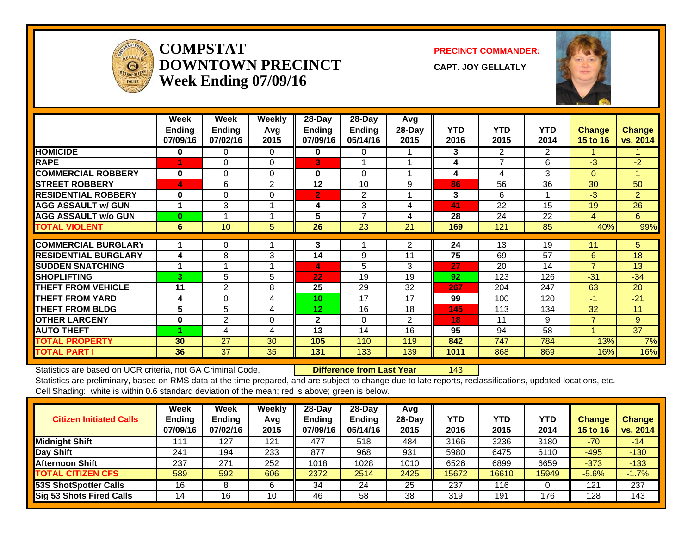

#### **COMPSTATDOWNTOWN PRECINCTWeek Ending 07/09/16**

**PRECINCT COMMANDER:**

**CAPT. JOY GELLATLY**



|                             | Week<br>Ending<br>07/09/16 | Week<br><b>Ending</b><br>07/02/16 | <b>Weekly</b><br>Avq<br>2015 | 28-Day<br>Ending<br>07/09/16 | 28-Day<br><b>Ending</b><br>05/14/16 | Avg<br>28-Day<br>2015 | <b>YTD</b><br>2016 | <b>YTD</b><br>2015 | <b>YTD</b><br>2014 | Change<br>15 to 16 | <b>Change</b><br>vs. 2014 |
|-----------------------------|----------------------------|-----------------------------------|------------------------------|------------------------------|-------------------------------------|-----------------------|--------------------|--------------------|--------------------|--------------------|---------------------------|
| <b>HOMICIDE</b>             | 0                          | 0                                 | $\Omega$                     | 0                            | 0                                   |                       | 3                  | $\overline{2}$     | 2                  |                    |                           |
| <b>RAPE</b>                 | 1                          | $\Omega$                          | $\Omega$                     | 3                            |                                     |                       | 4                  | 7                  | 6                  | $-3$               | $-2$                      |
| <b>COMMERCIAL ROBBERY</b>   | $\bf{0}$                   | $\Omega$                          | $\Omega$                     | $\bf{0}$                     | $\Omega$                            |                       | 4                  | 4                  | 3                  | $\overline{0}$     | 1                         |
| <b>STREET ROBBERY</b>       | 4                          | 6                                 | 2                            | 12                           | 10                                  | 9                     | 86                 | 56                 | 36                 | 30                 | 50                        |
| <b>RESIDENTIAL ROBBERY</b>  | 0                          | $\Omega$                          | $\Omega$                     | $\mathbf{2}$                 | 2                                   |                       | 3                  | 6                  | 1                  | $-3$               | $\overline{2}$            |
| <b>AGG ASSAULT w/ GUN</b>   |                            | 3                                 |                              | 4                            | 3                                   | 4                     | 41                 | 22                 | 15                 | 19                 | 26                        |
| <b>AGG ASSAULT w/o GUN</b>  | $\bf{0}$                   |                                   |                              | 5                            | $\overline{7}$                      | 4                     | 28                 | 24                 | 22                 | 4                  | 6                         |
| <b>TOTAL VIOLENT</b>        | 6                          | 10                                | 5                            | 26                           | 23                                  | 21                    | 169                | 121                | 85                 | 40%                | 99%                       |
| <b>COMMERCIAL BURGLARY</b>  |                            |                                   |                              | 3                            |                                     |                       | 24                 | 13                 | 19                 |                    | 5                         |
|                             |                            | 0                                 |                              |                              |                                     | 2                     |                    |                    |                    | 11                 |                           |
| <b>RESIDENTIAL BURGLARY</b> | 4                          | 8                                 | 3                            | 14                           | 9                                   | 11                    | 75                 | 69                 | 57                 | 6                  | 18                        |
| <b>ISUDDEN SNATCHING</b>    |                            |                                   |                              | 4                            | 5                                   | 3                     | 27                 | 20                 | 14                 | $\overline{7}$     | 13                        |
| <b>SHOPLIFTING</b>          | 3                          | 5                                 | 5                            | 22                           | 19                                  | 19                    | 92                 | 123                | 126                | $-31$              | $-34$                     |
| <b>THEFT FROM VEHICLE</b>   | 11                         | $\overline{2}$                    | 8                            | 25                           | 29                                  | 32                    | 267                | 204                | 247                | 63                 | 20                        |
| <b>THEFT FROM YARD</b>      | 4                          | $\Omega$                          | 4                            | 10                           | 17                                  | 17                    | 99                 | 100                | 120                | $-1$               | $-21$                     |
| <b>THEFT FROM BLDG</b>      | 5                          | 5                                 | 4                            | 12                           | 16                                  | 18                    | 145                | 113                | 134                | 32                 | 11                        |
| <b>OTHER LARCENY</b>        | 0                          | 2                                 | $\Omega$                     | $\mathbf{2}$                 | $\Omega$                            | $\overline{2}$        | 18                 | 11                 | 9                  | $\overline{7}$     | 9                         |
| <b>AUTO THEFT</b>           |                            | 4                                 | 4                            | 13                           | 14                                  | 16                    | 95                 | 94                 | 58                 | 4                  | 37                        |
| <b>TOTAL PROPERTY</b>       | 30                         | 27                                | 30                           | 105                          | 110                                 | 119                   | 842                | 747                | 784                | 13%                | 7%                        |
| <b>TOTAL PART I</b>         | 36                         | $\overline{37}$                   | 35                           | 131                          | 133                                 | 139                   | 1011               | 868                | 869                | 16%                | 16%                       |

Statistics are based on UCR criteria, not GA Criminal Code. **Difference from Last Year** 143

| <b>Citizen Initiated Calls</b>  | <b>Week</b><br><b>Ending</b><br>07/09/16 | <b>Week</b><br><b>Ending</b><br>07/02/16 | Weekly<br>Avg<br>2015 | $28$ -Day<br><b>Ending</b><br>07/09/16 | $28$ -Dav<br><b>Ending</b><br>05/14/16 | Avg<br>$28$ -Day<br>2015 | YTD<br>2016 | <b>YTD</b><br>2015 | <b>YTD</b><br>2014 | <b>Change</b><br>15 to 16 | <b>Change</b><br>vs. 2014 |
|---------------------------------|------------------------------------------|------------------------------------------|-----------------------|----------------------------------------|----------------------------------------|--------------------------|-------------|--------------------|--------------------|---------------------------|---------------------------|
| <b>Midnight Shift</b>           | 111                                      | 127                                      | 121                   | 477                                    | 518                                    | 484                      | 3166        | 3236               | 3180               | $-70$                     | $-14$                     |
| Day Shift                       | 241                                      | 194                                      | 233                   | 877                                    | 968                                    | 931                      | 5980        | 6475               | 6110               | $-495$                    | $-130$                    |
| <b>Afternoon Shift</b>          | 237                                      | 271                                      | 252                   | 1018                                   | 1028                                   | 1010                     | 6526        | 6899               | 6659               | $-373$                    | $-133$                    |
| <b>TOTAL CITIZEN CFS</b>        | 589                                      | 592                                      | 606                   | 2372                                   | 2514                                   | 2425                     | 15672       | 16610              | 15949              | $-5.6%$                   | $-1.7%$                   |
| <b>53S ShotSpotter Calls</b>    | 16                                       |                                          | 6                     | 34                                     | 24                                     | 25                       | 237         | 116                |                    | 121                       | 237                       |
| <b>Sig 53 Shots Fired Calls</b> | 14                                       | 16                                       | 10                    | 46                                     | 58                                     | 38                       | 319         | 191                | 176                | 128                       | 143                       |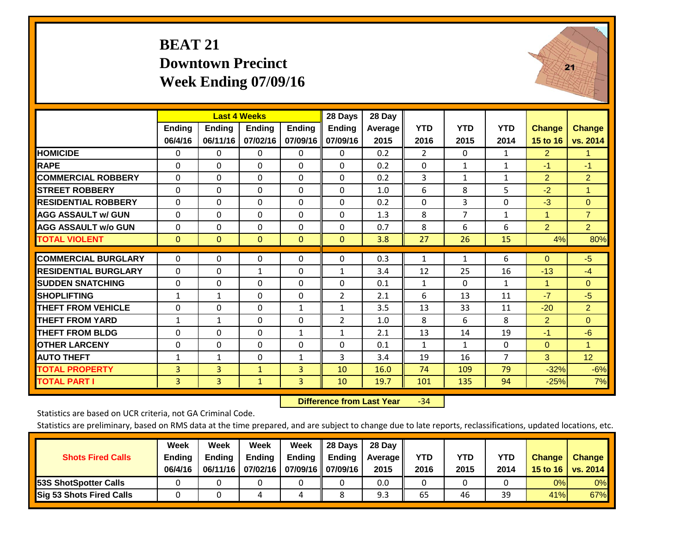# **BEAT 21 Downtown Precinct Week Ending 07/09/16**



|                             |               | <b>Last 4 Weeks</b> |               |               | 28 Days        | 28 Day  |                |              |                |                      |                 |
|-----------------------------|---------------|---------------------|---------------|---------------|----------------|---------|----------------|--------------|----------------|----------------------|-----------------|
|                             | <b>Ending</b> | Ending              | <b>Endina</b> | <b>Ending</b> | <b>Ending</b>  | Average | <b>YTD</b>     | <b>YTD</b>   | <b>YTD</b>     | <b>Change</b>        | <b>Change</b>   |
|                             | 06/4/16       | 06/11/16            | 07/02/16      | 07/09/16      | 07/09/16       | 2015    | 2016           | 2015         | 2014           | 15 to 16             | vs. 2014        |
| <b>HOMICIDE</b>             | 0             | 0                   | $\Omega$      | $\Omega$      | 0              | 0.2     | $\overline{2}$ | $\mathbf{0}$ | $\mathbf{1}$   | $\overline{2}$       | $\mathbf{1}$    |
| <b>RAPE</b>                 | $\Omega$      | 0                   | $\Omega$      | $\Omega$      | 0              | 0.2     | $\mathbf{0}$   | 1            | 1              | $-1$                 | $-1$            |
| <b>COMMERCIAL ROBBERY</b>   | $\Omega$      | 0                   | $\mathbf{0}$  | $\Omega$      | 0              | 0.2     | 3              | $\mathbf{1}$ | $\mathbf{1}$   | 2                    | $\overline{2}$  |
| <b>STREET ROBBERY</b>       | $\Omega$      | $\Omega$            | $\Omega$      | $\Omega$      | $\Omega$       | 1.0     | 6              | 8            | 5              | $-2$                 | 1               |
| <b>RESIDENTIAL ROBBERY</b>  | $\Omega$      | $\Omega$            | $\Omega$      | $\Omega$      | $\Omega$       | 0.2     | $\Omega$       | 3            | $\Omega$       | $-3$                 | $\Omega$        |
| <b>AGG ASSAULT w/ GUN</b>   | $\Omega$      | $\Omega$            | $\mathbf{0}$  | $\Omega$      | $\Omega$       | 1.3     | 8              | 7            | 1              | $\overline{1}$       | $\overline{7}$  |
| <b>AGG ASSAULT w/o GUN</b>  | $\Omega$      | $\Omega$            | $\Omega$      | $\Omega$      | $\Omega$       | 0.7     | 8              | 6            | 6              | $\overline{2}$       | $\overline{2}$  |
| <b>TOTAL VIOLENT</b>        | $\mathbf{0}$  | $\overline{0}$      | $\mathbf{0}$  | $\mathbf{0}$  | $\mathbf{0}$   | 3.8     | 27             | 26           | 15             | 4%                   | 80%             |
| <b>COMMERCIAL BURGLARY</b>  | $\Omega$      | $\Omega$            | $\mathbf{0}$  | $\Omega$      | $\Omega$       | 0.3     | $\mathbf{1}$   | $\mathbf{1}$ | 6              | $\Omega$             | $-5$            |
|                             |               |                     |               |               |                |         |                |              |                |                      |                 |
| <b>RESIDENTIAL BURGLARY</b> | $\Omega$      | $\Omega$            | 1             | $\Omega$      | $\mathbf{1}$   | 3.4     | 12             | 25           | 16             | $-13$                | $-4$            |
| <b>SUDDEN SNATCHING</b>     | $\mathbf 0$   | $\Omega$            | $\mathbf{0}$  | $\Omega$      | $\Omega$       | 0.1     | $\mathbf{1}$   | $\Omega$     | 1              | $\blacktriangleleft$ | $\mathbf{0}$    |
| <b>SHOPLIFTING</b>          | $\mathbf{1}$  | $\mathbf{1}$        | $\Omega$      | $\Omega$      | $\overline{2}$ | 2.1     | 6              | 13           | 11             | $-7$                 | $-5$            |
| <b>THEFT FROM VEHICLE</b>   | $\Omega$      | $\Omega$            | $\Omega$      | $\mathbf{1}$  | 1              | 3.5     | 13             | 33           | 11             | $-20$                | $\overline{2}$  |
| <b>THEFT FROM YARD</b>      | $\mathbf{1}$  | $\mathbf{1}$        | $\Omega$      | $\Omega$      | $\overline{2}$ | 1.0     | 8              | 6            | 8              | $\overline{2}$       | $\Omega$        |
| <b>THEFT FROM BLDG</b>      | $\Omega$      | $\Omega$            | $\mathbf{0}$  | $\mathbf{1}$  | $\mathbf{1}$   | 2.1     | 13             | 14           | 19             | $-1$                 | $-6$            |
| <b>OTHER LARCENY</b>        | $\Omega$      | $\Omega$            | $\Omega$      | $\Omega$      | $\Omega$       | 0.1     | $\mathbf{1}$   | 1            | 0              | $\Omega$             | $\mathbf{1}$    |
| <b>AUTO THEFT</b>           | $\mathbf{1}$  | $\mathbf{1}$        | $\Omega$      | $\mathbf{1}$  | 3              | 3.4     | 19             | 16           | $\overline{7}$ | 3                    | 12 <sub>2</sub> |
| <b>TOTAL PROPERTY</b>       | 3             | 3                   | $\mathbf{1}$  | 3             | 10             | 16.0    | 74             | 109          | 79             | $-32%$               | $-6%$           |
| <b>TOTAL PART I</b>         | 3             | $\overline{3}$      | $\mathbf{1}$  | 3             | 10             | 19.7    | 101            | 135          | 94             | $-25%$               | 7%              |

 **Difference from Last Year**r -34

Statistics are based on UCR criteria, not GA Criminal Code.

| <b>Shots Fired Calls</b>        | Week<br><b>Ending</b><br>06/4/16 | Week<br><b>Endina</b><br>06/11/16 | Week<br>Ending | Week<br>Ending<br>07/02/16   07/09/16    07/09/16 | 28 Days<br><b>Ending</b> | 28 Day<br>Average II<br>2015 | YTD<br>2016 | YTD<br>2015 | <b>YTD</b><br>2014 | <b>Change</b><br>15 to $16$ | <b>Change</b><br>vs. 2014 |
|---------------------------------|----------------------------------|-----------------------------------|----------------|---------------------------------------------------|--------------------------|------------------------------|-------------|-------------|--------------------|-----------------------------|---------------------------|
| <b>153S ShotSpotter Calls</b>   |                                  |                                   |                |                                                   |                          | 0.0                          |             |             |                    | 0%                          | 0%                        |
| <b>Sig 53 Shots Fired Calls</b> |                                  |                                   |                |                                                   |                          | 9.3                          | 65          | 46          | 39                 | 41%                         | 67%                       |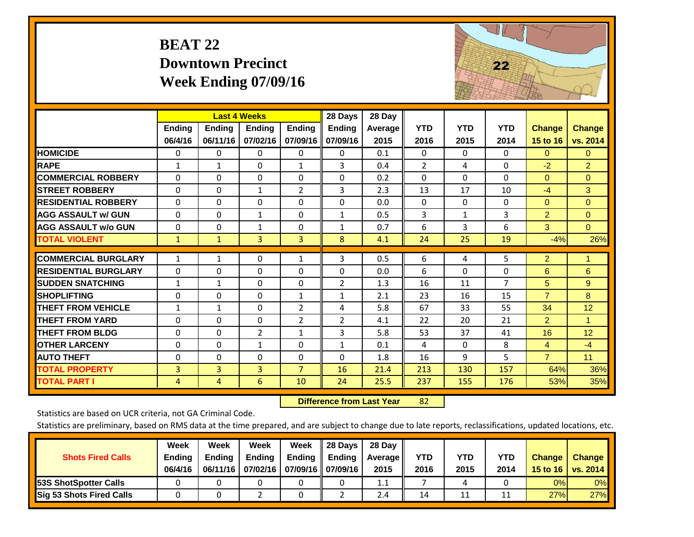# **BEAT 22 Downtown Precinct Week Ending 07/09/16**



|                             |                          | <b>Last 4 Weeks</b>       |                           |                           | 28 Days                   | 28 Day                 |                    |                    |                    |                           |                           |
|-----------------------------|--------------------------|---------------------------|---------------------------|---------------------------|---------------------------|------------------------|--------------------|--------------------|--------------------|---------------------------|---------------------------|
|                             | <b>Ending</b><br>06/4/16 | <b>Ending</b><br>06/11/16 | <b>Endina</b><br>07/02/16 | <b>Ending</b><br>07/09/16 | <b>Ending</b><br>07/09/16 | <b>Average</b><br>2015 | <b>YTD</b><br>2016 | <b>YTD</b><br>2015 | <b>YTD</b><br>2014 | <b>Change</b><br>15 to 16 | <b>Change</b><br>vs. 2014 |
| <b>HOMICIDE</b>             | 0                        | 0                         | 0                         | 0                         | 0                         | 0.1                    | $\Omega$           | $\Omega$           | $\Omega$           | $\mathbf{0}$              | $\mathbf{0}$              |
| <b>RAPE</b>                 | $\mathbf{1}$             | 1                         | $\Omega$                  | $\mathbf{1}$              | 3                         | 0.4                    | $\overline{2}$     | 4                  | $\Omega$           | $-2$                      | $\overline{2}$            |
| <b>COMMERCIAL ROBBERY</b>   | $\Omega$                 | 0                         | $\mathbf 0$               | $\Omega$                  | $\Omega$                  | 0.2                    | $\Omega$           | $\Omega$           | $\Omega$           | $\Omega$                  | $\Omega$                  |
| <b>STREET ROBBERY</b>       | $\Omega$                 | 0                         | $\mathbf{1}$              | $\overline{2}$            | 3                         | 2.3                    | 13                 | 17                 | 10                 | $-4$                      | 3                         |
| <b>RESIDENTIAL ROBBERY</b>  | $\Omega$                 | 0                         | $\mathbf{0}$              | $\Omega$                  | $\Omega$                  | 0.0                    | $\mathbf{0}$       | $\Omega$           | 0                  | $\Omega$                  | $\Omega$                  |
| <b>AGG ASSAULT w/ GUN</b>   | $\Omega$                 | 0                         | 1                         | $\Omega$                  | $\mathbf{1}$              | 0.5                    | 3                  | $\mathbf{1}$       | 3                  | $\overline{2}$            | $\overline{0}$            |
| <b>AGG ASSAULT w/o GUN</b>  | $\Omega$                 | 0                         | $\mathbf{1}$              | $\Omega$                  | $\mathbf{1}$              | 0.7                    | 6                  | 3                  | 6                  | 3                         | $\Omega$                  |
| <b>TOTAL VIOLENT</b>        | $\mathbf{1}$             | $\mathbf{1}$              | $\overline{3}$            | 3                         | 8                         | 4.1                    | 24                 | 25                 | 19                 | $-4%$                     | 26%                       |
| <b>COMMERCIAL BURGLARY</b>  | $\mathbf{1}$             | 1                         | $\mathbf 0$               | $\mathbf{1}$              | 3                         | 0.5                    | 6                  | 4                  | 5                  | $\overline{2}$            | 1                         |
| <b>RESIDENTIAL BURGLARY</b> | $\Omega$                 | 0                         | $\Omega$                  | $\Omega$                  | $\Omega$                  | 0.0                    | 6                  | $\Omega$           | 0                  | 6                         | 6                         |
| <b>SUDDEN SNATCHING</b>     | $\mathbf{1}$             | $\mathbf{1}$              | $\Omega$                  | $\Omega$                  | $\overline{2}$            | 1.3                    | 16                 | 11                 | $\overline{7}$     | 5                         | 9                         |
| <b>SHOPLIFTING</b>          | $\Omega$                 | 0                         | $\mathbf 0$               | $\mathbf{1}$              | $\mathbf{1}$              | 2.1                    | 23                 | 16                 | 15                 | $\overline{7}$            | 8                         |
| <b>THEFT FROM VEHICLE</b>   | $\mathbf{1}$             | $\mathbf{1}$              | 0                         | $\overline{2}$            | 4                         | 5.8                    | 67                 | 33                 | 55                 | 34                        | 12                        |
| <b>THEFT FROM YARD</b>      | $\Omega$                 | 0                         | 0                         | $\overline{2}$            | $\overline{2}$            | 4.1                    | 22                 | 20                 | 21                 | $\overline{2}$            | 1                         |
| <b>THEFT FROM BLDG</b>      | $\Omega$                 | 0                         | 2                         | $\mathbf{1}$              | 3                         | 5.8                    | 53                 | 37                 | 41                 | 16                        | 12                        |
| <b>OTHER LARCENY</b>        | $\Omega$                 | 0                         | 1                         | $\Omega$                  | $\mathbf{1}$              | 0.1                    | 4                  | $\Omega$           | 8                  | $\overline{4}$            | $-4$                      |
| <b>AUTO THEFT</b>           | $\Omega$                 | 0                         | 0                         | $\Omega$                  | $\Omega$                  | 1.8                    | 16                 | 9                  | 5                  | $\overline{7}$            | 11                        |
| <b>TOTAL PROPERTY</b>       | $\overline{3}$           | $\overline{3}$            | $\overline{3}$            | $\overline{7}$            | 16                        | 21.4                   | 213                | 130                | 157                | 64%                       | 36%                       |
| <b>TOTAL PART I</b>         | 4                        | 4                         | 6                         | 10                        | 24                        | 25.5                   | 237                | 155                | 176                | 53%                       | 35%                       |

 **Difference from Last Year**r 82

Statistics are based on UCR criteria, not GA Criminal Code.

| <b>Shots Fired Calls</b>        | Week<br><b>Ending</b><br>06/4/16 | Week<br><b>Endina</b><br>06/11/16 | Week<br>Ending | Week<br>Ending<br>07/02/16   07/09/16    07/09/16 | 28 Days<br><b>Ending</b> | 28 Day<br>Average II<br>2015 | YTD<br>2016 | YTD<br>2015 | YTD<br>2014 | <b>Change</b><br>15 to 16 $\vert$ | <b>Change</b><br>vs. 2014 |
|---------------------------------|----------------------------------|-----------------------------------|----------------|---------------------------------------------------|--------------------------|------------------------------|-------------|-------------|-------------|-----------------------------------|---------------------------|
| <b>153S ShotSpotter Calls</b>   |                                  |                                   |                |                                                   |                          | 1.1                          |             | 4           |             | 0%                                | 0%                        |
| <b>Sig 53 Shots Fired Calls</b> |                                  |                                   |                |                                                   |                          | 2.4                          | 14          | 11          |             | 27%                               | 27%                       |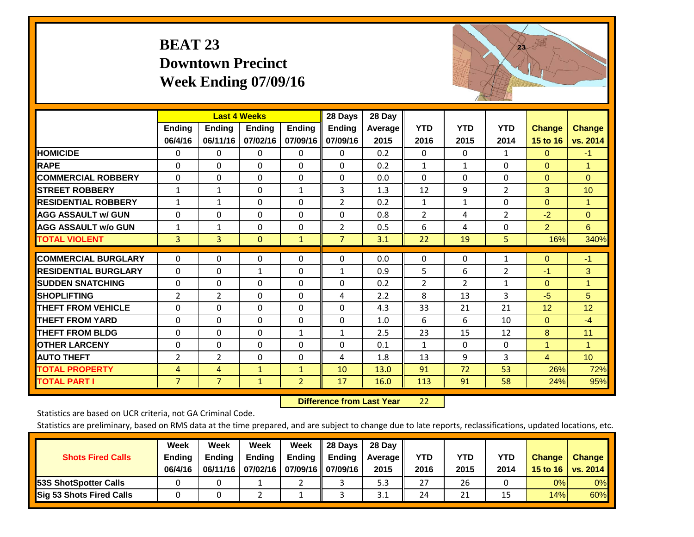# **BEAT 23 Downtown Precinct Week Ending 07/09/16**



|                             |                   | <b>Last 4 Weeks</b>       |                           |                           | 28 Days                   | 28 Day                 |                    |                    |                    |                           |                           |
|-----------------------------|-------------------|---------------------------|---------------------------|---------------------------|---------------------------|------------------------|--------------------|--------------------|--------------------|---------------------------|---------------------------|
|                             | Ending<br>06/4/16 | <b>Endina</b><br>06/11/16 | <b>Endina</b><br>07/02/16 | <b>Ending</b><br>07/09/16 | <b>Ending</b><br>07/09/16 | <b>Average</b><br>2015 | <b>YTD</b><br>2016 | <b>YTD</b><br>2015 | <b>YTD</b><br>2014 | <b>Change</b><br>15 to 16 | <b>Change</b><br>vs. 2014 |
| <b>HOMICIDE</b>             | 0                 | $\Omega$                  | 0                         | $\Omega$                  | $\Omega$                  | 0.2                    | $\mathbf{0}$       | $\Omega$           | $\mathbf{1}$       | $\Omega$                  | $-1$                      |
| <b>RAPE</b>                 | $\Omega$          | 0                         | $\mathbf{0}$              | $\Omega$                  | 0                         | 0.2                    | 1                  | 1                  | $\Omega$           | $\Omega$                  | 1                         |
| <b>COMMERCIAL ROBBERY</b>   | $\Omega$          | 0                         | $\mathbf{0}$              | $\Omega$                  | $\Omega$                  | 0.0                    | $\mathbf{0}$       | 0                  | $\Omega$           | $\Omega$                  | $\Omega$                  |
| <b>STREET ROBBERY</b>       | $\mathbf{1}$      | $\mathbf{1}$              | 0                         | 1                         | 3                         | 1.3                    | 12                 | 9                  | $\overline{2}$     | 3                         | 10                        |
| <b>RESIDENTIAL ROBBERY</b>  | $\mathbf{1}$      | 1                         | $\mathbf{0}$              | $\Omega$                  | $\overline{2}$            | 0.2                    | $\mathbf{1}$       | 1                  | $\Omega$           | $\Omega$                  | $\mathbf{1}$              |
| <b>AGG ASSAULT w/ GUN</b>   | $\Omega$          | $\Omega$                  | $\Omega$                  | $\Omega$                  | $\Omega$                  | 0.8                    | $\overline{2}$     | 4                  | 2                  | $-2$                      | $\Omega$                  |
| <b>AGG ASSAULT w/o GUN</b>  | $\mathbf{1}$      | 1                         | $\mathbf{0}$              | $\Omega$                  | $\overline{2}$            | 0.5                    | 6                  | 4                  | $\Omega$           | $\overline{2}$            | 6                         |
| <b>TOTAL VIOLENT</b>        | 3                 | $\overline{3}$            | $\mathbf{0}$              | $\mathbf{1}$              | $\overline{7}$            | 3.1                    | 22                 | 19                 | 5                  | 16%                       | 340%                      |
| <b>COMMERCIAL BURGLARY</b>  | $\Omega$          | $\Omega$                  | $\mathbf 0$               | $\Omega$                  | $\Omega$                  | 0.0                    | $\mathbf 0$        | 0                  | 1                  | $\mathbf{0}$              | $-1$                      |
| <b>RESIDENTIAL BURGLARY</b> | $\Omega$          | 0                         | 1                         | $\Omega$                  | $\mathbf{1}$              | 0.9                    | 5                  | 6                  | $\overline{2}$     | $-1$                      | 3                         |
| <b>ISUDDEN SNATCHING</b>    | $\Omega$          | 0                         | $\Omega$                  | $\Omega$                  | $\Omega$                  | 0.2                    | $\overline{2}$     | $\overline{2}$     | $\mathbf{1}$       | $\Omega$                  | 1                         |
| <b>SHOPLIFTING</b>          | $\overline{2}$    | $\overline{2}$            | $\mathbf 0$               | 0                         | 4                         | 2.2                    | 8                  | 13                 | 3                  | $-5$                      | 5 <sup>5</sup>            |
| <b>THEFT FROM VEHICLE</b>   | $\Omega$          | $\Omega$                  | $\Omega$                  | $\Omega$                  | $\Omega$                  | 4.3                    | 33                 | 21                 | 21                 | 12                        | 12                        |
| <b>THEFT FROM YARD</b>      | 0                 | $\Omega$                  | $\mathbf 0$               | 0                         | $\Omega$                  | 1.0                    | 6                  | 6                  | 10                 | $\Omega$                  | $-4$                      |
| <b>THEFT FROM BLDG</b>      | $\Omega$          | 0                         | $\Omega$                  | $\mathbf{1}$              | $\mathbf{1}$              | 2.5                    | 23                 | 15                 | 12                 | 8                         | 11                        |
| <b>OTHER LARCENY</b>        | 0                 | $\Omega$                  | $\mathbf 0$               | $\Omega$                  | $\Omega$                  | 0.1                    | $\mathbf{1}$       | 0                  | $\Omega$           | 1                         | $\mathbf{1}$              |
| <b>AUTO THEFT</b>           | $\overline{2}$    | $\overline{2}$            | $\Omega$                  | $\Omega$                  | 4                         | 1.8                    | 13                 | 9                  | 3                  | $\overline{4}$            | 10 <sup>°</sup>           |
| <b>TOTAL PROPERTY</b>       | $\overline{4}$    | 4                         | $\mathbf{1}$              | $\mathbf{1}$              | 10                        | 13.0                   | 91                 | 72                 | 53                 | 26%                       | 72%                       |
| <b>TOTAL PART I</b>         | $\overline{7}$    | $\overline{7}$            | $\mathbf{1}$              | $\overline{2}$            | 17                        | 16.0                   | 113                | 91                 | 58                 | 24%                       | 95%                       |

 **Difference from Last Year**22

Statistics are based on UCR criteria, not GA Criminal Code.

|                                 | Week          | Week          | <b>Week</b> | Week              | 28 Days       | 28 Day     |      |      |      |                  |                 |
|---------------------------------|---------------|---------------|-------------|-------------------|---------------|------------|------|------|------|------------------|-----------------|
| <b>Shots Fired Calls</b>        | <b>Ending</b> | <b>Ending</b> | Ending      | Ending            | <b>Ending</b> | Average II | YTD  | YTD  | YTD  | <b>Change</b>    | <b>Change</b>   |
|                                 | 06/4/16       | 06/11/16      | 07/02/16    | 07/09/16 07/09/16 |               | 2015       | 2016 | 2015 | 2014 | 15 to 16 $\vert$ | <b>VS. 2014</b> |
| <b>153S ShotSpotter Calls</b>   |               |               |             |                   |               | 5.3        | 27   | 26   |      | 0%               | 0%              |
| <b>Sig 53 Shots Fired Calls</b> |               |               |             |                   |               | 3.1        | 24   | 21   |      | 14%              | 60%             |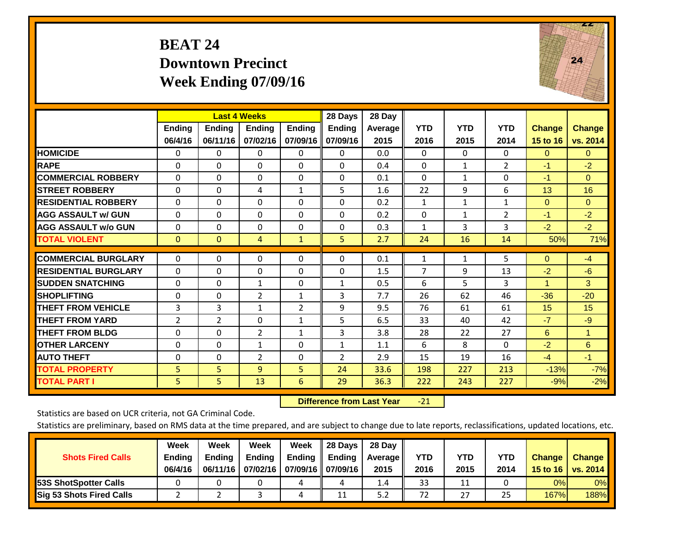# **BEAT 24 Downtown Precinct Week Ending 07/09/16**



|                             |                |                | <b>Last 4 Weeks</b> |                | 28 Days        | 28 Day  |                |              |                |               |                      |
|-----------------------------|----------------|----------------|---------------------|----------------|----------------|---------|----------------|--------------|----------------|---------------|----------------------|
|                             | <b>Ending</b>  | <b>Ending</b>  | <b>Endina</b>       | <b>Ending</b>  | <b>Ending</b>  | Average | <b>YTD</b>     | <b>YTD</b>   | <b>YTD</b>     | <b>Change</b> | <b>Change</b>        |
|                             | 06/4/16        | 06/11/16       | 07/02/16            | 07/09/16       | 07/09/16       | 2015    | 2016           | 2015         | 2014           | 15 to 16      | vs. 2014             |
| <b>HOMICIDE</b>             | 0              | 0              | 0                   | 0              | 0              | 0.0     | 0              | 0            | 0              | $\Omega$      | $\Omega$             |
| <b>RAPE</b>                 | $\Omega$       | $\Omega$       | $\Omega$            | $\Omega$       | $\Omega$       | 0.4     | $\Omega$       | $\mathbf{1}$ | $\overline{2}$ | $-1$          | $-2$                 |
| <b>COMMERCIAL ROBBERY</b>   | $\Omega$       | 0              | $\Omega$            | $\Omega$       | $\Omega$       | 0.1     | $\Omega$       | $\mathbf{1}$ | $\Omega$       | $-1$          | $\Omega$             |
| <b>STREET ROBBERY</b>       | $\Omega$       | $\Omega$       | 4                   | $\mathbf{1}$   | 5              | 1.6     | 22             | 9            | 6              | 13            | 16                   |
| <b>RESIDENTIAL ROBBERY</b>  | $\Omega$       | 0              | $\Omega$            | $\Omega$       | $\Omega$       | 0.2     | $\mathbf{1}$   | $\mathbf{1}$ | $\mathbf{1}$   | $\Omega$      | $\Omega$             |
| <b>AGG ASSAULT w/ GUN</b>   | $\Omega$       | 0              | $\Omega$            | $\Omega$       | $\Omega$       | 0.2     | $\Omega$       | $\mathbf{1}$ | $\overline{2}$ | $-1$          | $-2$                 |
| <b>AGG ASSAULT w/o GUN</b>  | $\Omega$       | $\Omega$       | $\Omega$            | $\Omega$       | $\Omega$       | 0.3     | $\mathbf{1}$   | 3            | 3              | $-2$          | $-2$                 |
| <b>TOTAL VIOLENT</b>        | $\mathbf{0}$   | $\overline{0}$ | 4                   | $\mathbf{1}$   | 5.             | 2.7     | 24             | 16           | 14             | 50%           | 71%                  |
|                             |                |                |                     |                |                |         |                |              |                |               |                      |
| <b>COMMERCIAL BURGLARY</b>  | $\Omega$       | $\Omega$       | 0                   | $\Omega$       | $\Omega$       | 0.1     | 1              | $\mathbf{1}$ | 5              | $\mathbf{0}$  | $-4$                 |
| <b>RESIDENTIAL BURGLARY</b> | $\Omega$       | 0              | $\Omega$            | $\Omega$       | $\Omega$       | 1.5     | $\overline{7}$ | 9            | 13             | $-2$          | $-6$                 |
| <b>ISUDDEN SNATCHING</b>    | $\Omega$       | 0              | $\mathbf{1}$        | $\Omega$       | $\mathbf{1}$   | 0.5     | 6              | 5.           | 3              | 1             | 3                    |
| <b>SHOPLIFTING</b>          | 0              | $\Omega$       | $\overline{2}$      | 1              | 3              | 7.7     | 26             | 62           | 46             | $-36$         | $-20$                |
| <b>THEFT FROM VEHICLE</b>   | 3              | 3              | $\mathbf{1}$        | $\overline{2}$ | 9              | 9.5     | 76             | 61           | 61             | 15            | 15                   |
| <b>THEFT FROM YARD</b>      | $\overline{2}$ | $\overline{2}$ | $\Omega$            | 1              | 5              | 6.5     | 33             | 40           | 42             | $-7$          | $-9$                 |
| <b>THEFT FROM BLDG</b>      | $\Omega$       | 0              | $\overline{2}$      | 1              | 3              | 3.8     | 28             | 22           | 27             | 6             | $\blacktriangleleft$ |
| <b>OTHER LARCENY</b>        | $\Omega$       | $\Omega$       | $\mathbf{1}$        | $\Omega$       | $\mathbf{1}$   | 1.1     | 6              | 8            | $\Omega$       | $-2$          | 6                    |
| <b>AUTO THEFT</b>           | $\Omega$       | $\Omega$       | $\overline{2}$      | $\Omega$       | $\overline{2}$ | 2.9     | 15             | 19           | 16             | $-4$          | $-1$                 |
| <b>TOTAL PROPERTY</b>       | 5              | 5              | $\overline{9}$      | 5              | 24             | 33.6    | 198            | 227          | 213            | $-13%$        | $-7%$                |
| <b>TOTAL PART I</b>         | 5              | 5.             | 13                  | 6              | 29             | 36.3    | 222            | 243          | 227            | $-9%$         | $-2%$                |

 **Difference from Last Year**‐21

Statistics are based on UCR criteria, not GA Criminal Code.

|                                 | Week          | Week          | Week          | Week                 | Il 28 Davs         | 28 Day         |      |            |      |               |               |
|---------------------------------|---------------|---------------|---------------|----------------------|--------------------|----------------|------|------------|------|---------------|---------------|
| <b>Shots Fired Calls</b>        | <b>Ending</b> | <b>Endina</b> | <b>Ending</b> | Ending               | $\parallel$ Ending | <b>Average</b> | YTD  | <b>YTD</b> | YTD  | <b>Change</b> | <b>Change</b> |
|                                 | 06/4/16       | 06/11/16      | 07/02/16      | 07/09/16    07/09/16 |                    | 2015           | 2016 | 2015       | 2014 | 15 to 16      | vs. 2014      |
| <b>153S ShotSpotter Calls</b>   |               |               |               | 4                    |                    | 1.4            | 33   | 11         |      | 0%            | $0\%$         |
| <b>Sig 53 Shots Fired Calls</b> |               |               |               | 4                    | 11                 | 5.2            | 72   | 27         | 25   | 167%          | 188%          |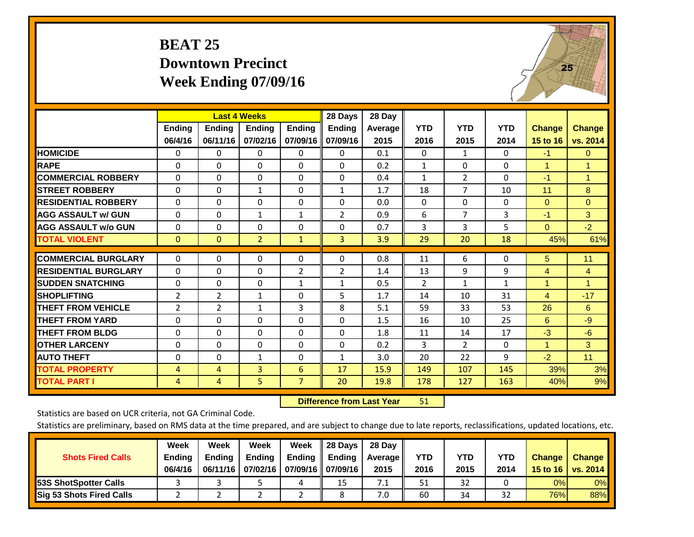# **BEAT 25 Downtown Precinct Week Ending 07/09/16**



|                             |               | <b>Last 4 Weeks</b> |                |               | 28 Days        | 28 Day  |                |                |              |                      |               |
|-----------------------------|---------------|---------------------|----------------|---------------|----------------|---------|----------------|----------------|--------------|----------------------|---------------|
|                             | <b>Ending</b> | <b>Ending</b>       | Ending         | <b>Endina</b> | Ending         | Average | <b>YTD</b>     | <b>YTD</b>     | <b>YTD</b>   | <b>Change</b>        | <b>Change</b> |
|                             | 06/4/16       | 06/11/16            | 07/02/16       | 07/09/16      | 07/09/16       | 2015    | 2016           | 2015           | 2014         | 15 to 16             | vs. 2014      |
| <b>HOMICIDE</b>             | 0             | 0                   | $\Omega$       | $\Omega$      | 0              | 0.1     | $\Omega$       | $\mathbf{1}$   | 0            | $-1$                 | $\mathbf{0}$  |
| <b>RAPE</b>                 | 0             | $\Omega$            | $\mathbf{0}$   | $\Omega$      | 0              | 0.2     | 1              | 0              | 0            | 1                    | 1             |
| <b>COMMERCIAL ROBBERY</b>   | $\Omega$      | 0                   | $\mathbf{0}$   | $\Omega$      | $\Omega$       | 0.4     | $\mathbf{1}$   | $\overline{2}$ | 0            | $-1$                 | $\mathbf{1}$  |
| <b>STREET ROBBERY</b>       | $\Omega$      | $\Omega$            | 1              | 0             | $\mathbf{1}$   | 1.7     | 18             | 7              | 10           | 11                   | 8             |
| <b>RESIDENTIAL ROBBERY</b>  | $\Omega$      | 0                   | $\mathbf{0}$   | $\Omega$      | $\Omega$       | 0.0     | $\mathbf{0}$   | $\Omega$       | 0            | $\Omega$             | $\mathbf{0}$  |
| <b>AGG ASSAULT w/ GUN</b>   | $\Omega$      | $\Omega$            | $\mathbf{1}$   | $\mathbf{1}$  | $\overline{2}$ | 0.9     | 6              | $\overline{7}$ | 3            | $-1$                 | 3             |
| <b>AGG ASSAULT w/o GUN</b>  | $\Omega$      | 0                   | $\mathbf{0}$   | $\Omega$      | $\Omega$       | 0.7     | $\overline{3}$ | 3              | 5            | $\Omega$             | $-2$          |
| <b>TOTAL VIOLENT</b>        | $\mathbf{0}$  | $\mathbf{0}$        | $\overline{2}$ | $\mathbf{1}$  | 3              | 3.9     | 29             | 20             | 18           | 45%                  | 61%           |
|                             |               |                     |                |               |                |         |                |                |              |                      |               |
| <b>COMMERCIAL BURGLARY</b>  | $\Omega$      | $\Omega$            | $\Omega$       | $\mathbf{0}$  | 0              | 0.8     | 11             | 6              | 0            | 5                    | 11            |
| <b>RESIDENTIAL BURGLARY</b> | $\Omega$      | $\Omega$            | $\mathbf{0}$   | 2             | $\overline{2}$ | 1.4     | 13             | 9              | 9            | 4                    | 4             |
| <b>SUDDEN SNATCHING</b>     | 0             | 0                   | $\Omega$       | $\mathbf{1}$  | $\mathbf{1}$   | 0.5     | $\overline{2}$ | $\mathbf{1}$   | $\mathbf{1}$ | 1                    | 1             |
| <b>SHOPLIFTING</b>          | 2             | $\overline{2}$      | $\mathbf{1}$   | $\Omega$      | 5              | 1.7     | 14             | 10             | 31           | 4                    | $-17$         |
| <b>THEFT FROM VEHICLE</b>   | 2             | 2                   | $\mathbf{1}$   | 3             | 8              | 5.1     | 59             | 33             | 53           | 26                   | 6             |
| <b>THEFT FROM YARD</b>      | $\Omega$      | 0                   | $\mathbf{0}$   | $\Omega$      | $\Omega$       | 1.5     | 16             | 10             | 25           | 6                    | $-9$          |
| <b>THEFT FROM BLDG</b>      | 0             | $\Omega$            | $\mathbf{0}$   | $\Omega$      | $\Omega$       | 1.8     | 11             | 14             | 17           | $-3$                 | $-6$          |
| <b>OTHER LARCENY</b>        | $\Omega$      | 0                   | $\mathbf{0}$   | $\Omega$      | $\Omega$       | 0.2     | 3              | $\overline{2}$ | 0            | $\blacktriangleleft$ | 3             |
| <b>AUTO THEFT</b>           | $\Omega$      | $\Omega$            | $\mathbf{1}$   | 0             | $\mathbf{1}$   | 3.0     | 20             | 22             | 9            | $-2$                 | 11            |
| <b>TOTAL PROPERTY</b>       | 4             | 4                   | 3              | 6             | 17             | 15.9    | 149            | 107            | 145          | 39%                  | 3%            |
| <b>TOTAL PART I</b>         | 4             | 4                   | 5              | 7             | 20             | 19.8    | 178            | 127            | 163          | 40%                  | 9%            |

 **Difference from Last Year**r 51

Statistics are based on UCR criteria, not GA Criminal Code.

| <b>Shots Fired Calls</b>        | Week<br><b>Ending</b><br>06/4/16 | Week<br><b>Endina</b><br>06/11/16 | <b>Week</b><br>Ending<br>07/02/16 | Week<br>Ending | 28 Days<br><b>Ending</b><br>07/09/16    07/09/16 | 28 Day<br>Average II<br>2015 | YTD<br>2016 | YTD<br>2015 | <b>YTD</b><br>2014 | <b>Change</b><br>15 to 16 | <b>Change</b><br>vs. 2014 |
|---------------------------------|----------------------------------|-----------------------------------|-----------------------------------|----------------|--------------------------------------------------|------------------------------|-------------|-------------|--------------------|---------------------------|---------------------------|
| <b>153S ShotSpotter Calls</b>   |                                  |                                   |                                   | 4              | 15                                               | 7.1                          | 51          | 32          |                    | 0%                        | 0%                        |
| <b>Sig 53 Shots Fired Calls</b> |                                  |                                   |                                   |                |                                                  | 7.0                          | 60          | 34          | 32                 | 76%                       | 88%                       |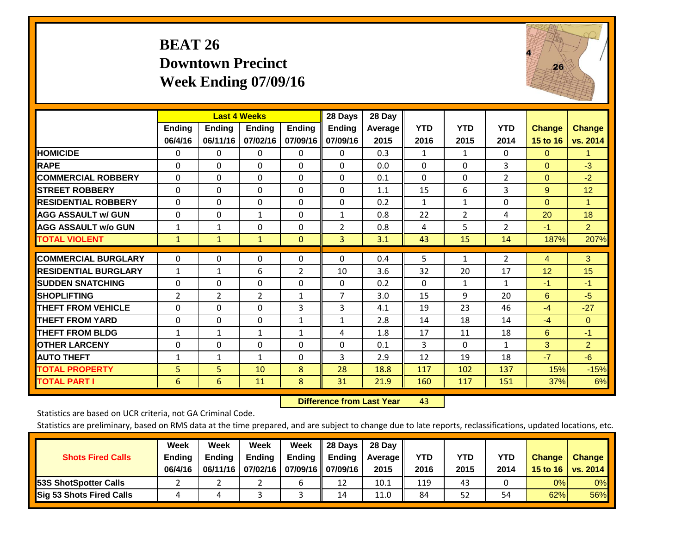# **BEAT 26 Downtown Precinct Week Ending 07/09/16**



|                             |                | <b>Last 4 Weeks</b> |                |               | 28 Days        | 28 Day  |              |              |                |               |                |
|-----------------------------|----------------|---------------------|----------------|---------------|----------------|---------|--------------|--------------|----------------|---------------|----------------|
|                             | Ending         | <b>Ending</b>       | Ending         | <b>Ending</b> | <b>Ending</b>  | Average | <b>YTD</b>   | <b>YTD</b>   | <b>YTD</b>     | <b>Change</b> | <b>Change</b>  |
|                             | 06/4/16        | 06/11/16            | 07/02/16       | 07/09/16      | 07/09/16       | 2015    | 2016         | 2015         | 2014           | 15 to 16      | vs. 2014       |
| <b>HOMICIDE</b>             | $\Omega$       | 0                   | 0              | 0             | 0              | 0.3     | 1            | $\mathbf{1}$ | 0              | $\Omega$      | 1.             |
| <b>RAPE</b>                 | 0              | $\Omega$            | $\Omega$       | $\Omega$      | 0              | 0.0     | $\Omega$     | $\Omega$     | 3              | $\Omega$      | $-3$           |
| <b>COMMERCIAL ROBBERY</b>   | $\Omega$       | $\Omega$            | $\Omega$       | $\Omega$      | $\Omega$       | 0.1     | $\Omega$     | $\Omega$     | $\overline{2}$ | $\Omega$      | $-2$           |
| <b>STREET ROBBERY</b>       | $\Omega$       | $\Omega$            | $\Omega$       | $\Omega$      | $\Omega$       | 1.1     | 15           | 6            | 3              | 9             | 12             |
| <b>RESIDENTIAL ROBBERY</b>  | $\Omega$       | 0                   | 0              | 0             | $\Omega$       | 0.2     | $\mathbf{1}$ | $\mathbf{1}$ | 0              | $\Omega$      | -1             |
| <b>AGG ASSAULT w/ GUN</b>   | $\Omega$       | 0                   | $\mathbf{1}$   | $\Omega$      | 1              | 0.8     | 22           | 2            | 4              | 20            | 18             |
| <b>AGG ASSAULT w/o GUN</b>  | $\mathbf{1}$   | 1                   | $\Omega$       | $\Omega$      | $\overline{2}$ | 0.8     | 4            | 5            | $\overline{2}$ | $-1$          | $\overline{2}$ |
| <b>TOTAL VIOLENT</b>        | $\mathbf{1}$   | $\mathbf{1}$        | $\mathbf{1}$   | $\mathbf{0}$  | $\overline{3}$ | 3.1     | 43           | 15           | 14             | 187%          | 207%           |
|                             |                |                     |                |               |                |         |              |              |                |               |                |
| <b>COMMERCIAL BURGLARY</b>  | $\Omega$       | 0                   | 0              | $\mathbf 0$   | $\Omega$       | 0.4     | 5            | $\mathbf{1}$ | 2              | 4             | 3 <sup>°</sup> |
| <b>RESIDENTIAL BURGLARY</b> | $\mathbf{1}$   | $\mathbf{1}$        | 6              | 2             | 10             | 3.6     | 32           | 20           | 17             | 12            | 15             |
| <b>ISUDDEN SNATCHING</b>    | $\Omega$       | 0                   | $\Omega$       | $\Omega$      | 0              | 0.2     | $\Omega$     | $\mathbf{1}$ | $\mathbf{1}$   | $-1$          | -1             |
| <b>SHOPLIFTING</b>          | $\overline{2}$ | 2                   | $\overline{2}$ | 1             | 7              | 3.0     | 15           | 9            | 20             | 6             | $-5$           |
| <b>THEFT FROM VEHICLE</b>   | $\Omega$       | 0                   | $\Omega$       | 3             | 3              | 4.1     | 19           | 23           | 46             | $-4$          | $-27$          |
| <b>THEFT FROM YARD</b>      | 0              | $\Omega$            | 0              | 1             | $\mathbf{1}$   | 2.8     | 14           | 18           | 14             | $-4$          | $\Omega$       |
| <b>THEFT FROM BLDG</b>      | $\mathbf{1}$   | 1                   | $\mathbf{1}$   | 1             | 4              | 1.8     | 17           | 11           | 18             | 6             | $-1$           |
| <b>OTHER LARCENY</b>        | 0              | 0                   | $\Omega$       | $\Omega$      | 0              | 0.1     | 3            | $\Omega$     | $\mathbf{1}$   | 3             | $\overline{2}$ |
| <b>AUTO THEFT</b>           | $\mathbf{1}$   | 1                   | $\mathbf{1}$   | $\Omega$      | 3              | 2.9     | 12           | 19           | 18             | $-7$          | $-6$           |
| <b>TOTAL PROPERTY</b>       | 5              | 5                   | 10             | 8             | 28             | 18.8    | 117          | 102          | 137            | 15%           | $-15%$         |
| <b>TOTAL PART I</b>         | 6              | 6                   | 11             | 8             | 31             | 21.9    | 160          | 117          | 151            | 37%           | 6%             |

 **Difference from Last Yearr** 43

Statistics are based on UCR criteria, not GA Criminal Code.

| <b>Shots Fired Calls</b>        | Week<br><b>Ending</b><br>06/4/16 | Week<br><b>Endina</b><br>06/11/16 | <b>Week</b><br>Ending<br>07/02/16 | Week<br>Ending | 28 Days<br><b>Ending</b><br>07/09/16    07/09/16 | 28 Day<br>Average II<br>2015 | YTD<br>2016 | YTD<br>2015 | <b>YTD</b><br>2014 | <b>Change</b><br>15 to 16 | <b>Change</b><br>vs. 2014 |
|---------------------------------|----------------------------------|-----------------------------------|-----------------------------------|----------------|--------------------------------------------------|------------------------------|-------------|-------------|--------------------|---------------------------|---------------------------|
| <b>153S ShotSpotter Calls</b>   |                                  |                                   |                                   |                | 12                                               | 10.1                         | 119         | 43          |                    | 0%                        | 0%                        |
| <b>Sig 53 Shots Fired Calls</b> |                                  |                                   |                                   |                | 14                                               | 11.0                         | 84          | 52          | 54                 | 62%                       | 56%                       |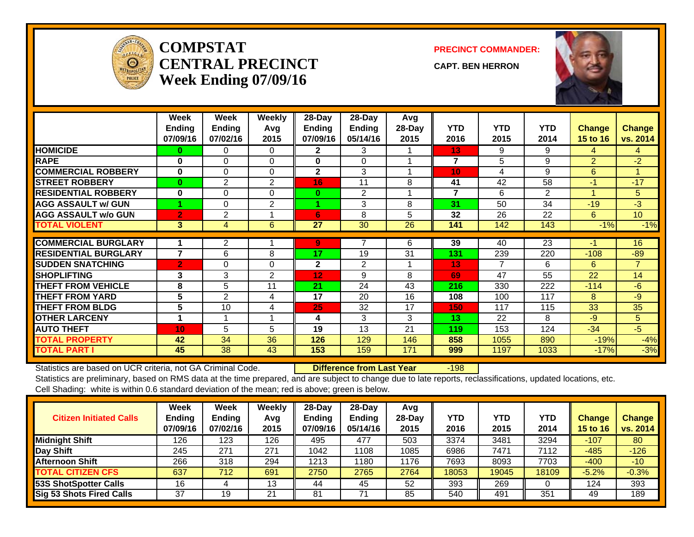

#### **COMPSTATCENTRAL PRECINCTWeek Ending 07/09/16**

**PRECINCT COMMANDER:**

**CAPT. BEN HERRON**



|                             | Week<br><b>Ending</b><br>07/09/16 | Week<br><b>Ending</b><br>07/02/16 | Weekly<br>Avg<br>2015 | 28-Day<br><b>Ending</b><br>07/09/16 | $28$ -Day<br><b>Ending</b><br>05/14/16 | Avg<br>28-Day<br>2015 | <b>YTD</b><br>2016      | <b>YTD</b><br>2015 | <b>YTD</b><br>2014 | <b>Change</b><br>15 to 16 | <b>Change</b><br>vs. 2014 |
|-----------------------------|-----------------------------------|-----------------------------------|-----------------------|-------------------------------------|----------------------------------------|-----------------------|-------------------------|--------------------|--------------------|---------------------------|---------------------------|
| <b>HOMICIDE</b>             | 0                                 | 0                                 | $\Omega$              | $\mathbf{2}$                        | 3                                      |                       | 13                      | 9                  | 9                  | 4                         | 4                         |
| <b>RAPE</b>                 | $\bf{0}$                          | $\Omega$                          | $\Omega$              | 0                                   | 0                                      |                       | $\overline{\mathbf{z}}$ | 5                  | 9                  | $\overline{2}$            | $-2$                      |
| <b>COMMERCIAL ROBBERY</b>   | $\bf{0}$                          | $\Omega$                          | $\Omega$              | $\mathbf{2}$                        | 3                                      | 4                     | 10                      | 4                  | 9                  | 6                         |                           |
| <b>STREET ROBBERY</b>       | $\bf{0}$                          | $\mathbf{2}$                      | $\mathbf{2}$          | 16                                  | 11                                     | 8                     | 41                      | 42                 | 58                 | $-1$                      | $-17$                     |
| <b>RESIDENTIAL ROBBERY</b>  | $\bf{0}$                          | 0                                 | 0                     | $\bf{0}$                            | $\overline{2}$                         |                       | $\overline{\mathbf{z}}$ | 6                  | 2                  | 4                         | 5                         |
| <b>AGG ASSAULT w/ GUN</b>   |                                   | 0                                 | 2                     |                                     | 3                                      | 8                     | 31                      | 50                 | 34                 | $-19$                     | $-3$                      |
| <b>AGG ASSAULT w/o GUN</b>  | $\overline{2}$                    | 2                                 |                       | 6                                   | 8                                      | 5                     | 32                      | 26                 | 22                 | 6                         | 10 <sup>°</sup>           |
| <b>TOTAL VIOLENT</b>        | 3                                 | 4                                 | 6                     | 27                                  | 30                                     | 26                    | 141                     | 142                | 143                | $-1%$                     | $-1%$                     |
|                             |                                   |                                   |                       |                                     |                                        |                       |                         |                    |                    |                           |                           |
| <b>COMMERCIAL BURGLARY</b>  |                                   | $\overline{2}$                    |                       | 9                                   | 7                                      | 6                     | 39                      | 40                 | 23                 | -1                        | 16                        |
| <b>RESIDENTIAL BURGLARY</b> | $\overline{7}$                    | 6                                 | 8                     | 17                                  | 19                                     | 31                    | 131                     | 239                | 220                | $-108$                    | $-89$                     |
| <b>SUDDEN SNATCHING</b>     | $\overline{2}$                    | $\Omega$                          | $\Omega$              | $\mathbf{2}$                        | $\overline{2}$                         | 1                     | 13                      | 7                  | 6                  | 6                         | $\overline{7}$            |
| <b>SHOPLIFTING</b>          | 3                                 | 3                                 | 2                     | 12                                  | 9                                      | 8                     | 69                      | 47                 | 55                 | 22                        | 14                        |
| <b>THEFT FROM VEHICLE</b>   | 8                                 | 5                                 | 11                    | 21                                  | 24                                     | 43                    | 216                     | 330                | 222                | $-114$                    | $-6$                      |
| <b>THEFT FROM YARD</b>      | 5                                 | 2                                 | 4                     | 17                                  | 20                                     | 16                    | 108                     | 100                | 117                | 8                         | $-9$                      |
| <b>THEFT FROM BLDG</b>      | 5                                 | 10                                | 4                     | 25                                  | 32                                     | 17                    | 150                     | 117                | 115                | 33                        | 35                        |
| <b>OTHER LARCENY</b>        | 1                                 |                                   |                       | 4                                   | 3                                      | 3                     | 13                      | 22                 | 8                  | $-9$                      | 5                         |
| <b>AUTO THEFT</b>           | 10                                | 5                                 | 5                     | 19                                  | 13                                     | 21                    | 119                     | 153                | 124                | $-34$                     | $-5$                      |
| <b>TOTAL PROPERTY</b>       | 42                                | 34                                | 36                    | 126                                 | 129                                    | 146                   | 858                     | 1055               | 890                | $-19%$                    | $-4%$                     |
| <b>TOTAL PART I</b>         | 45                                | 38                                | 43                    | 153                                 | 159                                    | 171                   | 999                     | 1197               | 1033               | $-17%$                    | $-3%$                     |

Statistics are based on UCR criteria, not GA Criminal Code. **Difference from Last Year** -198

| <b>Citizen Initiated Calls</b>  | Week<br><b>Ending</b><br>07/09/16 | <b>Week</b><br><b>Ending</b><br>07/02/16 | Weekly<br>Avg<br>2015 | $28$ -Day<br><b>Ending</b><br>07/09/16 | 28-Dav<br>Ending<br>05/14/16 | Avg<br>28-Dav<br>2015 | YTD<br>2016 | <b>YTD</b><br>2015 | <b>YTD</b><br>2014 | Change<br><b>15 to 16</b> | <b>Change</b><br>vs. 2014 |
|---------------------------------|-----------------------------------|------------------------------------------|-----------------------|----------------------------------------|------------------------------|-----------------------|-------------|--------------------|--------------------|---------------------------|---------------------------|
| <b>Midnight Shift</b>           | 126                               | 123                                      | 126                   | 495                                    | 477                          | 503                   | 3374        | 3481               | 3294               | $-107$                    | 80                        |
| Day Shift                       | 245                               | 271                                      | 271                   | 1042                                   | '108                         | 1085                  | 6986        | 7471               | 7112               | $-485$                    | $-126$                    |
| <b>Afternoon Shift</b>          | 266                               | 318                                      | 294                   | 1213                                   | 180                          | 1176                  | 7693        | 8093               | 7703               | $-400$                    | $-10$                     |
| <b>TOTAL CITIZEN CFS</b>        | 637                               | 712                                      | 691                   | 2750                                   | 2765                         | 2764                  | 18053       | 19045              | 18109              | $-5.2%$                   | $-0.3%$                   |
| 53S ShotSpotter Calls           | 16                                |                                          | 13                    | 44                                     | 45                           | 52                    | 393         | 269                |                    | 124                       | 393                       |
| <b>Sig 53 Shots Fired Calls</b> | 37                                | 19                                       | 21                    | 81                                     | 71                           | 85                    | 540         | 491                | 351                | 49                        | 189                       |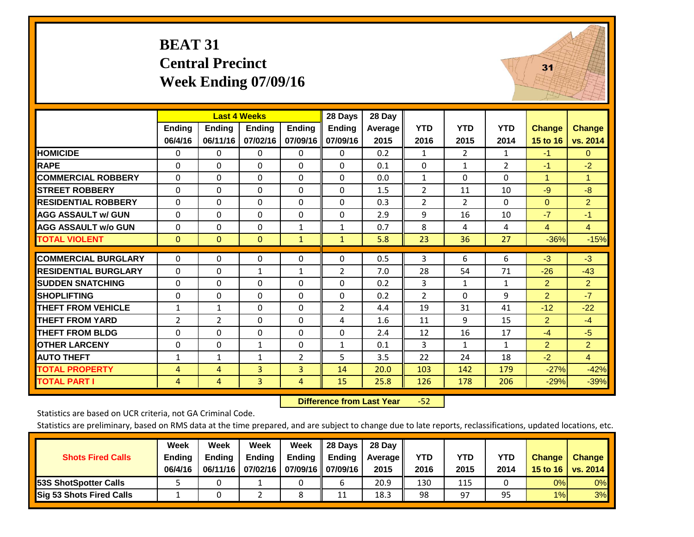#### **BEAT 31 Central Precinct Week Ending 07/09/16**



|                             |               |                | <b>Last 4 Weeks</b> |                | 28 Days        | 28 Day  |                |                |              |                |                      |
|-----------------------------|---------------|----------------|---------------------|----------------|----------------|---------|----------------|----------------|--------------|----------------|----------------------|
|                             | <b>Endina</b> | <b>Ending</b>  | <b>Ending</b>       | <b>Ending</b>  | <b>Ending</b>  | Average | <b>YTD</b>     | <b>YTD</b>     | <b>YTD</b>   | Change         | <b>Change</b>        |
|                             | 06/4/16       | 06/11/16       | 07/02/16            | 07/09/16       | 07/09/16       | 2015    | 2016           | 2015           | 2014         | 15 to 16       | vs. 2014             |
| <b>HOMICIDE</b>             | 0             | $\Omega$       | 0                   | $\Omega$       | $\Omega$       | 0.2     | $\mathbf{1}$   | $\overline{2}$ | 1            | $-1$           | $\mathbf{0}$         |
| <b>RAPE</b>                 | $\Omega$      | 0              | 0                   | $\Omega$       | $\Omega$       | 0.1     | $\Omega$       | 1              | 2            | $-1$           | $-2$                 |
| <b>COMMERCIAL ROBBERY</b>   | $\mathbf 0$   | 0              | 0                   | $\mathbf 0$    | $\mathbf 0$    | 0.0     | $\mathbf{1}$   | $\Omega$       | 0            | 1              | $\blacktriangleleft$ |
| <b>STREET ROBBERY</b>       | $\mathbf 0$   | $\Omega$       | $\Omega$            | $\Omega$       | $\Omega$       | 1.5     | $\overline{2}$ | 11             | 10           | $-9$           | -8                   |
| <b>RESIDENTIAL ROBBERY</b>  | $\Omega$      | 0              | 0                   | $\mathbf{0}$   | $\Omega$       | 0.3     | $\overline{2}$ | 2              | 0            | $\Omega$       | $\overline{2}$       |
| <b>AGG ASSAULT w/ GUN</b>   | $\Omega$      | $\Omega$       | $\Omega$            | $\Omega$       | $\Omega$       | 2.9     | 9              | 16             | 10           | $-7$           | $-1$                 |
| <b>AGG ASSAULT w/o GUN</b>  | 0             | $\Omega$       | $\Omega$            | $\mathbf 1$    | $\mathbf{1}$   | 0.7     | 8              | 4              | 4            | $\overline{4}$ | $\overline{4}$       |
| <b>TOTAL VIOLENT</b>        | $\mathbf{0}$  | $\mathbf{0}$   | $\mathbf{0}$        | $\mathbf{1}$   | $\mathbf{1}$   | 5.8     | 23             | 36             | 27           | $-36%$         | $-15%$               |
|                             |               |                |                     |                |                |         |                |                |              |                |                      |
| <b>COMMERCIAL BURGLARY</b>  | $\mathbf 0$   | 0              | 0                   | $\mathbf 0$    | $\Omega$       | 0.5     | 3              | 6              | 6            | $-3$           | $-3$                 |
| <b>RESIDENTIAL BURGLARY</b> | 0             | $\Omega$       | 1                   | 1              | 2              | 7.0     | 28             | 54             | 71           | $-26$          | $-43$                |
| <b>SUDDEN SNATCHING</b>     | $\Omega$      | $\Omega$       | 0                   | $\mathbf{0}$   | $\Omega$       | 0.2     | 3              | $\mathbf{1}$   | $\mathbf{1}$ | $\overline{2}$ | $\overline{2}$       |
| <b>SHOPLIFTING</b>          | 0             | $\Omega$       | $\Omega$            | $\Omega$       | $\Omega$       | 0.2     | 2              | $\Omega$       | 9            | $\overline{2}$ | $-7$                 |
| <b>THEFT FROM VEHICLE</b>   | $\mathbf{1}$  | 1              | $\Omega$            | $\mathbf{0}$   | $\overline{2}$ | 4.4     | 19             | 31             | 41           | $-12$          | $-22$                |
| <b>THEFT FROM YARD</b>      | 2             | $\overline{2}$ | 0                   | $\mathbf{0}$   | 4              | 1.6     | 11             | 9              | 15           | $\overline{2}$ | $-4$                 |
| <b>THEFT FROM BLDG</b>      | $\mathbf 0$   | $\Omega$       | $\Omega$            | $\mathbf{0}$   | $\Omega$       | 2.4     | 12             | 16             | 17           | $-4$           | $-5$                 |
| <b>OTHER LARCENY</b>        | 0             | 0              | $\mathbf{1}$        | $\Omega$       | 1              | 0.1     | 3              | $\mathbf{1}$   | $\mathbf{1}$ | $\overline{2}$ | $\overline{2}$       |
| <b>AUTO THEFT</b>           | $\mathbf{1}$  | 1              | $\mathbf{1}$        | $\overline{2}$ | 5              | 3.5     | 22             | 24             | 18           | $-2$           | $\overline{4}$       |
| <b>TOTAL PROPERTY</b>       | 4             | 4              | 3                   | 3              | 14             | 20.0    | 103            | 142            | 179          | $-27%$         | $-42%$               |
| <b>TOTAL PART I</b>         | 4             | 4              | 3                   | 4              | 15             | 25.8    | 126            | 178            | 206          | $-29%$         | $-39%$               |

 **Difference from Last Year**‐52

Statistics are based on UCR criteria, not GA Criminal Code.

|                                 | Week          | Week          | Week          | Week              | II 28 Davs | 28 Day         |      |      |      |               |               |
|---------------------------------|---------------|---------------|---------------|-------------------|------------|----------------|------|------|------|---------------|---------------|
| <b>Shots Fired Calls</b>        | <b>Ending</b> | <b>Endina</b> | <b>Ending</b> | <b>Ending</b>     | Ending     | <b>Average</b> | YTD  | YTD  | YTD  | <b>Change</b> | <b>Change</b> |
|                                 | 06/4/16       | 06/11/16      | 07/02/16      | 07/09/16 07/09/16 |            | 2015           | 2016 | 2015 | 2014 | 15 to 16      | vs. 2014      |
| <b>153S ShotSpotter Calls</b>   |               |               |               |                   |            | 20.9           | 130  | 115  |      | 0%            | $0\%$         |
| <b>Sig 53 Shots Fired Calls</b> |               |               |               | ٥                 | 11         | 18.3           | 98   | 97   | 95   | 1%            | 3%            |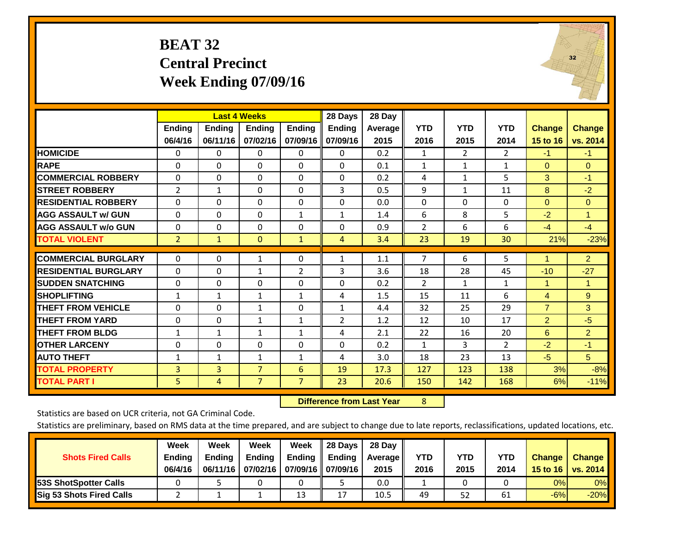#### **BEAT 32 Central Precinct Week Ending 07/09/16**



|                             |                          |                           | <b>Last 4 Weeks</b>       |                           | 28 Days                   | 28 Day          |                    |                    |                    |                           |                           |
|-----------------------------|--------------------------|---------------------------|---------------------------|---------------------------|---------------------------|-----------------|--------------------|--------------------|--------------------|---------------------------|---------------------------|
|                             | <b>Ending</b><br>06/4/16 | <b>Ending</b><br>06/11/16 | <b>Ending</b><br>07/02/16 | <b>Ending</b><br>07/09/16 | <b>Ending</b><br>07/09/16 | Average<br>2015 | <b>YTD</b><br>2016 | <b>YTD</b><br>2015 | <b>YTD</b><br>2014 | <b>Change</b><br>15 to 16 | <b>Change</b><br>vs. 2014 |
| <b>HOMICIDE</b>             | 0                        | 0                         | 0                         | $\Omega$                  | 0                         | 0.2             | 1                  | $\overline{2}$     | 2                  | $-1$                      | $-1$                      |
| <b>RAPE</b>                 | $\Omega$                 | 0                         | 0                         | $\mathbf{0}$              | $\Omega$                  | 0.1             | $\mathbf{1}$       | $\mathbf{1}$       | $\mathbf{1}$       | $\Omega$                  | $\mathbf{0}$              |
| <b>COMMERCIAL ROBBERY</b>   | 0                        | $\Omega$                  | 0                         | $\mathbf{0}$              | $\Omega$                  | 0.2             | 4                  | $\mathbf{1}$       | 5                  | 3                         | $-1$                      |
| <b>STREET ROBBERY</b>       | $\overline{2}$           | $\mathbf{1}$              | 0                         | $\Omega$                  | 3                         | 0.5             | 9                  | $\mathbf{1}$       | 11                 | 8                         | $-2$                      |
| <b>RESIDENTIAL ROBBERY</b>  | $\mathbf{0}$             | 0                         | 0                         | $\mathbf{0}$              | $\Omega$                  | 0.0             | $\Omega$           | 0                  | 0                  | $\Omega$                  | $\Omega$                  |
| <b>AGG ASSAULT w/ GUN</b>   | $\Omega$                 | 0                         | $\Omega$                  | $\mathbf{1}$              | $\mathbf{1}$              | 1.4             | 6                  | 8                  | 5                  | $-2$                      | 1                         |
| <b>AGG ASSAULT w/o GUN</b>  | 0                        | $\Omega$                  | $\Omega$                  | 0                         | $\Omega$                  | 0.9             | $\overline{2}$     | 6                  | 6                  | $-4$                      | $-4$                      |
| <b>TOTAL VIOLENT</b>        | $\overline{2}$           | $\mathbf{1}$              | $\mathbf{0}$              | $\mathbf{1}$              | $\overline{4}$            | 3.4             | 23                 | 19                 | 30                 | 21%                       | $-23%$                    |
| <b>COMMERCIAL BURGLARY</b>  | $\mathbf 0$              | 0                         | 1                         | 0                         | 1                         | 1.1             | $\overline{7}$     | 6                  | 5                  | 1                         | $\overline{2}$            |
| <b>RESIDENTIAL BURGLARY</b> | $\Omega$                 | 0                         | 1                         | $\overline{2}$            | 3                         | 3.6             | 18                 | 28                 | 45                 | $-10$                     | $-27$                     |
| <b>SUDDEN SNATCHING</b>     | $\Omega$                 | 0                         | 0                         | $\mathbf{0}$              | $\Omega$                  | 0.2             | 2                  | $\mathbf{1}$       | $\mathbf{1}$       | 1                         | $\blacktriangleleft$      |
| <b>SHOPLIFTING</b>          | $\mathbf{1}$             | $\mathbf{1}$              | $\mathbf{1}$              | $\mathbf{1}$              | 4                         | 1.5             | 15                 | 11                 | 6                  | 4                         | 9                         |
| <b>THEFT FROM VEHICLE</b>   | $\mathbf{0}$             | $\Omega$                  | $\mathbf{1}$              | $\mathbf{0}$              | 1                         | 4.4             | 32                 | 25                 | 29                 | $\overline{7}$            | 3                         |
| <b>THEFT FROM YARD</b>      | $\mathbf 0$              | $\Omega$                  | $\mathbf{1}$              | $\mathbf{1}$              | $\overline{2}$            | 1.2             | 12                 | 10                 | 17                 | $\overline{2}$            | $-5$                      |
| <b>THEFT FROM BLDG</b>      | 1                        | $\mathbf{1}$              | $\mathbf{1}$              | 1                         | 4                         | 2.1             | 22                 | 16                 | 20                 | 6                         | $\overline{2}$            |
| <b>OTHER LARCENY</b>        | 0                        | 0                         | 0                         | $\mathbf{0}$              | $\Omega$                  | 0.2             | 1                  | 3                  | $\overline{2}$     | $-2$                      | $-1$                      |
| <b>AUTO THEFT</b>           | $\mathbf{1}$             | $\mathbf{1}$              | $\mathbf{1}$              | 1                         | 4                         | 3.0             | 18                 | 23                 | 13                 | $-5$                      | 5                         |
| TOTAL PROPERTY              | 3                        | $\overline{3}$            | $\overline{7}$            | 6                         | 19                        | 17.3            | 127                | 123                | 138                | 3%                        | $-8%$                     |
| <b>TOTAL PART I</b>         | 5.                       | 4                         | $\overline{7}$            | $\overline{7}$            | 23                        | 20.6            | 150                | 142                | 168                | 6%                        | $-11%$                    |

 **Difference from Last Year**r 8

Statistics are based on UCR criteria, not GA Criminal Code.

|                              | Week          | Week          | Week          | Week                 | Il 28 Davs | 28 Day         |      |      |      |               |                 |
|------------------------------|---------------|---------------|---------------|----------------------|------------|----------------|------|------|------|---------------|-----------------|
| <b>Shots Fired Calls</b>     | <b>Ending</b> | <b>Ending</b> | <b>Ending</b> | <b>Ending</b>        | Ending     | <b>Average</b> | YTD  | YTD  | YTD  | <b>Change</b> | <b>Change</b>   |
|                              | 06/4/16       | 06/11/16      | 07/02/16      | 07/09/16    07/09/16 |            | 2015           | 2016 | 2015 | 2014 | 15 to 16      | <b>vs. 2014</b> |
| <b>53S ShotSpotter Calls</b> |               |               |               |                      |            | 0.0            |      |      |      | 0%            | $0\%$           |
| Sig 53 Shots Fired Calls     |               |               |               | 13                   | 17<br>∸    | 10.5           | 49   | 52   | 61   | $-6%$         | $-20%$          |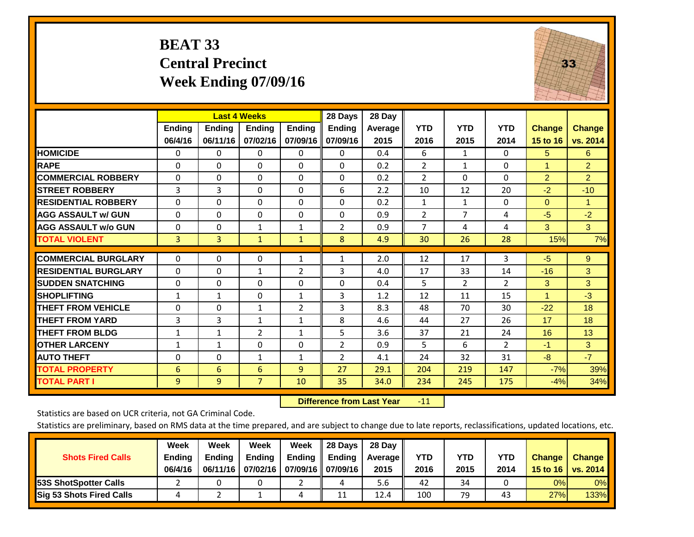# **BEAT 33 Central Precinct Week Ending 07/09/16**



|                             |               | <b>Last 4 Weeks</b> |                |                | 28 Days        | 28 Day     |                |                |                |                      |                |
|-----------------------------|---------------|---------------------|----------------|----------------|----------------|------------|----------------|----------------|----------------|----------------------|----------------|
|                             | <b>Ending</b> | <b>Ending</b>       | Ending         | <b>Endina</b>  | <b>Ending</b>  | Average II | <b>YTD</b>     | <b>YTD</b>     | <b>YTD</b>     | Change               | <b>Change</b>  |
|                             | 06/4/16       | 06/11/16            | 07/02/16       | 07/09/16       | 07/09/16       | 2015       | 2016           | 2015           | 2014           | 15 to 16             | vs. 2014       |
| <b>HOMICIDE</b>             | 0             | 0                   | 0              | 0              | $\mathbf{0}$   | 0.4        | 6              | $\mathbf{1}$   | 0              | 5                    | 6              |
| <b>RAPE</b>                 | 0             | $\Omega$            | $\Omega$       | $\Omega$       | $\Omega$       | 0.2        | $\overline{2}$ | 1              | 0              |                      | $\overline{2}$ |
| <b>COMMERCIAL ROBBERY</b>   | 0             | 0                   | $\Omega$       | 0              | 0              | 0.2        | $\overline{2}$ | $\mathbf{0}$   | 0              | $\overline{2}$       | $\overline{2}$ |
| <b>ISTREET ROBBERY</b>      | 3             | 3                   | $\Omega$       | $\Omega$       | 6              | 2.2        | 10             | 12             | 20             | $-2$                 | $-10$          |
| <b>RESIDENTIAL ROBBERY</b>  | $\Omega$      | 0                   | $\mathbf{0}$   | 0              | $\Omega$       | 0.2        | $\mathbf{1}$   | 1              | 0              | $\mathbf{0}$         | 1              |
| <b>AGG ASSAULT w/ GUN</b>   | 0             | 0                   | $\Omega$       | $\mathbf{0}$   | $\Omega$       | 0.9        | $\overline{2}$ | $\overline{7}$ | 4              | $-5$                 | $-2$           |
| <b>AGG ASSAULT w/o GUN</b>  | $\Omega$      | 0                   | 1              | 1              | $\overline{2}$ | 0.9        | $\overline{7}$ | 4              | 4              | 3                    | 3              |
| <b>TOTAL VIOLENT</b>        | 3             | 3                   | $\mathbf{1}$   | $\mathbf{1}$   | 8              | 4.9        | 30             | 26             | 28             | 15%                  | 7%             |
| <b>COMMERCIAL BURGLARY</b>  | $\Omega$      | 0                   | $\mathbf{0}$   | 1              |                | 2.0        | 12             | 17             | 3              | $-5$                 | 9              |
|                             |               |                     |                |                | 1              |            |                |                |                |                      |                |
| <b>RESIDENTIAL BURGLARY</b> | 0             | 0                   | 1              | $\overline{2}$ | 3              | 4.0        | 17             | 33             | 14             | $-16$                | 3              |
| <b>SUDDEN SNATCHING</b>     | $\Omega$      | 0                   | $\mathbf{0}$   | $\mathbf{0}$   | 0              | 0.4        | 5              | $\overline{2}$ | $\overline{2}$ | 3                    | 3              |
| <b>SHOPLIFTING</b>          | 1             | 1                   | $\Omega$       | 1              | 3              | 1.2        | 12             | 11             | 15             | $\blacktriangleleft$ | $-3$           |
| <b>THEFT FROM VEHICLE</b>   | 0             | 0                   | $\mathbf{1}$   | 2              | 3              | 8.3        | 48             | 70             | 30             | $-22$                | 18             |
| <b>THEFT FROM YARD</b>      | 3             | 3                   | 1              | $\mathbf{1}$   | 8              | 4.6        | 44             | 27             | 26             | 17                   | 18             |
| <b>THEFT FROM BLDG</b>      | 1             | 1                   | 2              | $\mathbf{1}$   | 5              | 3.6        | 37             | 21             | 24             | 16                   | 13             |
| <b>OTHER LARCENY</b>        | 1             | $\mathbf{1}$        | $\mathbf{0}$   | 0              | $\overline{2}$ | 0.9        | 5              | 6              | 2              | $-1$                 | 3              |
| <b>AUTO THEFT</b>           | 0             | 0                   | $\mathbf{1}$   | 1              | 2              | 4.1        | 24             | 32             | 31             | $-8$                 | $-7$           |
| <b>TOTAL PROPERTY</b>       | 6             | 6                   | 6              | 9              | 27             | 29.1       | 204            | 219            | 147            | $-7%$                | 39%            |
| <b>TOTAL PART I</b>         | 9             | 9                   | $\overline{7}$ | 10             | 35             | 34.0       | 234            | 245            | 175            | $-4%$                | 34%            |

 **Difference from Last Year**r -11

Statistics are based on UCR criteria, not GA Criminal Code.

|                                 | Week          | Week          | Week          | Week                 | Il 28 Davs | 28 Day         |            |            |      |               |               |
|---------------------------------|---------------|---------------|---------------|----------------------|------------|----------------|------------|------------|------|---------------|---------------|
| <b>Shots Fired Calls</b>        | <b>Ending</b> | <b>Endina</b> | <b>Ending</b> | Ending $\parallel$   | ll Endina  | <b>Average</b> | <b>YTD</b> | <b>YTD</b> | YTD  | <b>Change</b> | <b>Change</b> |
|                                 | 06/4/16       | 06/11/16      | 07/02/16      | 07/09/16    07/09/16 |            | 2015           | 2016       | 2015       | 2014 | 15 to 16      | vs. 2014      |
| <b>153S ShotSpotter Calls</b>   |               |               |               |                      |            | 5.6            | 42         | 34         |      | 0%            | $0\%$         |
| <b>Sig 53 Shots Fired Calls</b> |               |               |               | 4                    | 11         | 12.4           | 100        | 79         | 43   | 27%           | 133%          |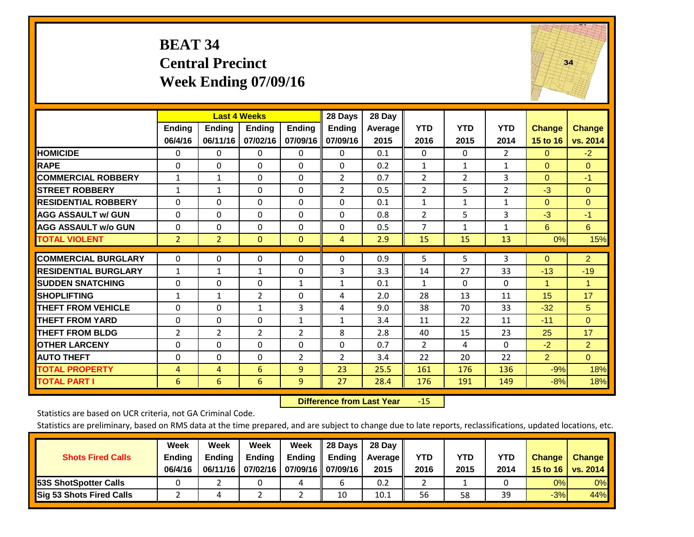#### **BEAT 34 Central Precinct Week Ending 07/09/16**



|                             |                | <b>Last 4 Weeks</b> |                |                | 28 Days        | 28 Day  |                |                |                |                |                |
|-----------------------------|----------------|---------------------|----------------|----------------|----------------|---------|----------------|----------------|----------------|----------------|----------------|
|                             | Ending         | <b>Ending</b>       | <b>Ending</b>  | <b>Ending</b>  | <b>Ending</b>  | Average | <b>YTD</b>     | <b>YTD</b>     | <b>YTD</b>     | <b>Change</b>  | <b>Change</b>  |
|                             | 06/4/16        | 06/11/16            | 07/02/16       | 07/09/16       | 07/09/16       | 2015    | 2016           | 2015           | 2014           | 15 to 16       | vs. 2014       |
| <b>HOMICIDE</b>             | 0              | $\Omega$            | 0              | $\Omega$       | 0              | 0.1     | $\Omega$       | 0              | 2              | $\Omega$       | $-2$           |
| <b>RAPE</b>                 | $\Omega$       | $\Omega$            | $\Omega$       | 0              | $\Omega$       | 0.2     | 1              | 1              | $\mathbf{1}$   | $\Omega$       | $\Omega$       |
| <b>COMMERCIAL ROBBERY</b>   | $\mathbf{1}$   | $\mathbf{1}$        | $\Omega$       | $\Omega$       | $\overline{2}$ | 0.7     | 2              | $\overline{2}$ | 3              | $\Omega$       | $-1$           |
| <b>STREET ROBBERY</b>       | $\mathbf{1}$   | $\mathbf{1}$        | $\Omega$       | $\Omega$       | $\overline{2}$ | 0.5     | $\overline{2}$ | 5              | $\overline{2}$ | $-3$           | $\Omega$       |
| <b>RESIDENTIAL ROBBERY</b>  | 0              | $\Omega$            | $\Omega$       | $\Omega$       | $\Omega$       | 0.1     | $\mathbf{1}$   | 1              | 1              | $\Omega$       | $\Omega$       |
| <b>AGG ASSAULT w/ GUN</b>   | $\Omega$       | $\Omega$            | $\Omega$       | $\Omega$       | 0              | 0.8     | 2              | 5              | 3              | $-3$           | $-1$           |
| <b>AGG ASSAULT w/o GUN</b>  | $\Omega$       | $\Omega$            | $\Omega$       | $\Omega$       | $\Omega$       | 0.5     | 7              | $\mathbf{1}$   | $\mathbf{1}$   | 6              | 6              |
| <b>TOTAL VIOLENT</b>        | $\overline{2}$ | $\overline{2}$      | $\mathbf{0}$   | $\mathbf{0}$   | 4              | 2.9     | 15             | 15             | 13             | 0%             | 15%            |
| <b>COMMERCIAL BURGLARY</b>  |                |                     |                |                | $\Omega$       | 0.9     |                |                |                |                |                |
|                             | $\mathbf 0$    | 0                   | 0              | 0              |                |         | 5              | 5              | 3              | $\mathbf{0}$   | $\overline{2}$ |
| <b>RESIDENTIAL BURGLARY</b> | 1              | 1                   | 1              | $\Omega$       | 3              | 3.3     | 14             | 27             | 33             | $-13$          | $-19$          |
| <b>ISUDDEN SNATCHING</b>    | $\Omega$       | $\Omega$            | $\Omega$       | $\mathbf{1}$   | $\mathbf{1}$   | 0.1     | $\mathbf{1}$   | $\Omega$       | 0              | 1              | 1              |
| <b>SHOPLIFTING</b>          | 1              | $\mathbf{1}$        | $\overline{2}$ | 0              | 4              | 2.0     | 28             | 13             | 11             | 15             | 17             |
| <b>THEFT FROM VEHICLE</b>   | $\Omega$       | $\Omega$            | 1              | 3              | 4              | 9.0     | 38             | 70             | 33             | $-32$          | 5              |
| <b>THEFT FROM YARD</b>      | $\mathbf 0$    | $\Omega$            | $\Omega$       | $\mathbf{1}$   | 1              | 3.4     | 11             | 22             | 11             | $-11$          | $\overline{0}$ |
| <b>THEFT FROM BLDG</b>      | 2              | 2                   | $\overline{2}$ | $\overline{2}$ | 8              | 2.8     | 40             | 15             | 23             | 25             | 17             |
| <b>OTHER LARCENY</b>        | 0              | $\Omega$            | $\Omega$       | $\Omega$       | 0              | 0.7     | 2              | 4              | 0              | $-2$           | $\overline{2}$ |
| <b>AUTO THEFT</b>           | 0              | $\Omega$            | $\Omega$       | $\overline{2}$ | $\overline{2}$ | 3.4     | 22             | 20             | 22             | $\overline{2}$ | $\Omega$       |
| <b>TOTAL PROPERTY</b>       | 4              | 4                   | 6              | 9              | 23             | 25.5    | 161            | 176            | 136            | $-9%$          | 18%            |
| <b>TOTAL PART I</b>         | 6              | 6                   | 6              | 9              | 27             | 28.4    | 176            | 191            | 149            | $-8%$          | 18%            |

 **Difference from Last Year**r -15

Statistics are based on UCR criteria, not GA Criminal Code.

| <b>Shots Fired Calls</b>        | Week<br><b>Ending</b><br>06/4/16 | Week<br><b>Endina</b><br>06/11/16 | <b>Week</b><br>Ending<br>07/02/16 | Week<br>Ending | 28 Days<br><b>Ending</b><br>07/09/16    07/09/16 | 28 Day<br>Average II<br>2015 | YTD<br>2016 | YTD<br>2015 | <b>YTD</b><br>2014 | <b>Change</b><br>15 to 16 | <b>Change</b><br>vs. 2014 |
|---------------------------------|----------------------------------|-----------------------------------|-----------------------------------|----------------|--------------------------------------------------|------------------------------|-------------|-------------|--------------------|---------------------------|---------------------------|
| <b>153S ShotSpotter Calls</b>   |                                  |                                   |                                   | 4              |                                                  | 0.2                          |             |             |                    | 0%                        | 0%                        |
| <b>Sig 53 Shots Fired Calls</b> |                                  |                                   |                                   |                | 10                                               | 10.1                         | 56          | 58          | 39                 | $-3%$                     | 44%                       |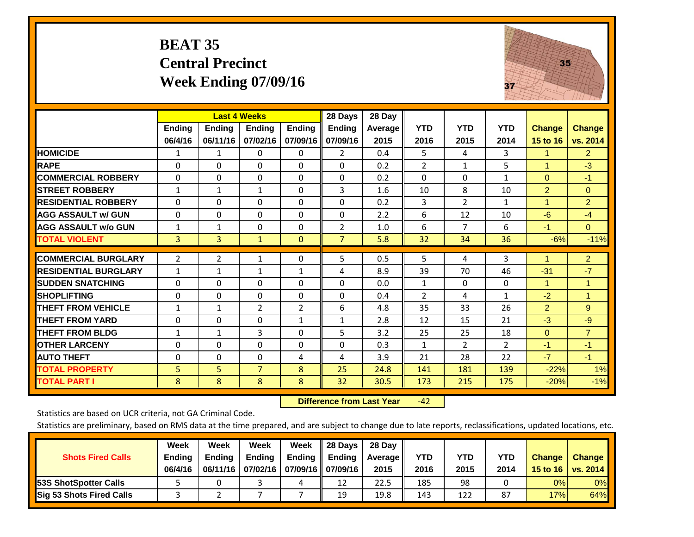#### **BEAT 35 Central Precinct Week Ending 07/09/16**



|                             |               | <b>Last 4 Weeks</b> |                |                | 28 Days        | 28 Day     |                |                |                |                      |                      |
|-----------------------------|---------------|---------------------|----------------|----------------|----------------|------------|----------------|----------------|----------------|----------------------|----------------------|
|                             | <b>Ending</b> | <b>Ending</b>       | <b>Ending</b>  | <b>Ending</b>  | <b>Ending</b>  | Average II | <b>YTD</b>     | <b>YTD</b>     | <b>YTD</b>     | <b>Change</b>        | <b>Change</b>        |
|                             | 06/4/16       | 06/11/16            | 07/02/16       | 07/09/16       | 07/09/16       | 2015       | 2016           | 2015           | 2014           | 15 to 16             | vs. 2014             |
| <b>HOMICIDE</b>             | 1             | 1                   | $\Omega$       | $\Omega$       | $\mathbf{2}$   | 0.4        | 5              | $\overline{4}$ | 3              | $\mathbf{1}$         | 2 <sup>1</sup>       |
| <b>RAPE</b>                 | $\Omega$      | 0                   | $\Omega$       | $\Omega$       | $\Omega$       | 0.2        | $\overline{2}$ | $\mathbf{1}$   | 5              | 1                    | $-3$                 |
| <b>COMMERCIAL ROBBERY</b>   | $\Omega$      | $\Omega$            | $\Omega$       | $\Omega$       | $\Omega$       | 0.2        | $\Omega$       | $\Omega$       | $\mathbf{1}$   | $\Omega$             | $-1$                 |
| <b>STREET ROBBERY</b>       | $\mathbf{1}$  | $\mathbf{1}$        | $\mathbf{1}$   | $\Omega$       | 3              | 1.6        | 10             | 8              | 10             | $\overline{2}$       | $\Omega$             |
| <b>RESIDENTIAL ROBBERY</b>  | $\Omega$      | 0                   | $\mathbf{0}$   | $\Omega$       | $\Omega$       | 0.2        | 3              | $\overline{2}$ | $\mathbf{1}$   | $\blacktriangleleft$ | $\overline{2}$       |
| <b>AGG ASSAULT w/ GUN</b>   | $\Omega$      | $\Omega$            | $\Omega$       | $\Omega$       | $\Omega$       | 2.2        | 6              | 12             | 10             | $-6$                 | $-4$                 |
| <b>AGG ASSAULT w/o GUN</b>  | $\mathbf{1}$  | $\mathbf{1}$        | $\mathbf{0}$   | $\Omega$       | $\overline{2}$ | 1.0        | 6              | 7              | 6              | $-1$                 | $\Omega$             |
| <b>TOTAL VIOLENT</b>        | 3             | 3                   | $\mathbf{1}$   | $\mathbf{0}$   | $\overline{7}$ | 5.8        | 32             | 34             | 36             | $-6%$                | $-11%$               |
| <b>COMMERCIAL BURGLARY</b>  | 2             | $\overline{2}$      | 1              | 0              | 5              | 0.5        | 5              | 4              | 3              |                      | $\overline{2}$       |
| <b>RESIDENTIAL BURGLARY</b> | $\mathbf{1}$  | 1                   | $\mathbf{1}$   | 1              | 4              | 8.9        | 39             | 70             | 46             | $-31$                | $-7$                 |
| <b>SUDDEN SNATCHING</b>     | 0             | $\Omega$            | $\Omega$       | $\mathbf{0}$   | $\Omega$       | 0.0        | $\mathbf{1}$   | $\Omega$       | 0              | 1                    | $\blacktriangleleft$ |
|                             | 0             | $\Omega$            | $\Omega$       | $\Omega$       | $\Omega$       | 0.4        | $\overline{2}$ | 4              | $\mathbf{1}$   |                      | $\mathbf{1}$         |
| <b>SHOPLIFTING</b>          |               |                     |                |                |                |            |                |                |                | $-2$                 |                      |
| <b>THEFT FROM VEHICLE</b>   | $\mathbf{1}$  | $\mathbf{1}$        | $\overline{2}$ | $\overline{2}$ | 6              | 4.8        | 35             | 33             | 26             | $\overline{2}$       | 9                    |
| <b>THEFT FROM YARD</b>      | $\Omega$      | $\mathbf 0$         | $\mathbf{0}$   | 1              | 1              | 2.8        | 12             | 15             | 21             | $-3$                 | $-9$                 |
| <b>THEFT FROM BLDG</b>      | 1             | 1                   | 3              | $\mathbf{0}$   | 5              | 3.2        | 25             | 25             | 18             | $\Omega$             | $\overline{7}$       |
| <b>OTHER LARCENY</b>        | 0             | $\Omega$            | $\Omega$       | $\Omega$       | $\Omega$       | 0.3        | 1              | $\overline{2}$ | $\overline{2}$ | $-1$                 | $-1$                 |
| <b>AUTO THEFT</b>           | $\Omega$      | $\Omega$            | $\Omega$       | 4              | 4              | 3.9        | 21             | 28             | 22             | $-7$                 | $-1$                 |
| <b>TOTAL PROPERTY</b>       | 5             | 5                   | $\overline{7}$ | 8              | 25             | 24.8       | 141            | 181            | 139            | $-22%$               | 1%                   |
| <b>TOTAL PART I</b>         | 8             | 8                   | 8              | 8              | 32             | 30.5       | 173            | 215            | 175            | $-20%$               | $-1%$                |

 **Difference from Last Year**‐42

Statistics are based on UCR criteria, not GA Criminal Code.

| <b>Shots Fired Calls</b>        | Week<br><b>Ending</b><br>06/4/16 | Week<br><b>Endina</b><br>06/11/16 | <b>Week</b><br>Ending<br>07/02/16 | Week<br>Ending<br>07/09/16    07/09/16 | 28 Days<br><b>Ending</b> | 28 Day<br>Average II<br>2015 | YTD<br>2016 | YTD<br>2015 | <b>YTD</b><br>2014 | <b>Change</b><br>15 to 16 | <b>Change</b><br>vs. 2014 |
|---------------------------------|----------------------------------|-----------------------------------|-----------------------------------|----------------------------------------|--------------------------|------------------------------|-------------|-------------|--------------------|---------------------------|---------------------------|
| <b>153S ShotSpotter Calls</b>   |                                  |                                   |                                   | 4                                      | 12                       | 22.5                         | 185         | 98          |                    | 0%                        | 0%                        |
| <b>Sig 53 Shots Fired Calls</b> |                                  |                                   |                                   |                                        | 19                       | 19.8                         | 143         | 122         | 87                 | 17%                       | 64%                       |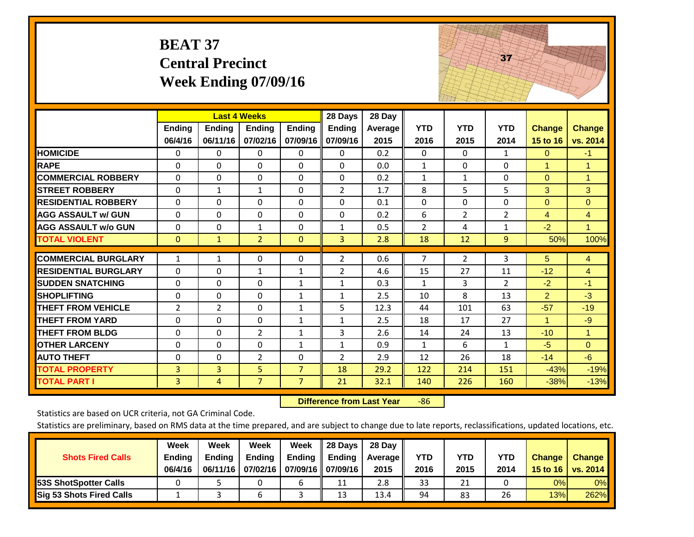|                             | <b>BEAT 37</b>           | <b>Central Precinct</b><br><b>Week Ending 07/09/16</b> |                    |                           |                                      |                           |                    |                      | 37                 |                           |                                  |
|-----------------------------|--------------------------|--------------------------------------------------------|--------------------|---------------------------|--------------------------------------|---------------------------|--------------------|----------------------|--------------------|---------------------------|----------------------------------|
|                             | Ending<br>06/4/16        | <b>Last 4 Weeks</b><br><b>Ending</b><br>06/11/16       | Ending<br>07/02/16 | <b>Ending</b><br>07/09/16 | 28 Days<br><b>Ending</b><br>07/09/16 | 28 Day<br>Average<br>2015 | <b>YTD</b><br>2016 | <b>YTD</b><br>2015   | <b>YTD</b><br>2014 | <b>Change</b><br>15 to 16 | <b>Change</b><br>vs. 2014        |
| <b>HOMICIDE</b>             | 0                        | 0                                                      | $\Omega$           | 0                         | $\Omega$                             | 0.2                       | $\Omega$           | $\Omega$             | $\mathbf{1}$       | $\mathbf{0}$              | $-1$                             |
| <b>RAPE</b>                 | $\Omega$                 | 0                                                      | $\overline{0}$     | $\Omega$                  | $\Omega$                             | 0.0                       | $\mathbf{1}$       | $\Omega$             | $\Omega$           | $\mathbf{1}$              | $\mathbf{1}$                     |
| <b>COMMERCIAL ROBBERY</b>   | $\Omega$                 | $\Omega$                                               | $\Omega$           | $\Omega$                  | $\Omega$                             | 0.2                       | $\mathbf{1}$       | $\mathbf{1}$         | $\Omega$           | $\mathbf{0}$              | 1                                |
| <b>STREET ROBBERY</b>       | 0                        | $\mathbf{1}$                                           | $\mathbf{1}$       | 0                         | $\overline{2}$                       | 1.7                       | 8                  | 5                    | 5                  | 3                         | 3                                |
| <b>RESIDENTIAL ROBBERY</b>  | $\Omega$                 | 0                                                      | $\overline{0}$     | $\Omega$                  | $\Omega$                             | 0.1                       | $\mathbf{0}$       | 0                    | $\Omega$           | $\mathbf{0}$              | $\Omega$                         |
| <b>AGG ASSAULT w/ GUN</b>   | $\Omega$                 | $\Omega$                                               | $\Omega$           | $\Omega$                  | $\Omega$                             | 0.2                       | 6                  | $\overline{2}$       | $\overline{2}$     | $\overline{4}$            | $\overline{4}$                   |
| <b>AGG ASSAULT w/o GUN</b>  | $\Omega$                 | 0                                                      | $\mathbf{1}$       | $\Omega$                  | $\mathbf{1}$                         | 0.5                       | $\overline{2}$     | 4                    | $\mathbf{1}$       | $-2$                      | $\mathbf{1}$                     |
| <b>TOTAL VIOLENT</b>        | $\overline{0}$           | $\mathbf{1}$                                           | $\overline{2}$     | $\mathbf{0}$              | $\overline{3}$                       | 2.8                       | 18                 | 12                   | 9                  | 50%                       | 100%                             |
| <b>COMMERCIAL BURGLARY</b>  |                          |                                                        | $\mathbf{0}$       | $\Omega$                  |                                      | 0.6                       | 7                  |                      |                    | 5                         |                                  |
| <b>RESIDENTIAL BURGLARY</b> | $\mathbf{1}$<br>$\Omega$ | $\mathbf{1}$<br>$\Omega$                               | $\mathbf{1}$       | $\mathbf{1}$              | $\overline{2}$<br>$\overline{2}$     | 4.6                       | 15                 | $\overline{2}$<br>27 | 3<br>11            | $-12$                     | $\overline{4}$<br>$\overline{4}$ |
| <b>SUDDEN SNATCHING</b>     | $\Omega$                 | $\Omega$                                               | $\Omega$           | $\mathbf{1}$              | $\mathbf{1}$                         | 0.3                       | 1                  | 3                    | $\overline{2}$     | $-2$                      | $-1$                             |
| <b>SHOPLIFTING</b>          | 0                        | 0                                                      | $\mathbf{0}$       | $\mathbf{1}$              | $\mathbf{1}$                         | 2.5                       | 10                 | 8                    | 13                 | $\overline{2}$            | $-3$                             |
| <b>THEFT FROM VEHICLE</b>   | 2                        | $\overline{2}$                                         | $\Omega$           | $\mathbf{1}$              | 5                                    | 12.3                      | 44                 | 101                  | 63                 | $-57$                     | $-19$                            |
| <b>THEFT FROM YARD</b>      | 0                        | $\Omega$                                               | $\Omega$           | $\mathbf{1}$              | $\mathbf{1}$                         | 2.5                       | 18                 | 17                   | 27                 | 1                         | $-9$                             |
| <b>THEFT FROM BLDG</b>      | $\Omega$                 | $\Omega$                                               | $\overline{2}$     | $\mathbf{1}$              | 3                                    | 2.6                       | 14                 | 24                   | 13                 | $-10$                     | $\mathbf{1}$                     |
| <b>OTHER LARCENY</b>        | $\Omega$                 | $\Omega$                                               | $\Omega$           | $\mathbf{1}$              | $\mathbf{1}$                         | 0.9                       | $\mathbf{1}$       | 6                    | $\mathbf{1}$       | $-5$                      | $\mathbf{0}$                     |
| <b>AUTO THEFT</b>           | 0                        | 0                                                      | $\overline{2}$     | $\Omega$                  | $\overline{2}$                       | 2.9                       | 12                 | 26                   | 18                 | $-14$                     | $-6$                             |
| <b>TOTAL PROPERTY</b>       | 3                        | $\overline{3}$                                         | 5                  | $\overline{7}$            | 18                                   | 29.2                      | 122                | 214                  | 151                | $-43%$                    | $-19%$                           |
| <b>TOTAL PART I</b>         | 3                        | $\overline{4}$                                         | $\overline{7}$     | $\overline{7}$            | 21                                   | 32.1                      | 140                | 226                  | 160                | $-38%$                    | $-13%$                           |

 **Difference from Last Year**r -86 The state of the state of the state

Statistics are based on UCR criteria, not GA Criminal Code.

| <b>Shots Fired Calls</b>        | Week<br><b>Ending</b><br>06/4/16 | Week<br><b>Endina</b><br>06/11/16 | <b>Week</b><br>Ending<br>07/02/16 | Week<br>Ending | 28 Days<br><b>Ending</b><br>07/09/16    07/09/16 | 28 Day<br>Average II<br>2015 | YTD<br>2016 | YTD<br>2015 | <b>YTD</b><br>2014 | <b>Change</b><br>15 to 16 | <b>Change</b><br>vs. 2014 |
|---------------------------------|----------------------------------|-----------------------------------|-----------------------------------|----------------|--------------------------------------------------|------------------------------|-------------|-------------|--------------------|---------------------------|---------------------------|
| <b>153S ShotSpotter Calls</b>   |                                  |                                   |                                   |                | 11                                               | 2.8                          | 33          | 21          |                    | 0%                        | 0%                        |
| <b>Sig 53 Shots Fired Calls</b> |                                  |                                   |                                   |                | 13                                               | 13.4                         | 94          | 83          | 26                 | 13%                       | 262%                      |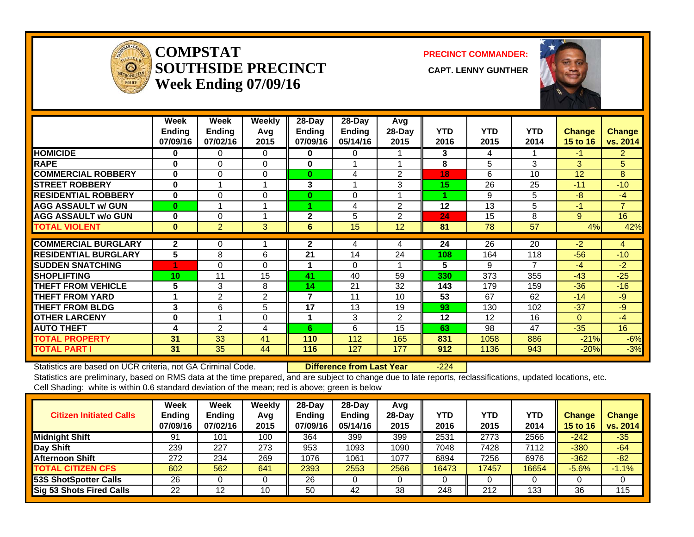

#### **COMPSTATSOUTHSIDE PRECINCT** CAPT. LENNY GUNTHER **Week Ending 07/09/16**

**PRECINCT COMMANDER:**



|                             | Week<br>Ending<br>07/09/16 | Week<br><b>Endina</b><br>07/02/16 | Weekly<br>Avg<br>2015 | 28-Day<br><b>Ending</b><br>07/09/16 | $28$ -Day<br><b>Ending</b><br>05/14/16 | Avg<br>28-Day<br>2015 | <b>YTD</b><br>2016 | <b>YTD</b><br>2015 | <b>YTD</b><br>2014 | <b>Change</b><br>15 to 16 | Change<br>vs. 2014 |
|-----------------------------|----------------------------|-----------------------------------|-----------------------|-------------------------------------|----------------------------------------|-----------------------|--------------------|--------------------|--------------------|---------------------------|--------------------|
| <b>HOMICIDE</b>             | 0                          | 0                                 | 0                     | 0                                   | 0                                      |                       | 3                  | 4                  |                    | -1.                       | $\overline{2}$     |
| <b>RAPE</b>                 | $\bf{0}$                   | $\Omega$                          | 0                     | 0                                   |                                        |                       | 8                  | 5                  | 3                  | 3                         | 5                  |
| <b>COMMERCIAL ROBBERY</b>   | $\bf{0}$                   | 0                                 | 0                     | $\bf{0}$                            | 4                                      | $\overline{2}$        | 18                 | 6                  | 10                 | 12                        | 8                  |
| <b>STREET ROBBERY</b>       | $\bf{0}$                   |                                   |                       | 3                                   | $\overline{\mathbf{A}}$                | 3                     | 15                 | 26                 | 25                 | $-11$                     | $-10$              |
| <b>RESIDENTIAL ROBBERY</b>  | $\bf{0}$                   | $\Omega$                          | $\Omega$              | $\bf{0}$                            | $\Omega$                               |                       |                    | 9                  | 5                  | -8                        | $-4$               |
| <b>AGG ASSAULT w/ GUN</b>   | $\bf{0}$                   |                                   |                       | 4                                   | 4                                      | 2                     | 12                 | 13                 | 5                  | $-1$                      | $\overline{7}$     |
| <b>AGG ASSAULT w/o GUN</b>  | $\bf{0}$                   | 0                                 |                       | $\mathbf{2}$                        | 5                                      | 2                     | 24                 | 15                 | 8                  | 9                         | 16                 |
| <b>TOTAL VIOLENT</b>        | $\bf{0}$                   | $\overline{2}$                    | 3                     | 6                                   | 15                                     | 12                    | 81                 | 78                 | 57                 | 4%                        | 42%                |
| <b>COMMERCIAL BURGLARY</b>  | $\mathbf{2}$               | 0                                 |                       | $\mathbf{2}$                        |                                        |                       | 24                 | 26                 | $\overline{20}$    | $-2$                      |                    |
|                             |                            |                                   |                       |                                     | 4                                      | 4                     |                    |                    |                    |                           | 4                  |
| <b>RESIDENTIAL BURGLARY</b> | 5                          | 8                                 | 6                     | 21                                  | 14                                     | 24                    | 108                | 164                | 118                | $-56$                     | $-10$              |
| <b>SUDDEN SNATCHING</b>     | 4                          | 0                                 | 0                     |                                     | 0                                      |                       | 5                  | 9                  | 7                  | $-4$                      | $-2$               |
| <b>SHOPLIFTING</b>          | 10                         | 11                                | 15                    | 41                                  | 40                                     | 59                    | 330                | 373                | 355                | $-43$                     | $-25$              |
| <b>THEFT FROM VEHICLE</b>   | 5                          | 3                                 | 8                     | 14                                  | 21                                     | 32                    | 143                | 179                | 159                | $-36$                     | $-16$              |
| <b>THEFT FROM YARD</b>      | $\overline{\mathbf{A}}$    | 2                                 | 2                     | 7                                   | 11                                     | 10                    | 53                 | 67                 | 62                 | $-14$                     | -9                 |
| <b>THEFT FROM BLDG</b>      | 3                          | 6                                 | 5                     | 17                                  | 13                                     | 19                    | 93                 | 130                | 102                | $-37$                     | $-9$               |
| <b>OTHER LARCENY</b>        | $\bf{0}$                   |                                   | $\Omega$              | 1                                   | 3                                      | $\overline{2}$        | $12 \,$            | 12                 | 16                 | $\Omega$                  | $-4$               |
| <b>AUTO THEFT</b>           | 4                          | 2                                 | 4                     | 6                                   | 6                                      | 15                    | 63                 | 98                 | 47                 | $-35$                     | 16                 |
| <b>TOTAL PROPERTY</b>       | 31                         | 33                                | 41                    | 110                                 | 112                                    | 165                   | 831                | 1058               | 886                | $-21%$                    | $-6%$              |
| <b>TOTAL PART I</b>         | 31                         | 35                                | 44                    | 116                                 | 127                                    | 177                   | 912                | 1136               | 943                | $-20%$                    | $-3%$              |

Statistics are based on UCR criteria, not GA Criminal Code. **Difference from Last Year** -224 Statistics are preliminary, based on RMS data at the time prepared, and are subject to change due to late reports, reclassifications, updated locations, etc.

Cell Shading: white is within 0.6 standard deviation of the mean; red is above; green is below

| <b>Citizen Initiated Calls</b> | Week<br><b>Ending</b><br>07/09/16 | <b>Week</b><br><b>Ending</b><br>07/02/16 | Weekly<br>Avg<br>2015 | $28 - Day$<br>Ending<br>07/09/16 | $28-Day$<br><b>Ending</b><br>05/14/16 | Avg<br>$28$ -Day<br>2015 | YTD<br>2016 | <b>YTD</b><br>2015 | <b>YTD</b><br>2014 | <b>Change</b><br>15 to 16 | <b>Change</b><br>vs. 2014 |
|--------------------------------|-----------------------------------|------------------------------------------|-----------------------|----------------------------------|---------------------------------------|--------------------------|-------------|--------------------|--------------------|---------------------------|---------------------------|
| Midnight Shift                 | 91                                | 101                                      | 100                   | 364                              | 399                                   | 399                      | 2531        | 2773               | 2566               | $-242$                    | $-35$                     |
| Day Shift                      | 239                               | 227                                      | 273                   | 953                              | 1093                                  | 1090                     | 7048        | 7428               | 7112               | $-380$                    | $-64$                     |
| <b>Afternoon Shift</b>         | 272                               | 234                                      | 269                   | 1076                             | 1061                                  | 1077                     | 6894        | 7256               | 6976               | $-362$                    | $-82$                     |
| <b>TOTAL CITIZEN CFS</b>       | 602                               | 562                                      | 641                   | 2393                             | 2553                                  | 2566                     | 16473       | 17457              | 16654              | $-5.6%$                   | $-1.1%$                   |
| <b>53S ShotSpotter Calls</b>   | 26                                |                                          |                       | 26                               |                                       |                          |             |                    |                    |                           |                           |
| Sig 53 Shots Fired Calls       | 22                                | 12                                       | 10                    | 50                               | 42                                    | 38                       | 248         | 212                | 133                | 36                        | 115                       |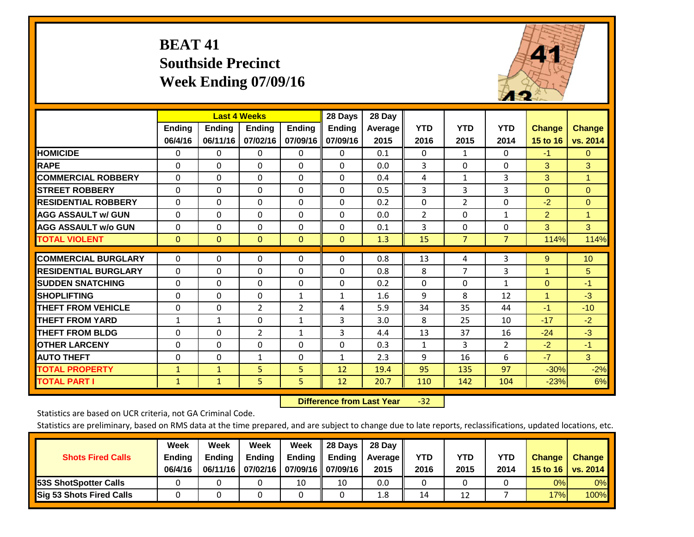# **BEAT 41 Southside Precinct Week Ending 07/09/16**



|                             |               | <b>Last 4 Weeks</b> |                |               | 28 Days       | 28 Day     |              |                |                |                      |                      |
|-----------------------------|---------------|---------------------|----------------|---------------|---------------|------------|--------------|----------------|----------------|----------------------|----------------------|
|                             | <b>Ending</b> | <b>Ending</b>       | <b>Endina</b>  | <b>Ending</b> | <b>Ending</b> | Average II | <b>YTD</b>   | <b>YTD</b>     | <b>YTD</b>     | <b>Change</b>        | <b>Change</b>        |
|                             | 06/4/16       | 06/11/16            | 07/02/16       | 07/09/16      | 07/09/16      | 2015       | 2016         | 2015           | 2014           | 15 to 16             | vs. 2014             |
| <b>HOMICIDE</b>             | 0             | 0                   | $\mathbf{0}$   | 0             | $\mathbf{0}$  | 0.1        | $\Omega$     | 1              | 0              | $-1$                 | $\mathbf{0}$         |
| <b>RAPE</b>                 | 0             | $\Omega$            | $\Omega$       | $\mathbf{0}$  | $\Omega$      | 0.0        | 3            | $\Omega$       | 0              | 3                    | 3                    |
| <b>COMMERCIAL ROBBERY</b>   | $\Omega$      | 0                   | $\Omega$       | $\Omega$      | $\Omega$      | 0.4        | 4            | 1              | 3              | 3                    | $\blacktriangleleft$ |
| <b>STREET ROBBERY</b>       | 0             | $\Omega$            | $\Omega$       | 0             | $\Omega$      | 0.5        | 3            | 3              | 3              | $\mathbf{0}$         | $\mathbf{0}$         |
| <b>IRESIDENTIAL ROBBERY</b> | $\Omega$      | $\Omega$            | $\mathbf{0}$   | $\Omega$      | $\Omega$      | 0.2        | $\Omega$     | $\overline{2}$ | 0              | $-2$                 | $\Omega$             |
| <b>AGG ASSAULT w/ GUN</b>   | $\Omega$      | 0                   | $\Omega$       | $\mathbf{0}$  | $\Omega$      | 0.0        | 2            | $\Omega$       | $\mathbf{1}$   | 2                    | $\mathbf{1}$         |
| <b>AGG ASSAULT w/o GUN</b>  | 0             | 0                   | $\Omega$       | $\Omega$      | $\Omega$      | 0.1        | 3            | $\mathbf{0}$   | 0              | 3                    | 3                    |
| <b>TOTAL VIOLENT</b>        | $\mathbf{0}$  | $\mathbf{0}$        | $\overline{0}$ | $\mathbf{0}$  | $\mathbf{0}$  | 1.3        | 15           | $\overline{7}$ | $\overline{7}$ | 114%                 | 114%                 |
|                             |               |                     |                |               |               |            |              |                |                |                      |                      |
| <b>COMMERCIAL BURGLARY</b>  | $\Omega$      | 0                   | $\Omega$       | 0             | $\Omega$      | 0.8        | 13           | 4              | 3              | 9                    | 10                   |
| <b>RESIDENTIAL BURGLARY</b> | 0             | 0                   | $\mathbf{0}$   | $\Omega$      | $\Omega$      | 0.8        | 8            | 7              | 3              | $\overline{1}$       | 5                    |
| <b>SUDDEN SNATCHING</b>     | $\Omega$      | 0                   | $\mathbf{0}$   | $\mathbf{0}$  | $\Omega$      | 0.2        | $\Omega$     | $\Omega$       | $\mathbf{1}$   | $\Omega$             | $-1$                 |
| <b>SHOPLIFTING</b>          | 0             | 0                   | $\Omega$       | 1             | 1             | 1.6        | 9            | 8              | 12             | $\blacktriangleleft$ | $-3$                 |
| <b>THEFT FROM VEHICLE</b>   | $\Omega$      | $\Omega$            | $\overline{2}$ | 2             | 4             | 5.9        | 34           | 35             | 44             | $-1$                 | $-10$                |
| <b>THEFT FROM YARD</b>      | $\mathbf{1}$  | $\mathbf{1}$        | $\Omega$       | 1             | 3             | 3.0        | 8            | 25             | 10             | $-17$                | $-2$                 |
| <b>THEFT FROM BLDG</b>      | 0             | 0                   | $\overline{2}$ | 1             | 3             | 4.4        | 13           | 37             | 16             | $-24$                | $-3$                 |
| <b>OTHER LARCENY</b>        | 0             | $\Omega$            | $\Omega$       | $\Omega$      | $\Omega$      | 0.3        | $\mathbf{1}$ | 3              | 2              | $-2$                 | $-1$                 |
| <b>AUTO THEFT</b>           | $\Omega$      | $\Omega$            | $\mathbf{1}$   | $\Omega$      | 1             | 2.3        | 9            | 16             | 6              | $-7$                 | $\overline{3}$       |
| <b>TOTAL PROPERTY</b>       | 1             | $\mathbf{1}$        | 5              | 5             | 12            | 19.4       | 95           | 135            | 97             | $-30%$               | $-2%$                |
| <b>TOTAL PART I</b>         | $\mathbf{1}$  | $\mathbf{1}$        | 5.             | 5             | 12            | 20.7       | 110          | 142            | 104            | $-23%$               | 6%                   |

 **Difference from Last Year**‐32

Statistics are based on UCR criteria, not GA Criminal Code.

| <b>Shots Fired Calls</b>        | Week<br><b>Ending</b><br>06/4/16 | Week<br><b>Endina</b><br>06/11/16 | <b>Week</b><br>Ending<br>07/02/16 | Week<br>Ending<br>07/09/16    07/09/16 | 28 Days<br>Ending | 28 Day<br><b>Average II</b><br>2015 | YTD<br>2016 | YTD<br>2015 | <b>YTD</b><br>2014 | <b>Change</b><br>15 to 16 $\vert$ | <b>Change</b><br>vs. 2014 |
|---------------------------------|----------------------------------|-----------------------------------|-----------------------------------|----------------------------------------|-------------------|-------------------------------------|-------------|-------------|--------------------|-----------------------------------|---------------------------|
| 53S ShotSpotter Calls           |                                  |                                   |                                   | 10                                     | 10                | 0.0                                 |             |             |                    | 0%                                | 0%                        |
| <b>Sig 53 Shots Fired Calls</b> |                                  |                                   |                                   |                                        |                   | 1.8                                 | 14          | 12          |                    | 17%                               | 100%                      |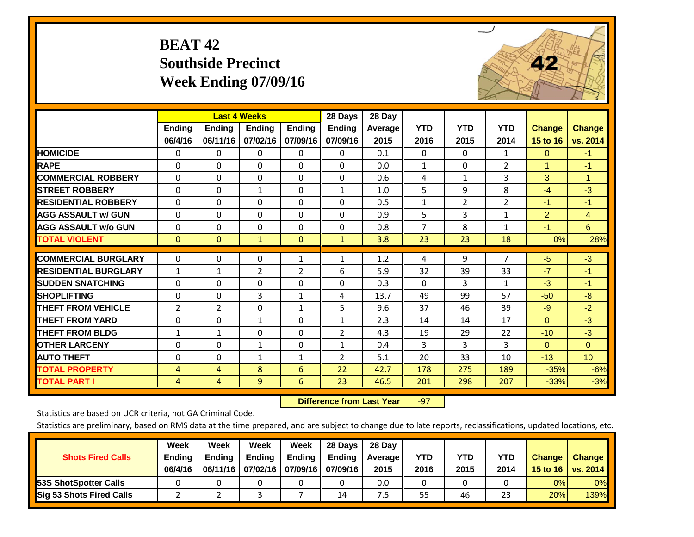# **BEAT 42 Southside Precinct Week Ending 07/09/16**



|                             |               | <b>Last 4 Weeks</b> |                |               | 28 Days        | 28 Day  |                |                |              |                |                      |
|-----------------------------|---------------|---------------------|----------------|---------------|----------------|---------|----------------|----------------|--------------|----------------|----------------------|
|                             | <b>Ending</b> | <b>Ending</b>       | <b>Endina</b>  | <b>Ending</b> | <b>Ending</b>  | Average | <b>YTD</b>     | <b>YTD</b>     | <b>YTD</b>   | <b>Change</b>  | <b>Change</b>        |
|                             | 06/4/16       | 06/11/16            | 07/02/16       | 07/09/16      | 07/09/16       | 2015    | 2016           | 2015           | 2014         | 15 to 16       | vs. 2014             |
| <b>HOMICIDE</b>             | 0             | 0                   | 0              | 0             | $\mathbf{0}$   | 0.1     | 0              | $\mathbf{0}$   | $\mathbf{1}$ | $\mathbf{0}$   | $-1$                 |
| <b>RAPE</b>                 | 0             | 0                   | $\Omega$       | $\mathbf{0}$  | 0              | 0.0     | 1              | $\Omega$       | 2            | 1              | $-1$                 |
| <b>COMMERCIAL ROBBERY</b>   | $\Omega$      | 0                   | $\mathbf{0}$   | $\Omega$      | 0              | 0.6     | 4              | $\mathbf{1}$   | 3            | 3              | $\blacktriangleleft$ |
| <b>STREET ROBBERY</b>       | 0             | 0                   | $\mathbf{1}$   | 0             | $\mathbf{1}$   | 1.0     | 5              | 9              | 8            | $-4$           | $-3$                 |
| <b>RESIDENTIAL ROBBERY</b>  | $\Omega$      | 0                   | $\mathbf{0}$   | $\mathbf{0}$  | $\Omega$       | 0.5     | $\mathbf{1}$   | $\overline{2}$ | 2            | $-1$           | $-1$                 |
| <b>AGG ASSAULT w/ GUN</b>   | $\Omega$      | $\Omega$            | $\Omega$       | $\Omega$      | $\Omega$       | 0.9     | 5              | 3              | 1            | $\overline{2}$ | $\overline{4}$       |
| <b>AGG ASSAULT w/o GUN</b>  | $\Omega$      | $\Omega$            | $\Omega$       | $\Omega$      | $\Omega$       | 0.8     | $\overline{7}$ | 8              | $\mathbf{1}$ | $-1$           | 6                    |
| <b>TOTAL VIOLENT</b>        | $\mathbf{0}$  | $\mathbf{0}$        | $\mathbf{1}$   | $\mathbf{0}$  | $\mathbf{1}$   | 3.8     | 23             | 23             | 18           | 0%             | 28%                  |
| <b>COMMERCIAL BURGLARY</b>  | $\mathbf 0$   | 0                   | 0              | 1             | 1              | 1.2     | 4              | 9              | 7            | $-5$           | $-3$                 |
| <b>RESIDENTIAL BURGLARY</b> | 1             | 1                   | $\overline{2}$ | 2             | 6              | 5.9     | 32             | 39             | 33           | $-7$           | $-1$                 |
| <b>SUDDEN SNATCHING</b>     | $\Omega$      | 0                   | $\mathbf{0}$   | 0             | $\Omega$       | 0.3     | $\mathbf{0}$   | 3              | 1            | $-3$           | $-1$                 |
| <b>SHOPLIFTING</b>          | $\Omega$      | $\Omega$            | 3              | 1             | 4              | 13.7    | 49             | 99             | 57           | $-50$          | $-8$                 |
| <b>THEFT FROM VEHICLE</b>   | 2             | $\overline{2}$      | $\Omega$       | $\mathbf{1}$  | 5              | 9.6     | 37             | 46             | 39           | $-9$           | $-2$                 |
| <b>THEFT FROM YARD</b>      | 0             | $\Omega$            | $\mathbf{1}$   | 0             | 1              | 2.3     | 14             | 14             | 17           | $\mathbf{0}$   | $-3$                 |
| <b>THEFT FROM BLDG</b>      | 1             | $\mathbf{1}$        | $\mathbf{0}$   | $\mathbf{0}$  | $\overline{2}$ | 4.3     | 19             | 29             | 22           | $-10$          | $-3$                 |
| <b>OTHER LARCENY</b>        | 0             | $\Omega$            | $\mathbf{1}$   | 0             | 1              | 0.4     | 3              | 3              | 3            | $\mathbf{0}$   | $\Omega$             |
| <b>AUTO THEFT</b>           | $\Omega$      | $\Omega$            | $\mathbf{1}$   | $\mathbf{1}$  | $\overline{2}$ | 5.1     | 20             | 33             | 10           | $-13$          | 10 <sup>°</sup>      |
| <b>TOTAL PROPERTY</b>       | 4             | 4                   | 8              | 6             | 22             | 42.7    | 178            | 275            | 189          | $-35%$         | $-6%$                |
| <b>TOTAL PART I</b>         | 4             | 4                   | 9              | 6             | 23             | 46.5    | 201            | 298            | 207          | $-33%$         | $-3%$                |

 **Difference from Last Year**‐97

Statistics are based on UCR criteria, not GA Criminal Code.

| <b>Shots Fired Calls</b>        | Week<br><b>Ending</b><br>06/4/16 | Week<br><b>Endina</b><br>06/11/16 | <b>Week</b><br>Ending<br>07/02/16 | Week<br>Ending | 28 Days<br><b>Ending</b><br>07/09/16    07/09/16 | 28 Day<br>Average II<br>2015 | YTD<br>2016 | YTD<br>2015 | YTD<br>2014 | <b>Change</b><br>15 to 16 | <b>Change</b><br>vs. 2014 |
|---------------------------------|----------------------------------|-----------------------------------|-----------------------------------|----------------|--------------------------------------------------|------------------------------|-------------|-------------|-------------|---------------------------|---------------------------|
| <b>153S ShotSpotter Calls</b>   |                                  |                                   |                                   |                |                                                  | 0.0                          |             |             |             | 0%                        | 0%                        |
| <b>Sig 53 Shots Fired Calls</b> |                                  |                                   |                                   |                | 14                                               | ט.                           | 55          | 46          | 23          | 20%                       | 139%                      |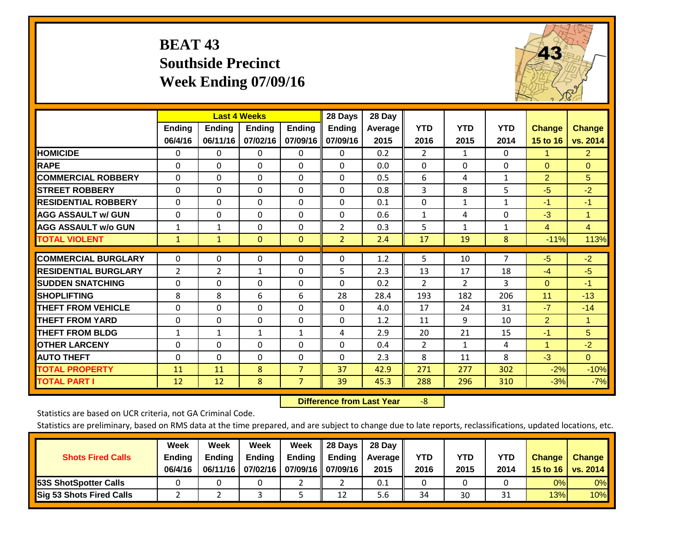# **BEAT 43 Southside Precinct Week Ending 07/09/16**



|                             |               |                | <b>Last 4 Weeks</b> |                | 28 Days        | 28 Day  |                |                |              |                |                |
|-----------------------------|---------------|----------------|---------------------|----------------|----------------|---------|----------------|----------------|--------------|----------------|----------------|
|                             | <b>Ending</b> | <b>Ending</b>  | <b>Ending</b>       | <b>Endina</b>  | <b>Ending</b>  | Average | <b>YTD</b>     | <b>YTD</b>     | <b>YTD</b>   | <b>Change</b>  | <b>Change</b>  |
|                             | 06/4/16       | 06/11/16       | 07/02/16            | 07/09/16       | 07/09/16       | 2015    | 2016           | 2015           | 2014         | 15 to 16       | vs. 2014       |
| <b>HOMICIDE</b>             | 0             | 0              | 0                   | $\Omega$       | 0              | 0.2     | 2              | $\mathbf{1}$   | 0            | 1.             | $\overline{2}$ |
| <b>RAPE</b>                 | $\Omega$      | $\Omega$       | $\Omega$            | $\Omega$       | $\Omega$       | 0.0     | $\mathbf{0}$   | 0              | $\Omega$     | $\mathbf{0}$   | $\Omega$       |
| <b>COMMERCIAL ROBBERY</b>   | $\Omega$      | $\Omega$       | $\Omega$            | $\Omega$       | $\Omega$       | 0.5     | 6              | 4              | $\mathbf{1}$ | $\overline{2}$ | 5              |
| <b>STREET ROBBERY</b>       | 0             | $\Omega$       | 0                   | 0              | $\Omega$       | 0.8     | 3              | 8              | 5            | $-5$           | $-2$           |
| <b>RESIDENTIAL ROBBERY</b>  | $\Omega$      | $\Omega$       | $\Omega$            | 0              | $\Omega$       | 0.1     | $\mathbf{0}$   | $\mathbf{1}$   | $\mathbf{1}$ | $-1$           | $-1$           |
| <b>AGG ASSAULT w/ GUN</b>   | $\Omega$      | $\Omega$       | $\Omega$            | 0              | $\Omega$       | 0.6     | $\mathbf{1}$   | 4              | $\Omega$     | $-3$           | $\mathbf{1}$   |
| <b>AGG ASSAULT w/o GUN</b>  | 1             | 1              | $\Omega$            | 0              | $\overline{2}$ | 0.3     | 5              | $\mathbf{1}$   | $\mathbf{1}$ | 4              | $\overline{4}$ |
| <b>TOTAL VIOLENT</b>        | $\mathbf{1}$  | $\mathbf{1}$   | $\mathbf{0}$        | $\mathbf{0}$   | $\overline{2}$ | 2.4     | 17             | 19             | 8            | $-11%$         | 113%           |
| <b>COMMERCIAL BURGLARY</b>  |               |                |                     |                |                |         |                |                | 7            |                |                |
|                             | 0             | $\Omega$       | $\Omega$            | 0              | $\Omega$       | 1.2     | 5              | 10             |              | $-5$           | $-2$           |
| <b>RESIDENTIAL BURGLARY</b> | 2             | $\overline{2}$ | $\mathbf{1}$        | 0              | 5              | 2.3     | 13             | 17             | 18           | $-4$           | $-5$           |
| <b>SUDDEN SNATCHING</b>     | $\Omega$      | $\Omega$       | $\mathbf{0}$        | 0              | $\Omega$       | 0.2     | $\overline{2}$ | $\overline{2}$ | 3            | $\mathbf{0}$   | $-1$           |
| <b>SHOPLIFTING</b>          | 8             | 8              | 6                   | 6              | 28             | 28.4    | 193            | 182            | 206          | 11             | $-13$          |
| <b>THEFT FROM VEHICLE</b>   | $\Omega$      | $\Omega$       | $\Omega$            | 0              | $\Omega$       | 4.0     | 17             | 24             | 31           | $-7$           | $-14$          |
| <b>THEFT FROM YARD</b>      | $\mathbf 0$   | $\Omega$       | $\Omega$            | $\Omega$       | $\Omega$       | 1.2     | 11             | 9              | 10           | $\overline{2}$ | $\mathbf{1}$   |
| <b>THEFT FROM BLDG</b>      | $\mathbf{1}$  | 1              | $\mathbf{1}$        | 1              | 4              | 2.9     | 20             | 21             | 15           | $-1$           | 5              |
| <b>OTHER LARCENY</b>        | $\Omega$      | $\Omega$       | $\Omega$            | $\Omega$       | $\Omega$       | 0.4     | $\overline{2}$ | $\mathbf{1}$   | 4            | 1              | $-2$           |
| <b>AUTO THEFT</b>           | $\Omega$      | $\Omega$       | $\Omega$            | $\Omega$       | $\Omega$       | 2.3     | 8              | 11             | 8            | $-3$           | $\overline{0}$ |
| <b>TOTAL PROPERTY</b>       | 11            | 11             | 8                   | $\overline{7}$ | 37             | 42.9    | 271            | 277            | 302          | $-2%$          | $-10%$         |
| <b>TOTAL PART I</b>         | 12            | 12             | 8                   | $\overline{7}$ | 39             | 45.3    | 288            | 296            | 310          | $-3%$          | $-7%$          |

 **Difference from Last Year**‐8

Statistics are based on UCR criteria, not GA Criminal Code.

| <b>Shots Fired Calls</b>        | Week<br><b>Ending</b><br>06/4/16 | Week<br><b>Endina</b><br>06/11/16 | Week<br>Ending<br>07/02/16 | Week<br>Ending | 28 Days<br><b>Ending</b><br>07/09/16    07/09/16 | 28 Day<br>Average II<br>2015 | YTD<br>2016 | YTD<br>2015 | <b>YTD</b><br>2014 | <b>Change</b><br>15 to 16 | <b>Change</b><br>vs. 2014 |
|---------------------------------|----------------------------------|-----------------------------------|----------------------------|----------------|--------------------------------------------------|------------------------------|-------------|-------------|--------------------|---------------------------|---------------------------|
| <b>153S ShotSpotter Calls</b>   |                                  |                                   |                            |                |                                                  | 0.1                          |             |             |                    | 0%                        | 0%                        |
| <b>Sig 53 Shots Fired Calls</b> |                                  |                                   |                            |                | 12                                               | 5.6                          | 34          | 30          | <b>n</b><br>⊥ر     | 13%                       | 10%                       |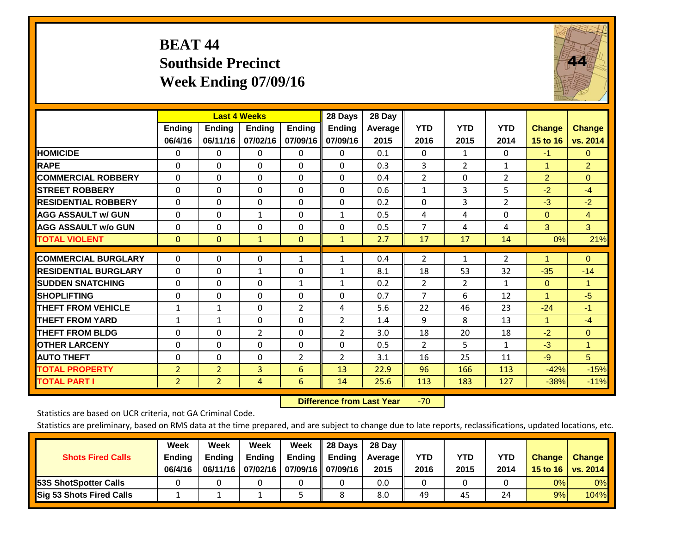# **BEAT 44 Southside Precinct Week Ending 07/09/16**



|                             |                | <b>Last 4 Weeks</b> |                |                | 28 Days        | 28 Day  |                |                |                |                      |                |
|-----------------------------|----------------|---------------------|----------------|----------------|----------------|---------|----------------|----------------|----------------|----------------------|----------------|
|                             | <b>Ending</b>  | <b>Ending</b>       | <b>Endina</b>  | <b>Ending</b>  | <b>Ending</b>  | Average | <b>YTD</b>     | <b>YTD</b>     | <b>YTD</b>     | <b>Change</b>        | <b>Change</b>  |
|                             | 06/4/16        | 06/11/16            | 07/02/16       | 07/09/16       | 07/09/16       | 2015    | 2016           | 2015           | 2014           | 15 to 16             | vs. 2014       |
| <b>HOMICIDE</b>             | 0              | 0                   | $\Omega$       | $\Omega$       | 0              | 0.1     | $\Omega$       | $\mathbf{1}$   | 0              | $-1$                 | 0              |
| <b>RAPE</b>                 | 0              | $\Omega$            | $\Omega$       | 0              | 0              | 0.3     | 3              | $\overline{2}$ | $\mathbf{1}$   | 1                    | $\overline{2}$ |
| <b>COMMERCIAL ROBBERY</b>   | $\Omega$       | 0                   | $\mathbf{0}$   | $\Omega$       | $\Omega$       | 0.4     | $\overline{2}$ | 0              | $\overline{2}$ | $\overline{2}$       | $\mathbf{0}$   |
| <b>ISTREET ROBBERY</b>      | $\Omega$       | $\Omega$            | $\Omega$       | $\Omega$       | $\Omega$       | 0.6     | $\mathbf{1}$   | 3              | 5              | $-2$                 | $-4$           |
| <b>RESIDENTIAL ROBBERY</b>  | $\Omega$       | $\Omega$            | $\mathbf{0}$   | $\Omega$       | $\Omega$       | 0.2     | $\Omega$       | 3              | $\overline{2}$ | $-3$                 | $-2$           |
| <b>AGG ASSAULT w/ GUN</b>   | $\Omega$       | $\Omega$            | $\mathbf{1}$   | $\Omega$       | $\mathbf{1}$   | 0.5     | 4              | 4              | $\Omega$       | $\Omega$             | $\overline{4}$ |
| <b>AGG ASSAULT w/o GUN</b>  | 0              | 0                   | 0              | 0              | $\Omega$       | 0.5     | $\overline{7}$ | 4              | 4              | 3                    | 3              |
| <b>TOTAL VIOLENT</b>        | $\Omega$       | $\Omega$            | $\mathbf{1}$   | $\mathbf{0}$   | $\mathbf{1}$   | 2.7     | 17             | 17             | 14             | 0%                   | 21%            |
| <b>COMMERCIAL BURGLARY</b>  | $\Omega$       | $\Omega$            | $\mathbf 0$    |                |                | 0.4     | $\overline{2}$ |                | $\overline{2}$ | 1                    | $\Omega$       |
|                             |                |                     |                | 1              | 1              |         |                | $\mathbf{1}$   |                |                      |                |
| <b>RESIDENTIAL BURGLARY</b> | $\Omega$       | 0                   | $\mathbf{1}$   | $\Omega$       | $\mathbf{1}$   | 8.1     | 18             | 53             | 32             | $-35$                | $-14$          |
| <b>SUDDEN SNATCHING</b>     | $\Omega$       | 0                   | $\mathbf{0}$   | 1              | $\mathbf{1}$   | 0.2     | 2              | $\overline{2}$ | $\mathbf{1}$   | $\Omega$             | 1              |
| <b>SHOPLIFTING</b>          | $\Omega$       | 0                   | $\mathbf{0}$   | $\Omega$       | $\Omega$       | 0.7     | $\overline{7}$ | 6              | 12             | $\blacktriangleleft$ | $-5$           |
| <b>THEFT FROM VEHICLE</b>   | 1              | $\mathbf{1}$        | $\Omega$       | 2              | 4              | 5.6     | 22             | 46             | 23             | $-24$                | $-1$           |
| <b>THEFT FROM YARD</b>      | 1              | 1                   | $\mathbf{0}$   | 0              | $\overline{2}$ | 1.4     | 9              | 8              | 13             | $\mathbf{1}$         | $-4$           |
| <b>THEFT FROM BLDG</b>      | $\Omega$       | $\Omega$            | $\overline{2}$ | $\Omega$       | $\overline{2}$ | 3.0     | 18             | 20             | 18             | $-2$                 | $\mathbf{0}$   |
| <b>OTHER LARCENY</b>        | $\Omega$       | 0                   | $\Omega$       | $\Omega$       | $\Omega$       | 0.5     | 2              | 5.             | $\mathbf{1}$   | $-3$                 | $\mathbf{1}$   |
| <b>AUTO THEFT</b>           | 0              | 0                   | 0              | $\overline{2}$ | $\overline{2}$ | 3.1     | 16             | 25             | 11             | $-9$                 | 5              |
| <b>TOTAL PROPERTY</b>       | $\overline{2}$ | $\overline{2}$      | 3              | 6              | 13             | 22.9    | 96             | 166            | 113            | $-42%$               | $-15%$         |
| <b>TOTAL PART I</b>         | $\overline{2}$ | $\overline{2}$      | 4              | 6              | 14             | 25.6    | 113            | 183            | 127            | $-38%$               | $-11%$         |

 **Difference from Last Year**r -70

Statistics are based on UCR criteria, not GA Criminal Code.

| <b>Shots Fired Calls</b>        | Week<br><b>Ending</b><br>06/4/16 | Week<br><b>Endina</b><br>06/11/16 | <b>Week</b><br>Ending<br>07/02/16 | Week<br>Ending | 28 Days<br><b>Ending</b><br>07/09/16    07/09/16 | 28 Day<br>Average II<br>2015 | YTD<br>2016 | YTD<br>2015 | <b>YTD</b><br>2014 | <b>Change</b><br>15 to 16 | <b>Change</b><br>vs. 2014 |
|---------------------------------|----------------------------------|-----------------------------------|-----------------------------------|----------------|--------------------------------------------------|------------------------------|-------------|-------------|--------------------|---------------------------|---------------------------|
| <b>153S ShotSpotter Calls</b>   |                                  |                                   |                                   |                |                                                  | 0.0                          |             |             |                    | 0%                        | 0%                        |
| <b>Sig 53 Shots Fired Calls</b> |                                  |                                   |                                   |                |                                                  | 8.0                          | 49          | 45          | 24                 | 9%                        | 104%                      |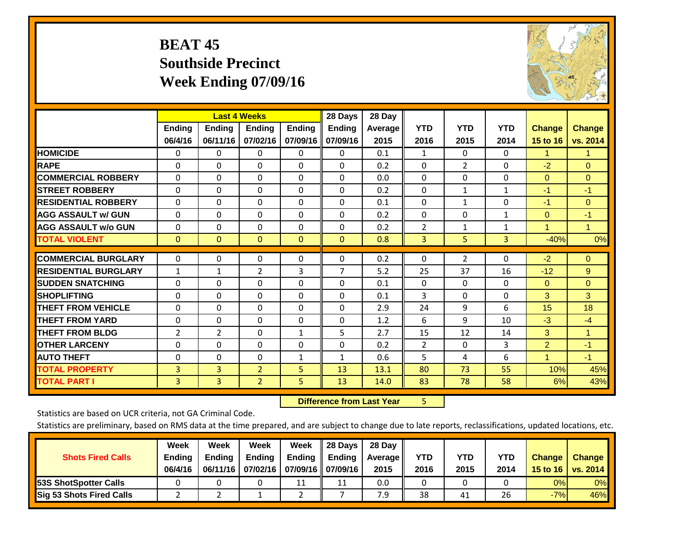# **BEAT 45 Southside Precinct Week Ending 07/09/16**



|                             |               |               | <b>Last 4 Weeks</b> |               | 28 Days        | 28 Day  |                |                |              |                |               |
|-----------------------------|---------------|---------------|---------------------|---------------|----------------|---------|----------------|----------------|--------------|----------------|---------------|
|                             | <b>Ending</b> | <b>Ending</b> | <b>Ending</b>       | <b>Endina</b> | Ending         | Average | <b>YTD</b>     | <b>YTD</b>     | <b>YTD</b>   | <b>Change</b>  | <b>Change</b> |
|                             | 06/4/16       | 06/11/16      | 07/02/16            | 07/09/16      | 07/09/16       | 2015    | 2016           | 2015           | 2014         | 15 to 16       | vs. 2014      |
| <b>HOMICIDE</b>             | 0             | $\Omega$      | 0                   | 0             | $\Omega$       | 0.1     | 1              | $\mathbf{0}$   | 0            | 1.             | 1.            |
| <b>RAPE</b>                 | 0             | $\Omega$      | $\Omega$            | $\Omega$      | 0              | 0.2     | $\Omega$       | $\overline{2}$ | 0            | $-2$           | $\Omega$      |
| <b>COMMERCIAL ROBBERY</b>   | $\Omega$      | $\Omega$      | $\mathbf{0}$        | $\Omega$      | $\Omega$       | 0.0     | $\mathbf{0}$   | 0              | 0            | $\mathbf{0}$   | $\mathbf{0}$  |
| <b>STREET ROBBERY</b>       | $\Omega$      | $\Omega$      | $\Omega$            | $\Omega$      | 0              | 0.2     | $\mathbf{0}$   | 1              | $\mathbf{1}$ | -1             | $-1$          |
| <b>RESIDENTIAL ROBBERY</b>  | $\Omega$      | $\Omega$      | $\mathbf{0}$        | $\Omega$      | $\Omega$       | 0.1     | $\mathbf{0}$   | $\mathbf{1}$   | 0            | $-1$           | $\mathbf{0}$  |
| <b>AGG ASSAULT w/ GUN</b>   | $\Omega$      | $\Omega$      | $\Omega$            | $\Omega$      | 0              | 0.2     | $\mathbf{0}$   | 0              | $\mathbf{1}$ | $\mathbf{0}$   | $-1$          |
| <b>AGG ASSAULT w/o GUN</b>  | $\Omega$      | $\Omega$      | $\mathbf{0}$        | $\Omega$      | $\Omega$       | 0.2     | $\overline{2}$ | $\mathbf{1}$   | $\mathbf{1}$ | 1              | $\mathbf{1}$  |
| <b>TOTAL VIOLENT</b>        | $\mathbf{0}$  | $\mathbf{0}$  | $\mathbf{0}$        | $\mathbf{0}$  | $\mathbf{0}$   | 0.8     | 3              | 5              | 3            | $-40%$         | 0%            |
|                             |               |               |                     |               |                |         |                |                |              |                |               |
| <b>COMMERCIAL BURGLARY</b>  | $\Omega$      | $\Omega$      | $\Omega$            | $\Omega$      | 0              | 0.2     | $\Omega$       | $\overline{2}$ | $\Omega$     | $-2$           | $\Omega$      |
| <b>RESIDENTIAL BURGLARY</b> | 1             | 1             | 2                   | 3             | $\overline{7}$ | 5.2     | 25             | 37             | 16           | $-12$          | 9             |
| <b>SUDDEN SNATCHING</b>     | $\Omega$      | $\Omega$      | $\Omega$            | 0             | 0              | 0.1     | $\Omega$       | 0              | 0            | $\Omega$       | $\Omega$      |
| <b>SHOPLIFTING</b>          | $\Omega$      | $\Omega$      | $\mathbf{0}$        | $\Omega$      | 0              | 0.1     | 3              | 0              | 0            | 3 <sup>1</sup> | 3             |
| <b>THEFT FROM VEHICLE</b>   | $\Omega$      | $\Omega$      | $\Omega$            | $\Omega$      | 0              | 2.9     | 24             | 9              | 6            | 15             | 18            |
| <b>THEFT FROM YARD</b>      | $\Omega$      | $\Omega$      | $\mathbf{0}$        | $\Omega$      | $\Omega$       | 1.2     | 6              | 9              | 10           | $-3$           | $-4$          |
| <b>THEFT FROM BLDG</b>      | 2             | 2             | $\Omega$            | $\mathbf{1}$  | 5              | 2.7     | 15             | 12             | 14           | 3              | 1.            |
| <b>OTHER LARCENY</b>        | $\Omega$      | $\Omega$      | $\mathbf{0}$        | 0             | $\Omega$       | 0.2     | $\overline{2}$ | 0              | 3            | 2              | $-1$          |
| <b>AUTO THEFT</b>           | 0             | $\Omega$      | $\Omega$            | 1             | $\mathbf{1}$   | 0.6     | 5              | 4              | 6            | 1              | $-1$          |
| <b>TOTAL PROPERTY</b>       | 3             | 3             | $\overline{2}$      | 5             | 13             | 13.1    | 80             | 73             | 55           | 10%            | 45%           |
| <b>TOTAL PART I</b>         | 3             | 3             | $\overline{2}$      | 5.            | 13             | 14.0    | 83             | 78             | 58           | 6%             | 43%           |

 **Difference from Last Year**r 5

Statistics are based on UCR criteria, not GA Criminal Code.

| <b>Shots Fired Calls</b>        | Week<br><b>Ending</b><br>06/4/16 | Week<br><b>Endina</b><br>06/11/16 | <b>Week</b><br>Ending<br>07/02/16 | Week<br>Ending | 28 Days<br><b>Ending</b><br>07/09/16    07/09/16 | 28 Day<br>Average II<br>2015 | YTD<br>2016 | YTD<br>2015 | <b>YTD</b><br>2014 | <b>Change</b><br>15 to 16 | <b>Change</b><br>vs. 2014 |
|---------------------------------|----------------------------------|-----------------------------------|-----------------------------------|----------------|--------------------------------------------------|------------------------------|-------------|-------------|--------------------|---------------------------|---------------------------|
| <b>153S ShotSpotter Calls</b>   |                                  |                                   |                                   | 11             | 11                                               | 0.0                          |             |             |                    | 0%                        | 0%                        |
| <b>Sig 53 Shots Fired Calls</b> |                                  |                                   |                                   |                |                                                  | 7.9                          | 38          | 41          | 26                 | $-7%$                     | 46%                       |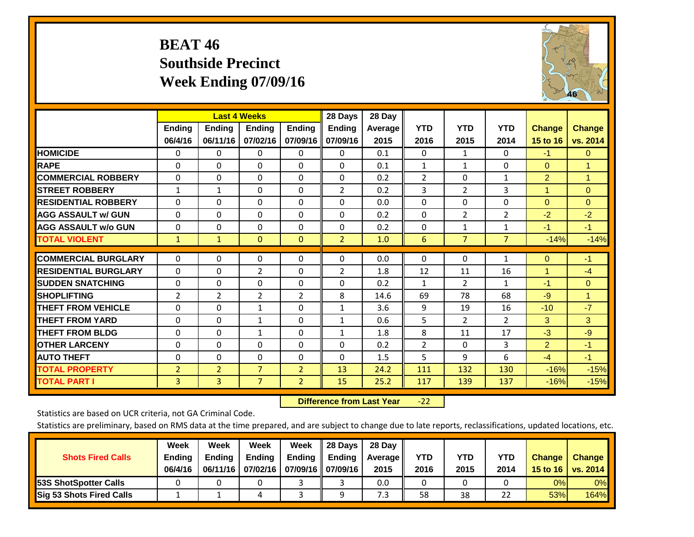# **BEAT 46 Southside Precinct Week Ending 07/09/16**



|                             |                |                | <b>Last 4 Weeks</b> |                | 28 Days        | 28 Day  |                |                |                |                      |               |
|-----------------------------|----------------|----------------|---------------------|----------------|----------------|---------|----------------|----------------|----------------|----------------------|---------------|
|                             | Ending         | <b>Ending</b>  | Ending              | <b>Ending</b>  | <b>Ending</b>  | Average | <b>YTD</b>     | <b>YTD</b>     | <b>YTD</b>     | <b>Change</b>        | <b>Change</b> |
|                             | 06/4/16        | 06/11/16       | 07/02/16            | 07/09/16       | 07/09/16       | 2015    | 2016           | 2015           | 2014           | 15 to 16             | vs. 2014      |
| <b>HOMICIDE</b>             | 0              | 0              | 0                   | $\Omega$       | 0              | 0.1     | $\Omega$       | $\mathbf{1}$   | 0              | $-1$                 | $\mathbf{0}$  |
| <b>RAPE</b>                 | $\Omega$       | $\Omega$       | $\Omega$            | $\Omega$       | $\Omega$       | 0.1     | $\mathbf{1}$   | 1              | $\Omega$       | $\mathbf{0}$         | $\mathbf{1}$  |
| <b>COMMERCIAL ROBBERY</b>   | $\Omega$       | 0              | $\Omega$            | 0              | 0              | 0.2     | 2              | $\Omega$       | $\mathbf{1}$   | $\overline{2}$       | $\mathbf{1}$  |
| <b>STREET ROBBERY</b>       | $\mathbf{1}$   | 1              | $\Omega$            | $\Omega$       | $\overline{2}$ | 0.2     | $\overline{3}$ | $\overline{2}$ | 3              | $\blacktriangleleft$ | $\Omega$      |
| <b>RESIDENTIAL ROBBERY</b>  | $\Omega$       | 0              | $\Omega$            | $\mathbf{0}$   | $\Omega$       | 0.0     | $\mathbf{0}$   | $\Omega$       | 0              | $\mathbf{0}$         | $\Omega$      |
| <b>AGG ASSAULT w/ GUN</b>   | $\Omega$       | $\Omega$       | $\Omega$            | $\Omega$       | $\Omega$       | 0.2     | $\mathbf{0}$   | $\overline{2}$ | 2              | $-2$                 | $-2$          |
| <b>AGG ASSAULT w/o GUN</b>  | $\Omega$       | 0              | $\Omega$            | $\Omega$       | $\Omega$       | 0.2     | $\Omega$       | $\mathbf{1}$   | $\mathbf{1}$   | $-1$                 | $-1$          |
| <b>TOTAL VIOLENT</b>        | $\mathbf{1}$   | $\mathbf{1}$   | $\Omega$            | $\mathbf{0}$   | $\overline{2}$ | 1.0     | 6              | $\overline{7}$ | $\overline{7}$ | $-14%$               | $-14%$        |
|                             |                |                |                     |                |                |         |                |                |                |                      |               |
| <b>COMMERCIAL BURGLARY</b>  | 0              | $\Omega$       | 0                   | 0              | $\Omega$       | 0.0     | $\mathbf{0}$   | $\Omega$       | 1              | $\mathbf{0}$         | $-1$          |
| <b>RESIDENTIAL BURGLARY</b> | $\Omega$       | 0              | $\overline{2}$      | $\Omega$       | 2              | 1.8     | 12             | 11             | 16             | 4                    | $-4$          |
| <b>SUDDEN SNATCHING</b>     | $\Omega$       | 0              | $\Omega$            | $\mathbf{0}$   | $\Omega$       | 0.2     | 1              | $\overline{2}$ | $\mathbf{1}$   | $-1$                 | $\Omega$      |
| <b>SHOPLIFTING</b>          | $\overline{2}$ | 2              | $\overline{2}$      | $\overline{2}$ | 8              | 14.6    | 69             | 78             | 68             | $-9$                 | $\mathbf{1}$  |
| <b>THEFT FROM VEHICLE</b>   | $\Omega$       | 0              | $\mathbf{1}$        | $\mathbf{0}$   | $\mathbf{1}$   | 3.6     | 9              | 19             | 16             | $-10$                | $-7$          |
| <b>THEFT FROM YARD</b>      | 0              | $\Omega$       | 1                   | $\Omega$       | 1              | 0.6     | 5              | $\overline{2}$ | $\overline{2}$ | 3                    | 3             |
| <b>THEFT FROM BLDG</b>      | $\Omega$       | 0              | $\mathbf{1}$        | $\mathbf{0}$   | $\mathbf{1}$   | 1.8     | 8              | 11             | 17             | $-3$                 | $-9$          |
| <b>OTHER LARCENY</b>        | 0              | $\Omega$       | $\Omega$            | $\Omega$       | $\Omega$       | 0.2     | 2              | 0              | 3              | 2                    | $-1$          |
| <b>AUTO THEFT</b>           | $\Omega$       | 0              | $\Omega$            | $\Omega$       | $\Omega$       | 1.5     | 5              | 9              | 6              | $-4$                 | $-1$          |
| <b>TOTAL PROPERTY</b>       | $\overline{2}$ | $\overline{2}$ | $\overline{7}$      | $\overline{2}$ | 13             | 24.2    | 111            | 132            | 130            | $-16%$               | $-15%$        |
| <b>TOTAL PART I</b>         | 3              | 3              | $\overline{7}$      | $\overline{2}$ | 15             | 25.2    | 117            | 139            | 137            | $-16%$               | $-15%$        |

 **Difference from Last Year**‐22

Statistics are based on UCR criteria, not GA Criminal Code.

| <b>Shots Fired Calls</b>        | Week<br><b>Ending</b><br>06/4/16 | Week<br><b>Endina</b><br>06/11/16 | <b>Week</b><br>Ending<br>07/02/16 | Week<br>Ending | 28 Days<br><b>Ending</b><br>07/09/16    07/09/16 | 28 Day<br>Average II<br>2015 | YTD<br>2016 | YTD<br>2015 | <b>YTD</b><br>2014 | <b>Change</b><br>15 to 16 | <b>Change</b><br><b>vs. 2014</b> |
|---------------------------------|----------------------------------|-----------------------------------|-----------------------------------|----------------|--------------------------------------------------|------------------------------|-------------|-------------|--------------------|---------------------------|----------------------------------|
| <b>153S ShotSpotter Calls</b>   |                                  |                                   |                                   |                |                                                  | 0.0                          |             |             |                    | 0%                        | 0%                               |
| <b>Sig 53 Shots Fired Calls</b> |                                  |                                   |                                   |                | Ω                                                | 7.3                          | 58          | 38          | 22                 | 53%l                      | 164%                             |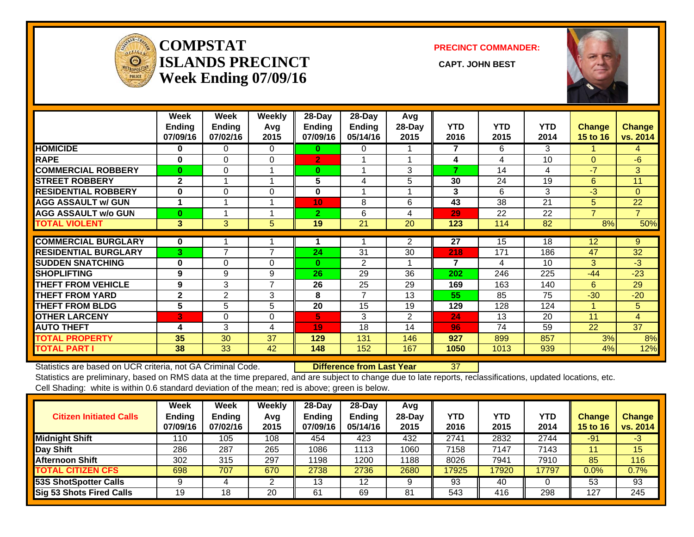

#### **COMPSTATISLANDS PRECINCT** CAPT. JOHN BEST **Week Ending 07/09/16**

**PRECINCT COMMANDER:**



|                             | Week<br><b>Ending</b><br>07/09/16 | Week<br><b>Ending</b><br>07/02/16 | <b>Weekly</b><br>Avg<br>2015 | $28$ -Day<br><b>Ending</b><br>07/09/16 | $28$ -Day<br><b>Ending</b><br>05/14/16 | Avg<br>28-Day<br>2015 | <b>YTD</b><br>2016 | <b>YTD</b><br>2015 | <b>YTD</b><br>2014 | <b>Change</b><br><b>15 to 16</b> | <b>Change</b><br>vs. 2014 |
|-----------------------------|-----------------------------------|-----------------------------------|------------------------------|----------------------------------------|----------------------------------------|-----------------------|--------------------|--------------------|--------------------|----------------------------------|---------------------------|
| <b>HOMICIDE</b>             | $\bf{0}$                          | 0                                 | $\Omega$                     | $\bf{0}$                               | 0                                      |                       | 7                  | 6.                 | 3                  |                                  | 4                         |
| <b>RAPE</b>                 | $\bf{0}$                          | $\Omega$                          | 0                            | $\overline{2}$                         |                                        |                       | 4                  | 4                  | 10                 | $\Omega$                         | $-6$                      |
| <b>COMMERCIAL ROBBERY</b>   | $\mathbf{0}$                      | $\Omega$                          |                              | $\bf{0}$                               |                                        | 3                     | 7                  | 14                 | 4                  | -7                               | 3                         |
| <b>STREET ROBBERY</b>       | $\mathbf{2}$                      |                                   |                              | 5                                      | 4                                      | 5                     | 30                 | 24                 | 19                 | 6                                | 11                        |
| <b>RESIDENTIAL ROBBERY</b>  | $\bf{0}$                          | $\Omega$                          | $\Omega$                     | $\mathbf{0}$                           |                                        |                       | $\mathbf{3}$       | 6                  | 3                  | -3                               | $\Omega$                  |
| <b>AGG ASSAULT w/ GUN</b>   |                                   |                                   |                              | 10                                     | 8                                      | 6                     | 43                 | 38                 | 21                 | 5                                | 22                        |
| <b>AGG ASSAULT w/o GUN</b>  | $\mathbf{0}$                      |                                   |                              | $\overline{2}$                         | 6                                      | 4                     | 29                 | 22                 | 22                 | 7                                | $\overline{7}$            |
| <b>TOTAL VIOLENT</b>        | 3                                 | 3                                 | 5                            | 19                                     | 21                                     | 20                    | 123                | 114                | 82                 | 8%                               | 50%                       |
| <b>COMMERCIAL BURGLARY</b>  | $\mathbf 0$                       |                                   |                              |                                        |                                        | $\overline{2}$        | 27                 | 15                 | 18                 | 12                               | 9                         |
| <b>RESIDENTIAL BURGLARY</b> | 3                                 | $\overline{7}$                    | $\overline{7}$               | 24                                     | 31                                     | 30                    | 218                | 171                | 186                | 47                               | 32                        |
| <b>SUDDEN SNATCHING</b>     | $\bf{0}$                          | $\Omega$                          | $\Omega$                     | $\bf{0}$                               | 2                                      |                       | $\overline{7}$     | 4                  | 10                 | 3                                | $-3$                      |
| <b>SHOPLIFTING</b>          | 9                                 | 9                                 | 9                            | 26                                     | 29                                     | 36                    | 202                | 246                | 225                | $-44$                            | $-23$                     |
| <b>THEFT FROM VEHICLE</b>   | 9                                 | 3                                 | 7                            | 26                                     | 25                                     | 29                    | 169                | 163                | 140                | 6                                | 29                        |
| <b>THEFT FROM YARD</b>      | $\mathbf{2}$                      | 2                                 | 3                            | 8                                      | 7                                      | 13                    | 55                 | 85                 | 75                 | $-30$                            | $-20$                     |
| <b>THEFT FROM BLDG</b>      | 5                                 | 5                                 | 5                            | 20                                     | 15                                     | 19                    | 129                | 128                | 124                | 4                                | 5                         |
| <b>OTHER LARCENY</b>        | 3                                 | $\Omega$                          | $\Omega$                     | 5.                                     | 3                                      | $\overline{2}$        | 24                 | 13                 | 20                 | 11                               | $\overline{4}$            |
| <b>AUTO THEFT</b>           | 4                                 | 3                                 | 4                            | 19                                     | 18                                     | 14                    | 96                 | 74                 | 59                 | 22                               | 37                        |
| <b>TOTAL PROPERTY</b>       | 35                                | 30                                | 37                           | 129                                    | 131                                    | 146                   | 927                | 899                | 857                | 3%                               | 8%                        |
| <b>TOTAL PART I</b>         | 38                                | 33                                | 42                           | 148                                    | 152                                    | 167                   | 1050               | 1013               | 939                | 4%                               | 12%                       |

Statistics are based on UCR criteria, not GA Criminal Code. **Difference from Last Year** 37 Statistics are preliminary, based on RMS data at the time prepared, and are subject to change due to late reports, reclassifications, updated locations, etc.

Cell Shading: white is within 0.6 standard deviation of the mean; red is above; green is below.

| <b>Citizen Initiated Calls</b> | Week<br><b>Ending</b><br>07/09/16 | Week<br><b>Ending</b><br>07/02/16 | Weekly<br>Avg<br>2015 | $28-Day$<br><b>Ending</b><br>07/09/16 | $28-Day$<br><b>Ending</b><br>05/14/16 | Avg<br>$28-Day$<br>2015 | <b>YTD</b><br>2016 | YTD<br>2015 | YTD<br>2014 | <b>Change</b><br>15 to 16 | <b>Change</b><br>vs. 2014 |
|--------------------------------|-----------------------------------|-----------------------------------|-----------------------|---------------------------------------|---------------------------------------|-------------------------|--------------------|-------------|-------------|---------------------------|---------------------------|
| <b>Midnight Shift</b>          | 110                               | 105                               | 108                   | 454                                   | 423                                   | 432                     | 2741               | 2832        | 2744        | $-91$                     | $-3$                      |
| Day Shift                      | 286                               | 287                               | 265                   | 1086                                  | 1113                                  | 1060                    | 7158               | 7147        | 7143        | 11                        | 15                        |
| <b>Afternoon Shift</b>         | 302                               | 315                               | 297                   | 1198                                  | 1200                                  | 1188                    | 8026               | 7941        | 7910        | 85                        | 116                       |
| <b>TOTAL CITIZEN CFS</b>       | 698                               | 707                               | 670                   | 2738                                  | 2736                                  | 2680                    | 17925              | 17920       | 17797       | $0.0\%$                   | 0.7%                      |
| 53S ShotSpotter Calls          |                                   |                                   |                       | 13                                    | 12                                    |                         | 93                 | 40          |             | 53                        | 93                        |
| Sig 53 Shots Fired Calls       | 19                                | 18                                | 20                    | -61                                   | 69                                    | 81                      | 543                | 416         | 298         | 127                       | 245                       |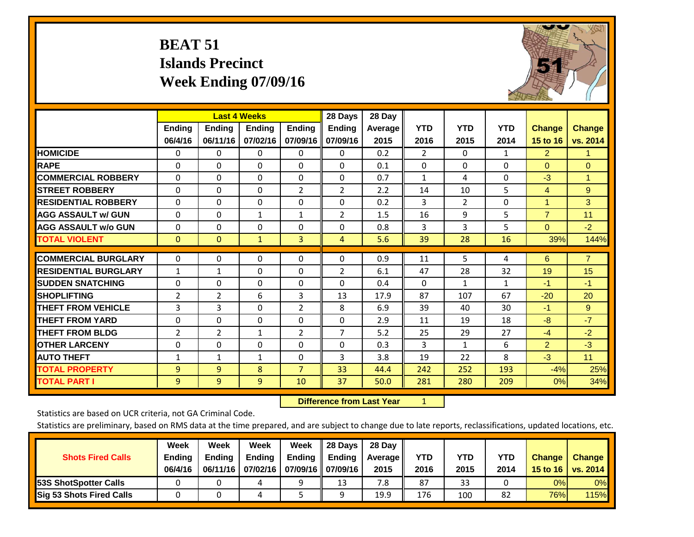# **BEAT 51 Islands Precinct Week Ending 07/09/16**



|                             |                | <b>Last 4 Weeks</b> |               |                | 28 Days        | 28 Day  |                |              |            |                      |                |
|-----------------------------|----------------|---------------------|---------------|----------------|----------------|---------|----------------|--------------|------------|----------------------|----------------|
|                             | <b>Ending</b>  | <b>Ending</b>       | <b>Endina</b> | <b>Ending</b>  | <b>Ending</b>  | Average | <b>YTD</b>     | <b>YTD</b>   | <b>YTD</b> | <b>Change</b>        | <b>Change</b>  |
|                             | 06/4/16        | 06/11/16            | 07/02/16      | 07/09/16       | 07/09/16       | 2015    | 2016           | 2015         | 2014       | 15 to 16             | vs. 2014       |
| <b>HOMICIDE</b>             | 0              | 0                   | $\Omega$      | $\Omega$       | 0              | 0.2     | $\overline{2}$ | $\mathbf{0}$ | 1          | $\overline{2}$       | 1.             |
| <b>RAPE</b>                 | 0              | $\Omega$            | $\Omega$      | $\Omega$       | 0              | 0.1     | $\Omega$       | $\Omega$     | $\Omega$   | $\Omega$             | $\Omega$       |
| <b>COMMERCIAL ROBBERY</b>   | $\Omega$       | $\Omega$            | $\Omega$      | $\Omega$       | 0              | 0.7     | 1              | 4            | $\Omega$   | $-3$                 | $\mathbf{1}$   |
| <b>ISTREET ROBBERY</b>      | $\Omega$       | $\Omega$            | $\Omega$      | $\overline{2}$ | $\overline{2}$ | 2.2     | 14             | 10           | 5          | $\overline{4}$       | 9              |
| <b>RESIDENTIAL ROBBERY</b>  | $\Omega$       | $\Omega$            | $\Omega$      | $\Omega$       | $\Omega$       | 0.2     | 3              | 2            | $\Omega$   | $\blacktriangleleft$ | 3              |
| <b>AGG ASSAULT w/ GUN</b>   | $\Omega$       | 0                   | $\mathbf{1}$  | 1              | $\overline{2}$ | 1.5     | 16             | 9            | 5          | $\overline{7}$       | 11             |
| <b>AGG ASSAULT w/o GUN</b>  | $\Omega$       | 0                   | $\Omega$      | $\Omega$       | $\Omega$       | 0.8     | 3              | 3            | 5          | $\mathbf{0}$         | $-2$           |
| <b>TOTAL VIOLENT</b>        | $\mathbf{0}$   | $\Omega$            | $\mathbf{1}$  | 3              | $\overline{4}$ | 5.6     | 39             | 28           | 16         | 39%                  | 144%           |
|                             |                |                     |               |                |                |         |                |              |            |                      |                |
| <b>COMMERCIAL BURGLARY</b>  | $\Omega$       | $\Omega$            | $\Omega$      | $\Omega$       | $\Omega$       | 0.9     | 11             | 5            | 4          | 6                    | $\overline{7}$ |
| <b>RESIDENTIAL BURGLARY</b> | $\mathbf{1}$   | 1                   | $\mathbf{0}$  | $\Omega$       | 2              | 6.1     | 47             | 28           | 32         | 19                   | 15             |
| <b>SUDDEN SNATCHING</b>     | 0              | 0                   | $\mathbf{0}$  | $\Omega$       | 0              | 0.4     | $\Omega$       | $\mathbf{1}$ | 1          | -1                   | $-1$           |
| <b>SHOPLIFTING</b>          | 2              | $\overline{2}$      | 6             | 3              | 13             | 17.9    | 87             | 107          | 67         | $-20$                | 20             |
| <b>THEFT FROM VEHICLE</b>   | 3              | 3                   | $\Omega$      | $\overline{2}$ | 8              | 6.9     | 39             | 40           | 30         | $-1$                 | 9              |
| <b>THEFT FROM YARD</b>      | 0              | $\Omega$            | $\Omega$      | $\mathbf 0$    | $\Omega$       | 2.9     | 11             | 19           | 18         | -8                   | $-7$           |
| <b>THEFT FROM BLDG</b>      | $\overline{2}$ | $\overline{2}$      | $\mathbf{1}$  | $\overline{2}$ | 7              | 5.2     | 25             | 29           | 27         | $-4$                 | $-2$           |
| <b>OTHER LARCENY</b>        | 0              | 0                   | $\Omega$      | $\Omega$       | $\Omega$       | 0.3     | 3              | $\mathbf{1}$ | 6          | $\overline{2}$       | $-3$           |
| <b>AUTO THEFT</b>           | $\mathbf{1}$   | $\mathbf{1}$        | $\mathbf{1}$  | 0              | 3              | 3.8     | 19             | 22           | 8          | $-3$                 | 11             |
| <b>TOTAL PROPERTY</b>       | 9              | 9                   | 8             | $\overline{7}$ | 33             | 44.4    | 242            | 252          | 193        | $-4%$                | 25%            |
| <b>TOTAL PART I</b>         | 9              | $\overline{9}$      | 9             | 10             | 37             | 50.0    | 281            | 280          | 209        | 0%                   | 34%            |

 **Difference from Last Year**r <u>1</u>

Statistics are based on UCR criteria, not GA Criminal Code.

| <b>Shots Fired Calls</b>        | Week<br><b>Ending</b><br>06/4/16 | Week<br><b>Endina</b><br>06/11/16 | Week<br>Ending<br>07/02/16 | Week<br>Ending | 28 Days<br><b>Ending</b><br>07/09/16    07/09/16 | 28 Day<br>Average II<br>2015 | YTD<br>2016 | YTD<br>2015 | YTD<br>2014 | <b>Change</b><br>15 to 16 | <b>Change</b><br><b>vs. 2014</b> |
|---------------------------------|----------------------------------|-----------------------------------|----------------------------|----------------|--------------------------------------------------|------------------------------|-------------|-------------|-------------|---------------------------|----------------------------------|
| <b>153S ShotSpotter Calls</b>   |                                  |                                   |                            |                | 13                                               | 7.8                          | 87          | 33          |             | 0%                        | 0%                               |
| <b>Sig 53 Shots Fired Calls</b> |                                  |                                   |                            |                | Ω                                                | 19.9                         | 176         | 100         | 82          | 76%                       | <b>115%</b>                      |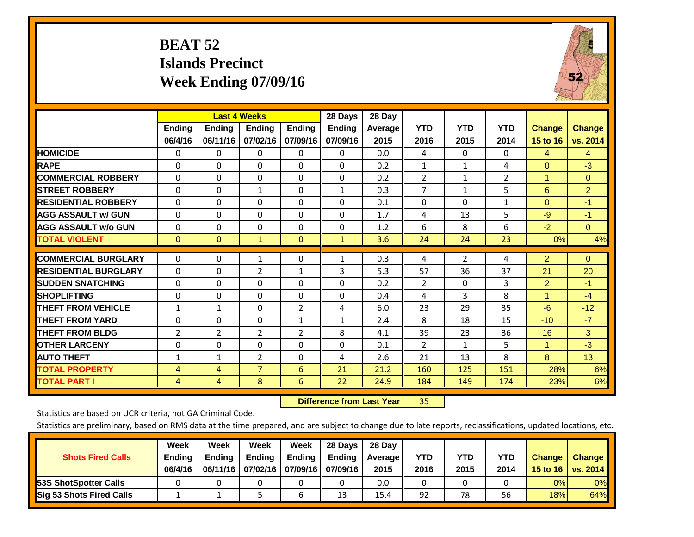# **BEAT 52 Islands Precinct Week Ending 07/09/16**



|                             |                          | <b>Last 4 Weeks</b>       |                    |                           | 28 Days                   | 28 Day          |                    |                    |                    |                                  |                           |
|-----------------------------|--------------------------|---------------------------|--------------------|---------------------------|---------------------------|-----------------|--------------------|--------------------|--------------------|----------------------------------|---------------------------|
|                             | <b>Ending</b><br>06/4/16 | <b>Ending</b><br>06/11/16 | Ending<br>07/02/16 | <b>Ending</b><br>07/09/16 | <b>Ending</b><br>07/09/16 | Average<br>2015 | <b>YTD</b><br>2016 | <b>YTD</b><br>2015 | <b>YTD</b><br>2014 | <b>Change</b><br><b>15 to 16</b> | <b>Change</b><br>vs. 2014 |
| <b>HOMICIDE</b>             | $\Omega$                 | 0                         | 0                  | $\Omega$                  | 0                         | 0.0             | 4                  | $\Omega$           | 0                  | 4                                | $\overline{4}$            |
| <b>RAPE</b>                 | $\Omega$                 | 0                         | $\Omega$           | $\Omega$                  | $\Omega$                  | 0.2             | $\mathbf{1}$       | $\mathbf 1$        | 4                  | $\Omega$                         | $-3$                      |
| <b>COMMERCIAL ROBBERY</b>   | $\Omega$                 | 0                         | 0                  | 0                         | $\Omega$                  | 0.2             | $\overline{2}$     | $\mathbf{1}$       | $\overline{2}$     | 1                                | $\mathbf{0}$              |
| <b>ISTREET ROBBERY</b>      | $\Omega$                 | $\Omega$                  | $\mathbf{1}$       | $\Omega$                  | $\mathbf{1}$              | 0.3             | $\overline{7}$     | $\mathbf{1}$       | 5                  | 6                                | $\overline{2}$            |
| <b>RESIDENTIAL ROBBERY</b>  | $\Omega$                 | 0                         | $\Omega$           | $\Omega$                  | $\mathbf{0}$              | 0.1             | $\Omega$           | $\Omega$           | 1                  | $\Omega$                         | $-1$                      |
| <b>AGG ASSAULT w/ GUN</b>   | $\Omega$                 | 0                         | $\Omega$           | $\Omega$                  | $\Omega$                  | 1.7             | 4                  | 13                 | 5                  | $-9$                             | $-1$                      |
| <b>AGG ASSAULT w/o GUN</b>  | $\Omega$                 | 0                         | $\Omega$           | $\Omega$                  | $\Omega$                  | 1.2             | 6                  | 8                  | 6                  | $-2$                             | $\Omega$                  |
| <b>TOTAL VIOLENT</b>        | $\mathbf{0}$             | $\Omega$                  | $\mathbf{1}$       | $\mathbf{0}$              | $\mathbf{1}$              | 3.6             | 24                 | 24                 | 23                 | 0%                               | 4%                        |
| <b>COMMERCIAL BURGLARY</b>  | 0                        | $\Omega$                  | 1                  | 0                         | $\mathbf{1}$              | 0.3             | 4                  | $\overline{2}$     | 4                  | $\overline{2}$                   | $\mathbf{0}$              |
| <b>RESIDENTIAL BURGLARY</b> | $\Omega$                 | 0                         | $\overline{2}$     | $\mathbf{1}$              | 3                         | 5.3             | 57                 | 36                 | 37                 | 21                               | 20                        |
| <b>ISUDDEN SNATCHING</b>    | 0                        | 0                         | $\Omega$           | $\Omega$                  | 0                         | 0.2             | 2                  | $\Omega$           | 3                  | $\overline{2}$                   | $-1$                      |
| <b>SHOPLIFTING</b>          | $\Omega$                 | $\Omega$                  | $\Omega$           | $\Omega$                  | $\Omega$                  | 0.4             | 4                  | 3                  | 8                  | 1                                | $-4$                      |
| <b>THEFT FROM VEHICLE</b>   | $\mathbf{1}$             | $\mathbf{1}$              | $\Omega$           | $\overline{2}$            | 4                         | 6.0             | 23                 | 29                 | 35                 | $-6$                             | $-12$                     |
| <b>THEFT FROM YARD</b>      | 0                        | $\Omega$                  | 0                  | $\mathbf{1}$              | $\mathbf{1}$              | 2.4             | 8                  | 18                 | 15                 | $-10$                            | $-7$                      |
| <b>THEFT FROM BLDG</b>      | 2                        | $\overline{2}$            | 2                  | 2                         | 8                         | 4.1             | 39                 | 23                 | 36                 | 16                               | 3                         |
| <b>OTHER LARCENY</b>        | 0                        | 0                         | 0                  | $\mathbf{0}$              | $\Omega$                  | 0.1             | 2                  | 1                  | 5.                 | 1                                | $-3$                      |
| <b>AUTO THEFT</b>           | $\mathbf{1}$             | 1                         | $\overline{2}$     | $\Omega$                  | 4                         | 2.6             | 21                 | 13                 | 8                  | 8                                | 13                        |
| <b>TOTAL PROPERTY</b>       | 4                        | 4                         | $\overline{7}$     | 6                         | 21                        | 21.2            | 160                | 125                | 151                | 28%                              | 6%                        |
| <b>TOTAL PART I</b>         | 4                        | 4                         | 8                  | 6                         | 22                        | 24.9            | 184                | 149                | 174                | 23%                              | 6%                        |

 **Difference from Last Year**r 35

Statistics are based on UCR criteria, not GA Criminal Code.

| <b>Shots Fired Calls</b>        | Week<br><b>Ending</b><br>06/4/16 | Week<br><b>Endina</b><br>06/11/16 | <b>Week</b><br>Ending<br>07/02/16 | Week<br>Ending | 28 Days<br><b>Ending</b><br>07/09/16    07/09/16 | 28 Day<br>Average II<br>2015 | YTD<br>2016 | YTD<br>2015 | <b>YTD</b><br>2014 | <b>Change</b><br>15 to 16 | <b>Change</b><br><b>vs. 2014</b> |
|---------------------------------|----------------------------------|-----------------------------------|-----------------------------------|----------------|--------------------------------------------------|------------------------------|-------------|-------------|--------------------|---------------------------|----------------------------------|
| <b>153S ShotSpotter Calls</b>   |                                  |                                   |                                   |                |                                                  | 0.0                          |             |             |                    | 0%                        | 0%                               |
| <b>Sig 53 Shots Fired Calls</b> |                                  |                                   |                                   |                | 13                                               | 15.4                         | 92          | 78          | 56                 | 18%                       | 64%                              |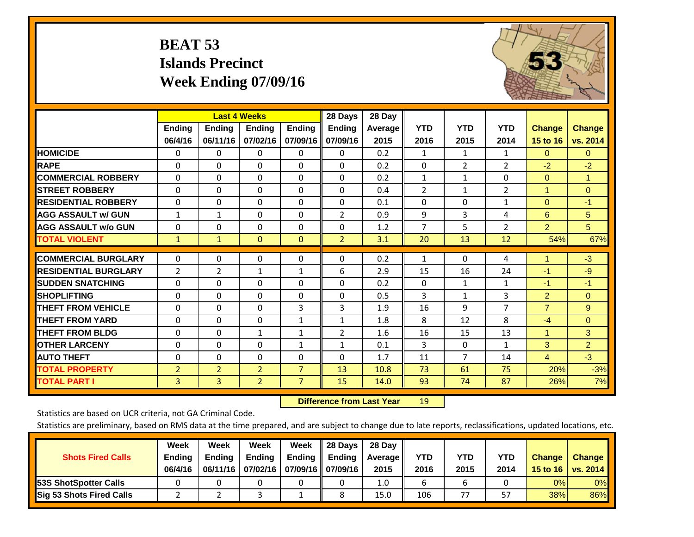# **BEAT 53 Islands Precinct Week Ending 07/09/16**



|                             |                |                | <b>Last 4 Weeks</b> |                | 28 Days        | 28 Day  |                |                |              |                |                |
|-----------------------------|----------------|----------------|---------------------|----------------|----------------|---------|----------------|----------------|--------------|----------------|----------------|
|                             | <b>Ending</b>  | <b>Ending</b>  | <b>Ending</b>       | <b>Endina</b>  | <b>Ending</b>  | Average | <b>YTD</b>     | <b>YTD</b>     | <b>YTD</b>   | <b>Change</b>  | <b>Change</b>  |
|                             | 06/4/16        | 06/11/16       | 07/02/16            | 07/09/16       | 07/09/16       | 2015    | 2016           | 2015           | 2014         | 15 to 16       | vs. 2014       |
| <b>HOMICIDE</b>             | 0              | $\Omega$       | 0                   | 0              | $\mathbf{0}$   | 0.2     | 1              | $\mathbf{1}$   | 1            | $\Omega$       | $\overline{0}$ |
| <b>RAPE</b>                 | $\Omega$       | $\Omega$       | $\Omega$            | $\Omega$       | $\Omega$       | 0.2     | $\Omega$       | $\overline{2}$ | 2            | $-2$           | $-2$           |
| <b>COMMERCIAL ROBBERY</b>   | $\Omega$       | $\Omega$       | $\Omega$            | 0              | $\Omega$       | 0.2     | 1              | 1              | $\Omega$     | $\mathbf{0}$   | $\mathbf{1}$   |
| <b>STREET ROBBERY</b>       | $\Omega$       | $\Omega$       | $\Omega$            | $\Omega$       | $\Omega$       | 0.4     | $\overline{2}$ | $\mathbf{1}$   | 2            | 1              | $\Omega$       |
| <b>RESIDENTIAL ROBBERY</b>  | 0              | $\Omega$       | $\Omega$            | 0              | $\Omega$       | 0.1     | $\mathbf{0}$   | $\Omega$       | $\mathbf{1}$ | $\mathbf{0}$   | $-1$           |
| <b>AGG ASSAULT w/ GUN</b>   | $\mathbf{1}$   | 1              | $\Omega$            | 0              | $\overline{2}$ | 0.9     | 9              | 3              | 4            | 6              | 5              |
| <b>AGG ASSAULT w/o GUN</b>  | $\mathbf 0$    | $\Omega$       | $\Omega$            | 0              | $\Omega$       | 1.2     | 7              | 5              | 2            | $\overline{2}$ | 5 <sup>5</sup> |
| <b>TOTAL VIOLENT</b>        | 1              | $\mathbf{1}$   | $\overline{0}$      | $\mathbf{0}$   | $\overline{2}$ | 3.1     | 20             | 13             | 12           | 54%            | 67%            |
|                             |                |                |                     |                |                |         |                |                |              |                |                |
| <b>COMMERCIAL BURGLARY</b>  | $\Omega$       | $\Omega$       | $\Omega$            | 0              | $\Omega$       | 0.2     | $\mathbf{1}$   | 0              | 4            | $\blacksquare$ | $-3$           |
| <b>RESIDENTIAL BURGLARY</b> | $\overline{2}$ | 2              | 1                   | 1              | 6              | 2.9     | 15             | 16             | 24           | $-1$           | $-9$           |
| <b>SUDDEN SNATCHING</b>     | $\Omega$       | $\Omega$       | $\mathbf{0}$        | 0              | $\Omega$       | 0.2     | $\mathbf{0}$   | $\mathbf{1}$   | $\mathbf{1}$ | -1             | $-1$           |
| <b>SHOPLIFTING</b>          | $\Omega$       | $\Omega$       | $\Omega$            | 0              | $\Omega$       | 0.5     | 3              | $\mathbf{1}$   | 3            | $\overline{2}$ | $\Omega$       |
| <b>THEFT FROM VEHICLE</b>   | $\mathbf 0$    | $\Omega$       | $\Omega$            | 3              | 3              | 1.9     | 16             | 9              | 7            | $\overline{7}$ | 9              |
| <b>THEFT FROM YARD</b>      | $\Omega$       | $\Omega$       | $\Omega$            | $\mathbf{1}$   | $\mathbf{1}$   | 1.8     | 8              | 12             | 8            | $-4$           | $\mathbf{0}$   |
| <b>THEFT FROM BLDG</b>      | 0              | $\Omega$       | $\mathbf{1}$        | $\mathbf{1}$   | 2              | 1.6     | 16             | 15             | 13           | 1              | 3              |
| <b>OTHER LARCENY</b>        | $\Omega$       | $\Omega$       | $\Omega$            | $\mathbf{1}$   | $\mathbf{1}$   | 0.1     | 3              | $\Omega$       | $\mathbf{1}$ | $\overline{3}$ | $\overline{2}$ |
| <b>AUTO THEFT</b>           | 0              | $\Omega$       | $\Omega$            | $\Omega$       | $\Omega$       | 1.7     | 11             | $\overline{7}$ | 14           | $\overline{4}$ | $-3$           |
| <b>TOTAL PROPERTY</b>       | $\overline{2}$ | $\overline{2}$ | $\overline{2}$      | $\overline{7}$ | 13             | 10.8    | 73             | 61             | 75           | 20%            | $-3%$          |
| <b>TOTAL PART I</b>         | 3              | $\overline{3}$ | $\overline{2}$      | $\overline{7}$ | 15             | 14.0    | 93             | 74             | 87           | 26%            | 7%             |

 **Difference from Last Year**r 19

Statistics are based on UCR criteria, not GA Criminal Code.

| <b>Shots Fired Calls</b>        | Week<br><b>Ending</b><br>06/4/16 | Week<br><b>Endina</b><br>06/11/16 | <b>Week</b><br>Ending<br>07/02/16 | Week<br>Ending | 28 Days<br><b>Ending</b><br>07/09/16    07/09/16 | 28 Day<br>Average II<br>2015 | YTD<br>2016 | YTD<br>2015 | YTD<br>2014 | <b>Change</b><br>15 to $16$ | <b>Change</b><br><b>vs. 2014</b> |
|---------------------------------|----------------------------------|-----------------------------------|-----------------------------------|----------------|--------------------------------------------------|------------------------------|-------------|-------------|-------------|-----------------------------|----------------------------------|
| <b>153S ShotSpotter Calls</b>   |                                  |                                   |                                   |                |                                                  | 1.0                          |             |             |             | 0%                          | 0%                               |
| <b>Sig 53 Shots Fired Calls</b> |                                  |                                   |                                   |                |                                                  | 15.0                         | 106         | 77          | 57          | 38%                         | 86%                              |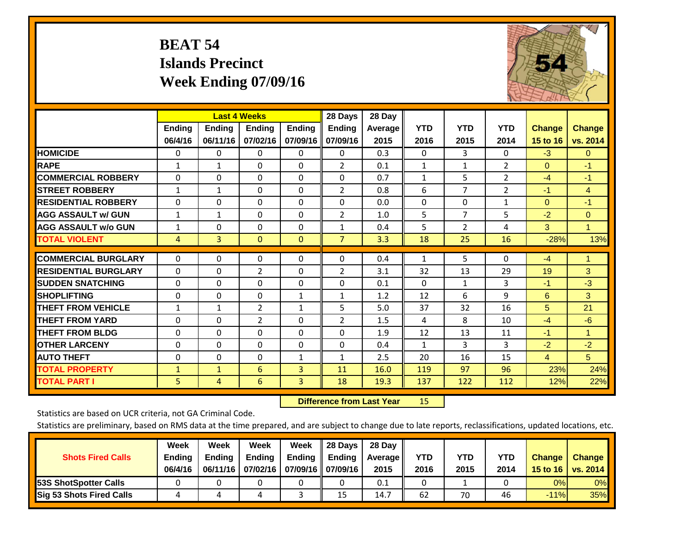# **BEAT 54 Islands Precinct Week Ending 07/09/16**



|                             |              | <b>Last 4 Weeks</b> |                |               | 28 Days        | 28 Day  |              |                |                |                |                |
|-----------------------------|--------------|---------------------|----------------|---------------|----------------|---------|--------------|----------------|----------------|----------------|----------------|
|                             | Ending       | <b>Ending</b>       | <b>Endina</b>  | <b>Ending</b> | Ending         | Average | <b>YTD</b>   | <b>YTD</b>     | <b>YTD</b>     | <b>Change</b>  | <b>Change</b>  |
|                             | 06/4/16      | 06/11/16            | 07/02/16       | 07/09/16      | 07/09/16       | 2015    | 2016         | 2015           | 2014           | 15 to 16       | vs. 2014       |
| <b>HOMICIDE</b>             | 0            | 0                   | $\Omega$       | 0             | 0              | 0.3     | $\Omega$     | 3              | 0              | $-3$           | $\overline{0}$ |
| <b>RAPE</b>                 | $\mathbf{1}$ | $\mathbf{1}$        | $\Omega$       | 0             | $\overline{2}$ | 0.1     | $\mathbf{1}$ | $\mathbf{1}$   | 2              | $\mathbf{0}$   | $-1$           |
| <b>COMMERCIAL ROBBERY</b>   | $\Omega$     | $\Omega$            | $\Omega$       | $\Omega$      | $\Omega$       | 0.7     | $\mathbf{1}$ | 5              | 2              | $-4$           | $-1$           |
| <b>STREET ROBBERY</b>       | $\mathbf{1}$ | $\mathbf{1}$        | $\Omega$       | 0             | $\overline{2}$ | 0.8     | 6            | $\overline{7}$ | $\overline{2}$ | $-1$           | $\overline{4}$ |
| <b>RESIDENTIAL ROBBERY</b>  | $\Omega$     | $\Omega$            | $\Omega$       | 0             | $\Omega$       | 0.0     | $\Omega$     | $\Omega$       | $\mathbf{1}$   | $\mathbf{0}$   | $-1$           |
| <b>AGG ASSAULT w/ GUN</b>   | $\mathbf{1}$ | 1                   | $\Omega$       | $\Omega$      | 2              | 1.0     | 5            | $\overline{7}$ | 5              | $-2$           | $\Omega$       |
| <b>AGG ASSAULT w/o GUN</b>  | $\mathbf{1}$ | 0                   | $\Omega$       | 0             | $\mathbf{1}$   | 0.4     | 5            | $\overline{2}$ | 4              | 3              | $\mathbf{1}$   |
| <b>TOTAL VIOLENT</b>        | 4            | $\overline{3}$      | $\mathbf{0}$   | $\mathbf{0}$  | $\overline{7}$ | 3.3     | 18           | 25             | 16             | $-28%$         | 13%            |
| <b>COMMERCIAL BURGLARY</b>  |              |                     |                |               |                | 0.4     |              |                |                |                |                |
|                             | $\mathbf 0$  | 0                   | 0              | $\mathbf{0}$  | $\Omega$       |         | 1            | 5              | 0              | $-4$           | $\mathbf{1}$   |
| <b>RESIDENTIAL BURGLARY</b> | $\Omega$     | $\Omega$            | $\overline{2}$ | $\Omega$      | 2              | 3.1     | 32           | 13             | 29             | 19             | 3              |
| <b>SUDDEN SNATCHING</b>     | $\Omega$     | $\Omega$            | $\Omega$       | $\Omega$      | $\Omega$       | 0.1     | $\Omega$     | 1              | 3              | $-1$           | $-3$           |
| <b>SHOPLIFTING</b>          | $\Omega$     | $\Omega$            | $\Omega$       | $\mathbf{1}$  | 1              | 1.2     | 12           | 6              | 9              | 6              | 3              |
| <b>THEFT FROM VEHICLE</b>   | $\mathbf{1}$ | 1                   | 2              | $\mathbf{1}$  | 5              | 5.0     | 37           | 32             | 16             | 5              | 21             |
| <b>THEFT FROM YARD</b>      | $\mathbf 0$  | $\mathbf 0$         | $\overline{2}$ | $\Omega$      | $\overline{2}$ | 1.5     | 4            | 8              | 10             | $-4$           | $-6$           |
| <b>THEFT FROM BLDG</b>      | $\Omega$     | $\Omega$            | $\Omega$       | 0             | $\Omega$       | 1.9     | 12           | 13             | 11             | $-1$           | $\mathbf{1}$   |
| <b>OTHER LARCENY</b>        | $\Omega$     | $\Omega$            | $\Omega$       | $\Omega$      | $\Omega$       | 0.4     | 1            | 3              | 3              | $-2$           | $-2$           |
| <b>AUTO THEFT</b>           | $\Omega$     | $\Omega$            | $\Omega$       | $\mathbf{1}$  | $\mathbf{1}$   | 2.5     | 20           | 16             | 15             | $\overline{4}$ | 5              |
| <b>TOTAL PROPERTY</b>       | $\mathbf{1}$ | $\mathbf{1}$        | 6              | 3             | 11             | 16.0    | 119          | 97             | 96             | 23%            | 24%            |
| <b>TOTAL PART I</b>         | 5            | 4                   | 6              | 3             | 18             | 19.3    | 137          | 122            | 112            | 12%            | 22%            |

 **Difference from Last Year**r 15

Statistics are based on UCR criteria, not GA Criminal Code.

| <b>Shots Fired Calls</b>        | Week<br><b>Ending</b><br>06/4/16 | Week<br><b>Endina</b><br>06/11/16 | <b>Week</b><br>Ending<br>07/02/16 | Week<br>Ending | 28 Days<br><b>Ending</b><br>07/09/16    07/09/16 | 28 Day<br>Average II<br>2015 | YTD<br>2016 | YTD<br>2015 | <b>YTD</b><br>2014 | <b>Change</b><br>15 to 16 | <b>Change</b><br>vs. 2014 |
|---------------------------------|----------------------------------|-----------------------------------|-----------------------------------|----------------|--------------------------------------------------|------------------------------|-------------|-------------|--------------------|---------------------------|---------------------------|
| <b>153S ShotSpotter Calls</b>   |                                  |                                   |                                   |                |                                                  | 0.1                          |             |             |                    | 0%                        | 0%                        |
| <b>Sig 53 Shots Fired Calls</b> |                                  |                                   |                                   |                | 15                                               | 14.7                         | 62          | 70          | 46                 | $-11%$                    | 35%                       |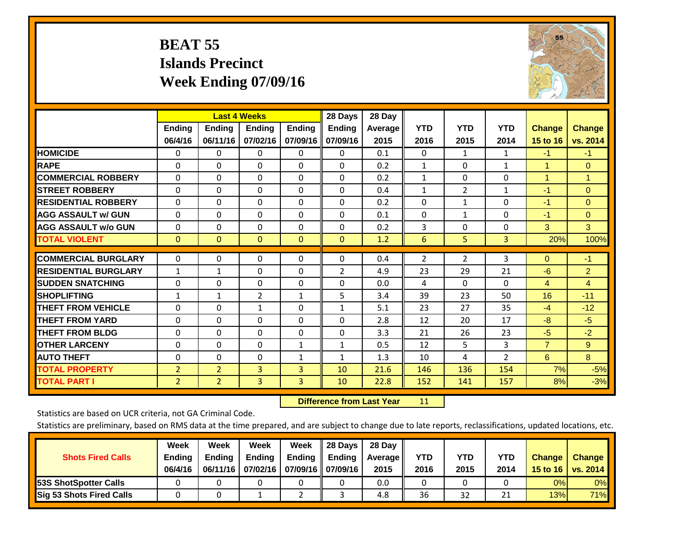# **BEAT 55 Islands Precinct Week Ending 07/09/16**



|                             | <b>Last 4 Weeks</b> |                |                |               | 28 Days        | 28 Day     |                |                |                |                |                      |
|-----------------------------|---------------------|----------------|----------------|---------------|----------------|------------|----------------|----------------|----------------|----------------|----------------------|
|                             | <b>Ending</b>       | <b>Ending</b>  | Ending         | <b>Ending</b> | <b>Ending</b>  | Average II | <b>YTD</b>     | <b>YTD</b>     | <b>YTD</b>     | <b>Change</b>  | <b>Change</b>        |
|                             | 06/4/16             | 06/11/16       | 07/02/16       | 07/09/16      | 07/09/16       | 2015       | 2016           | 2015           | 2014           | 15 to 16       | vs. 2014             |
| <b>HOMICIDE</b>             | 0                   | 0              | $\Omega$       | $\Omega$      | $\mathbf{0}$   | 0.1        | $\mathbf{0}$   | 1              | 1              | $-1$           | $-1$                 |
| <b>RAPE</b>                 | 0                   | $\Omega$       | $\Omega$       | $\Omega$      | $\Omega$       | 0.2        | 1              | $\Omega$       | $\mathbf{1}$   | 1              | $\mathbf{0}$         |
| <b>COMMERCIAL ROBBERY</b>   | $\Omega$            | 0              | $\Omega$       | 0             | $\Omega$       | 0.2        | 1              | $\mathbf{0}$   | 0              | $\overline{1}$ | $\blacktriangleleft$ |
| <b>ISTREET ROBBERY</b>      | $\Omega$            | $\Omega$       | $\Omega$       | $\Omega$      | $\Omega$       | 0.4        | $\mathbf{1}$   | $\overline{2}$ | $\mathbf{1}$   | -1             | $\Omega$             |
| <b>RESIDENTIAL ROBBERY</b>  | $\Omega$            | 0              | $\Omega$       | $\Omega$      | $\Omega$       | 0.2        | $\Omega$       | 1              | 0              | $-1$           | $\Omega$             |
| <b>AGG ASSAULT w/ GUN</b>   | $\Omega$            | 0              | $\mathbf{0}$   | $\mathbf{0}$  | $\Omega$       | 0.1        | $\Omega$       | $\mathbf{1}$   | 0              | $-1$           | $\mathbf{0}$         |
| <b>AGG ASSAULT w/o GUN</b>  | $\Omega$            | 0              | $\Omega$       | $\Omega$      | $\Omega$       | 0.2        | 3              | $\mathbf{0}$   | 0              | 3              | 3                    |
| <b>TOTAL VIOLENT</b>        | $\mathbf{0}$        | $\mathbf{0}$   | $\mathbf{0}$   | $\mathbf{0}$  | $\mathbf{0}$   | 1.2        | 6              | 5              | 3              | 20%            | 100%                 |
| <b>COMMERCIAL BURGLARY</b>  | $\Omega$            |                |                |               | $\Omega$       |            |                |                |                |                | $-1$                 |
|                             |                     | 0              | 0              | 0             |                | 0.4        | $\overline{2}$ | $\overline{2}$ | 3              | $\mathbf{0}$   |                      |
| <b>RESIDENTIAL BURGLARY</b> | 1                   | 1              | $\mathbf{0}$   | $\mathbf{0}$  | $\overline{2}$ | 4.9        | 23             | 29             | 21             | -6             | $\overline{2}$       |
| <b>ISUDDEN SNATCHING</b>    | 0                   | 0              | $\mathbf{0}$   | $\mathbf{0}$  | $\Omega$       | 0.0        | 4              | $\Omega$       | $\Omega$       | 4              | 4                    |
| <b>SHOPLIFTING</b>          | 1                   | 1              | $\overline{2}$ | 1             | 5              | 3.4        | 39             | 23             | 50             | 16             | $-11$                |
| <b>THEFT FROM VEHICLE</b>   | $\Omega$            | $\Omega$       | $\mathbf{1}$   | $\Omega$      | $\mathbf{1}$   | 5.1        | 23             | 27             | 35             | $-4$           | $-12$                |
| <b>THEFT FROM YARD</b>      | $\Omega$            | $\Omega$       | $\Omega$       | 0             | $\Omega$       | 2.8        | 12             | 20             | 17             | -8             | $-5$                 |
| <b>THEFT FROM BLDG</b>      | 0                   | 0              | $\Omega$       | $\mathbf{0}$  | $\Omega$       | 3.3        | 21             | 26             | 23             | $-5$           | $-2$                 |
| <b>OTHER LARCENY</b>        | $\Omega$            | 0              | $\Omega$       | 1             | 1              | 0.5        | 12             | 5.             | 3              | $\overline{7}$ | 9                    |
| <b>AUTO THEFT</b>           | 0                   | 0              | $\Omega$       | 1             | 1              | 1.3        | 10             | 4              | $\overline{2}$ | 6              | 8                    |
| <b>TOTAL PROPERTY</b>       | $\overline{2}$      | $\overline{2}$ | 3              | 3             | 10             | 21.6       | 146            | 136            | 154            | 7%             | $-5%$                |
| <b>TOTAL PART I</b>         | $\overline{2}$      | $\overline{2}$ | 3              | 3             | 10             | 22.8       | 152            | 141            | 157            | 8%             | $-3%$                |

 **Difference from Last Year**r 11

Statistics are based on UCR criteria, not GA Criminal Code.

| <b>Shots Fired Calls</b>        | Week<br><b>Ending</b><br>06/4/16 | Week<br><b>Endina</b><br>06/11/16 | Week<br>Ending<br>07/02/16 | Week<br>Ending | 28 Days<br><b>Ending</b><br>07/09/16    07/09/16 | 28 Day<br>Average II<br>2015 | YTD<br>2016 | YTD<br>2015 | <b>YTD</b><br>2014 | <b>Change</b><br>15 to 16 | <b>Change</b><br><b>vs. 2014</b> |
|---------------------------------|----------------------------------|-----------------------------------|----------------------------|----------------|--------------------------------------------------|------------------------------|-------------|-------------|--------------------|---------------------------|----------------------------------|
| <b>153S ShotSpotter Calls</b>   |                                  |                                   |                            |                |                                                  | 0.0                          |             |             |                    | 0%                        | 0%                               |
| <b>Sig 53 Shots Fired Calls</b> |                                  |                                   |                            |                |                                                  | 4.8                          | 36          | 32          | าง<br>ᅀᅩ           | 13%                       | 71%                              |